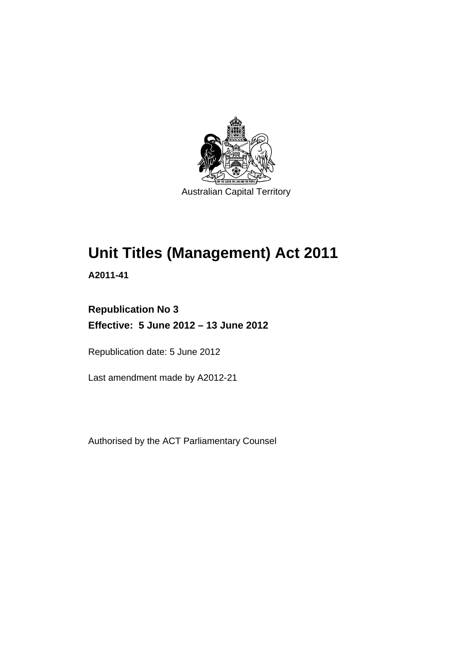

# **Unit Titles (Management) Act 2011**

**A2011-41** 

## **Republication No 3 Effective: 5 June 2012 – 13 June 2012**

Republication date: 5 June 2012

Last amendment made by A2012-21

Authorised by the ACT Parliamentary Counsel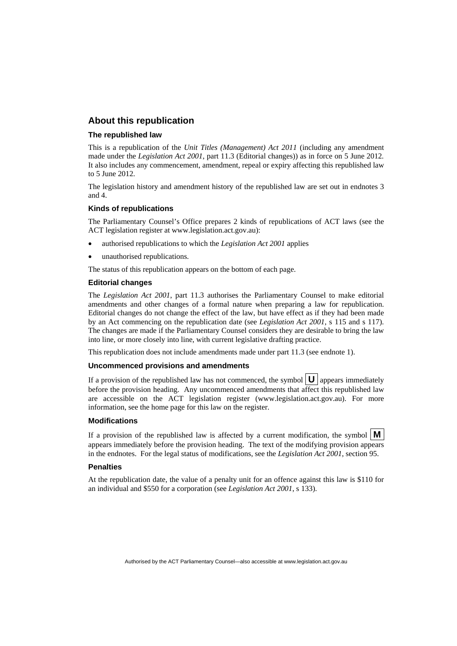#### **About this republication**

#### **The republished law**

This is a republication of the *Unit Titles (Management) Act 2011* (including any amendment made under the *Legislation Act 2001*, part 11.3 (Editorial changes)) as in force on 5 June 2012*.*  It also includes any commencement, amendment, repeal or expiry affecting this republished law to 5 June 2012.

The legislation history and amendment history of the republished law are set out in endnotes 3 and 4.

#### **Kinds of republications**

The Parliamentary Counsel's Office prepares 2 kinds of republications of ACT laws (see the ACT legislation register at www.legislation.act.gov.au):

- authorised republications to which the *Legislation Act 2001* applies
- unauthorised republications.

The status of this republication appears on the bottom of each page.

#### **Editorial changes**

The *Legislation Act 2001*, part 11.3 authorises the Parliamentary Counsel to make editorial amendments and other changes of a formal nature when preparing a law for republication. Editorial changes do not change the effect of the law, but have effect as if they had been made by an Act commencing on the republication date (see *Legislation Act 2001*, s 115 and s 117). The changes are made if the Parliamentary Counsel considers they are desirable to bring the law into line, or more closely into line, with current legislative drafting practice.

This republication does not include amendments made under part 11.3 (see endnote 1).

#### **Uncommenced provisions and amendments**

If a provision of the republished law has not commenced, the symbol  $\mathbf{U}$  appears immediately before the provision heading. Any uncommenced amendments that affect this republished law are accessible on the ACT legislation register (www.legislation.act.gov.au). For more information, see the home page for this law on the register.

#### **Modifications**

If a provision of the republished law is affected by a current modification, the symbol  $\mathbf{M}$ appears immediately before the provision heading. The text of the modifying provision appears in the endnotes. For the legal status of modifications, see the *Legislation Act 2001*, section 95.

#### **Penalties**

At the republication date, the value of a penalty unit for an offence against this law is \$110 for an individual and \$550 for a corporation (see *Legislation Act 2001*, s 133).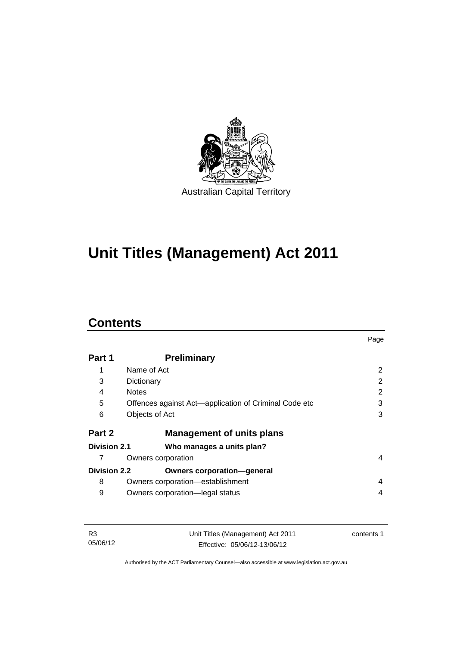

# **Unit Titles (Management) Act 2011**

### **Contents**

|                     |                                                       | Page |
|---------------------|-------------------------------------------------------|------|
| Part 1              | <b>Preliminary</b>                                    |      |
| 1                   | Name of Act                                           | 2    |
| 3                   | Dictionary                                            | 2    |
| 4                   | <b>Notes</b>                                          | 2    |
| 5                   | Offences against Act—application of Criminal Code etc | 3    |
| 6                   | Objects of Act                                        | 3    |
| Part 2              | <b>Management of units plans</b>                      |      |
| Division 2.1        | Who manages a units plan?                             |      |
|                     | Owners corporation                                    | 4    |
| <b>Division 2.2</b> | <b>Owners corporation-general</b>                     |      |
| 8                   | Owners corporation-establishment                      | 4    |
| 9                   | Owners corporation-legal status                       | 4    |

| R3       | Unit Titles (Management) Act 2011 | contents 1 |
|----------|-----------------------------------|------------|
| 05/06/12 | Effective: 05/06/12-13/06/12      |            |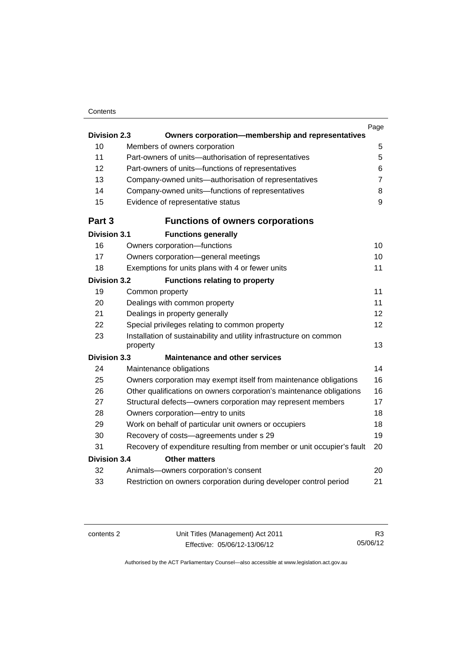#### **Contents**

|                                             |                                                                                 | Page           |  |
|---------------------------------------------|---------------------------------------------------------------------------------|----------------|--|
| <b>Division 2.3</b>                         | Owners corporation-membership and representatives                               |                |  |
| 10                                          | Members of owners corporation                                                   | 5              |  |
| 11                                          | Part-owners of units-authorisation of representatives                           | 5              |  |
| 12                                          | Part-owners of units-functions of representatives                               | 6              |  |
| 13                                          | Company-owned units-authorisation of representatives                            | $\overline{7}$ |  |
| 14                                          | Company-owned units-functions of representatives                                | 8              |  |
| 15                                          | Evidence of representative status                                               | 9              |  |
| Part 3                                      | <b>Functions of owners corporations</b>                                         |                |  |
| <b>Division 3.1</b>                         | <b>Functions generally</b>                                                      |                |  |
| 16                                          | Owners corporation-functions                                                    | 10             |  |
| 17                                          | Owners corporation-general meetings                                             | 10             |  |
| 18                                          | Exemptions for units plans with 4 or fewer units                                | 11             |  |
| <b>Division 3.2</b>                         | <b>Functions relating to property</b>                                           |                |  |
| 19                                          | Common property                                                                 | 11             |  |
| 20                                          | Dealings with common property                                                   | 11             |  |
| 21                                          | Dealings in property generally                                                  | 12             |  |
| 22                                          | Special privileges relating to common property                                  | 12             |  |
| 23                                          | Installation of sustainability and utility infrastructure on common<br>property | 13             |  |
| <b>Division 3.3</b>                         | <b>Maintenance and other services</b>                                           |                |  |
| 24                                          | Maintenance obligations                                                         | 14             |  |
| 25                                          | Owners corporation may exempt itself from maintenance obligations               | 16             |  |
| 26                                          | Other qualifications on owners corporation's maintenance obligations            | 16             |  |
| 27                                          | Structural defects-owners corporation may represent members                     | 17             |  |
| 28                                          | Owners corporation-entry to units                                               | 18             |  |
| 29                                          | Work on behalf of particular unit owners or occupiers                           | 18             |  |
| 30                                          | Recovery of costs-agreements under s 29                                         | 19             |  |
| 31                                          | Recovery of expenditure resulting from member or unit occupier's fault          | 20             |  |
| <b>Division 3.4</b><br><b>Other matters</b> |                                                                                 |                |  |
| 32                                          | Animals-owners corporation's consent                                            | 20             |  |
| 33                                          | Restriction on owners corporation during developer control period               | 21             |  |
|                                             |                                                                                 |                |  |

R3 05/06/12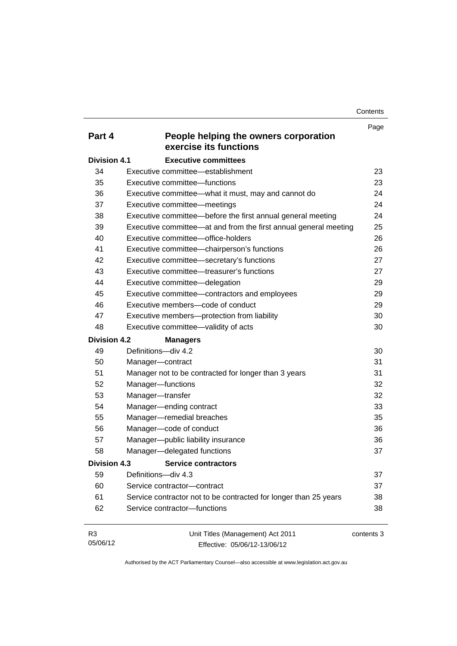**Contents** 

| Part 4              | People helping the owners corporation                            | Page       |
|---------------------|------------------------------------------------------------------|------------|
|                     | exercise its functions                                           |            |
| <b>Division 4.1</b> | <b>Executive committees</b>                                      |            |
| 34                  | Executive committee-establishment                                | 23         |
| 35                  | Executive committee-functions                                    | 23         |
| 36                  | Executive committee-what it must, may and cannot do              | 24         |
| 37                  | Executive committee-meetings                                     | 24         |
| 38                  | Executive committee—before the first annual general meeting      | 24         |
| 39                  | Executive committee—at and from the first annual general meeting | 25         |
| 40                  | Executive committee-office-holders                               | 26         |
| 41                  | Executive committee-chairperson's functions                      | 26         |
| 42                  | Executive committee-secretary's functions                        | 27         |
| 43                  | Executive committee—treasurer's functions                        | 27         |
| 44                  | Executive committee-delegation                                   | 29         |
| 45                  | Executive committee-contractors and employees                    | 29         |
| 46                  | Executive members-code of conduct                                | 29         |
| 47                  | Executive members-protection from liability                      | 30         |
| 48                  | Executive committee-validity of acts                             | 30         |
| <b>Division 4.2</b> | <b>Managers</b>                                                  |            |
| 49                  | Definitions-div 4.2                                              | 30         |
| 50                  | Manager-contract                                                 | 31         |
| 51                  | Manager not to be contracted for longer than 3 years             | 31         |
| 52                  | Manager-functions                                                | 32         |
| 53                  | Manager-transfer                                                 | 32         |
| 54                  | Manager-ending contract                                          | 33         |
| 55                  | Manager-remedial breaches                                        | 35         |
| 56                  | Manager-code of conduct                                          | 36         |
| 57                  | Manager-public liability insurance                               | 36         |
| 58                  | Manager-delegated functions                                      | 37         |
| <b>Division 4.3</b> | <b>Service contractors</b>                                       |            |
| 59                  | Definitions-div 4.3                                              | 37         |
| 60                  | Service contractor-contract                                      | 37         |
| 61                  | Service contractor not to be contracted for longer than 25 years | 38         |
| 62                  | Service contractor-functions                                     | 38         |
| R <sub>3</sub>      | Unit Titles (Management) Act 2011                                | contents 3 |

05/06/12

Effective: 05/06/12-13/06/12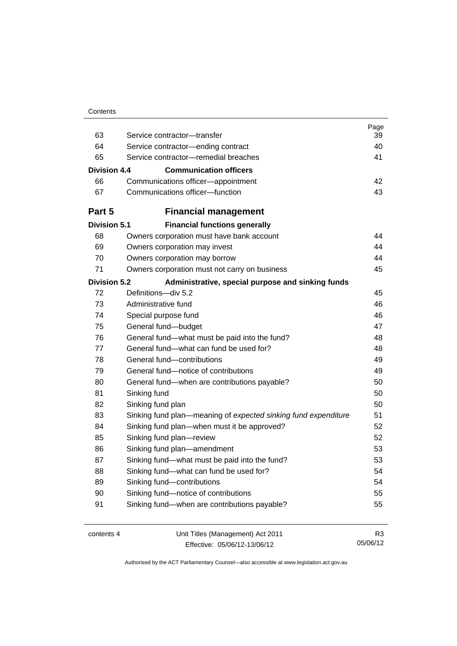| Contents |
|----------|
|----------|

| 63                  | Service contractor-transfer                                    | Page<br>39     |
|---------------------|----------------------------------------------------------------|----------------|
| 64                  | Service contractor-ending contract                             | 40             |
| 65                  | Service contractor-remedial breaches                           | 41             |
|                     |                                                                |                |
| Division 4.4        | <b>Communication officers</b>                                  |                |
| 66                  | Communications officer-appointment                             | 42             |
| 67                  | Communications officer-function                                | 43             |
| Part 5              | <b>Financial management</b>                                    |                |
| <b>Division 5.1</b> | <b>Financial functions generally</b>                           |                |
| 68                  | Owners corporation must have bank account                      | 44             |
| 69                  | Owners corporation may invest                                  | 44             |
| 70                  | Owners corporation may borrow                                  | 44             |
| 71                  | Owners corporation must not carry on business                  | 45             |
| <b>Division 5.2</b> | Administrative, special purpose and sinking funds              |                |
| 72                  | Definitions-div 5.2                                            | 45             |
| 73                  | Administrative fund                                            | 46             |
| 74                  | Special purpose fund                                           | 46             |
| 75                  | General fund-budget                                            | 47             |
| 76                  | General fund-what must be paid into the fund?                  | 48             |
| 77                  | General fund—what can fund be used for?                        | 48             |
| 78                  | General fund-contributions                                     | 49             |
| 79                  | General fund-notice of contributions                           | 49             |
| 80                  | General fund—when are contributions payable?                   | 50             |
| 81                  | Sinking fund                                                   | 50             |
| 82                  | Sinking fund plan                                              | 50             |
| 83                  | Sinking fund plan—meaning of expected sinking fund expenditure | 51             |
| 84                  | Sinking fund plan—when must it be approved?                    | 52             |
| 85                  | Sinking fund plan-review                                       | 52             |
| 86                  | Sinking fund plan-amendment                                    | 53             |
| 87                  | Sinking fund-what must be paid into the fund?                  | 53             |
| 88                  | Sinking fund-what can fund be used for?                        | 54             |
| 89                  | Sinking fund-contributions                                     | 54             |
| 90                  | Sinking fund-notice of contributions                           | 55             |
| 91                  | Sinking fund-when are contributions payable?                   | 55             |
| contents 4          | Unit Titles (Management) Act 2011                              | R <sub>3</sub> |

Effective: 05/06/12-13/06/12

05/06/12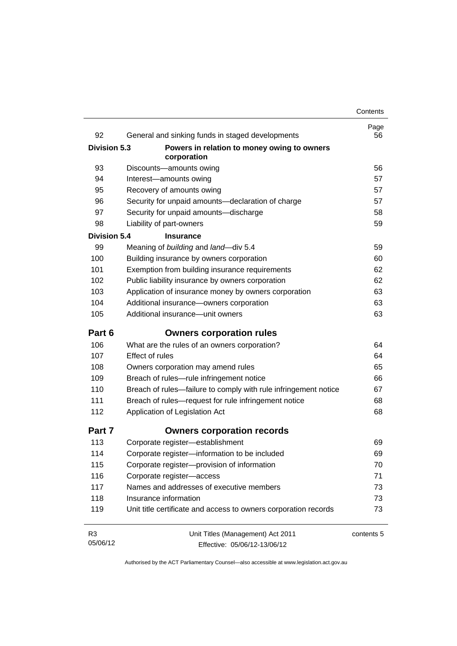| 92                  | General and sinking funds in staged developments                | Page<br>56 |
|---------------------|-----------------------------------------------------------------|------------|
| <b>Division 5.3</b> | Powers in relation to money owing to owners<br>corporation      |            |
| 93                  | Discounts-amounts owing                                         | 56         |
| 94                  | Interest-amounts owing                                          | 57         |
| 95                  | Recovery of amounts owing                                       | 57         |
| 96                  | Security for unpaid amounts-declaration of charge               | 57         |
| 97                  | Security for unpaid amounts-discharge                           | 58         |
| 98                  | Liability of part-owners                                        | 59         |
| <b>Division 5.4</b> | <b>Insurance</b>                                                |            |
| 99                  | Meaning of building and land-div 5.4                            | 59         |
| 100                 | Building insurance by owners corporation                        | 60         |
| 101                 | Exemption from building insurance requirements                  | 62         |
| 102                 | Public liability insurance by owners corporation                | 62         |
| 103                 | Application of insurance money by owners corporation            | 63         |
| 104                 | Additional insurance-owners corporation                         | 63         |
| 105                 | Additional insurance-unit owners                                | 63         |
| Part 6              | <b>Owners corporation rules</b>                                 |            |
| 106                 | What are the rules of an owners corporation?                    | 64         |
| 107                 | <b>Effect of rules</b>                                          | 64         |
| 108                 | Owners corporation may amend rules                              | 65         |
| 109                 | Breach of rules-rule infringement notice                        | 66         |
| 110                 | Breach of rules—failure to comply with rule infringement notice | 67         |
| 111                 | Breach of rules-request for rule infringement notice            | 68         |
| 112                 | Application of Legislation Act                                  | 68         |
| Part 7              | <b>Owners corporation records</b>                               |            |
| 113                 | Corporate register-establishment                                | 69         |
| 114                 | Corporate register-information to be included                   | 69         |
| 115                 | Corporate register-provision of information                     | 70         |
| 116                 | Corporate register-access                                       | 71         |
| 117                 | Names and addresses of executive members                        | 73         |
| 118                 | Insurance information                                           | 73         |
| 119                 | Unit title certificate and access to owners corporation records | 73         |
| R <sub>3</sub>      | Unit Titles (Management) Act 2011                               | contents 5 |
| 05/06/12            | Effective: 05/06/12-13/06/12                                    |            |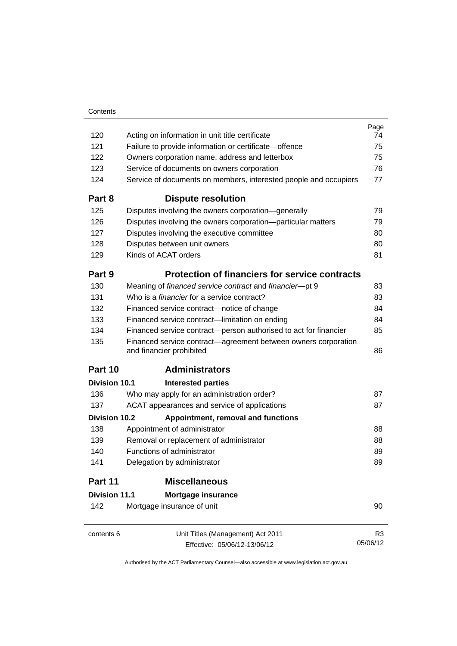|                                                                                            | Page                                                                                |
|--------------------------------------------------------------------------------------------|-------------------------------------------------------------------------------------|
| Acting on information in unit title certificate                                            | 74                                                                                  |
| Failure to provide information or certificate-offence                                      | 75                                                                                  |
|                                                                                            | 75                                                                                  |
| Service of documents on owners corporation                                                 | 76                                                                                  |
| Service of documents on members, interested people and occupiers                           | 77                                                                                  |
| <b>Dispute resolution</b>                                                                  |                                                                                     |
| Disputes involving the owners corporation-generally                                        | 79                                                                                  |
| Disputes involving the owners corporation-particular matters                               | 79                                                                                  |
| Disputes involving the executive committee                                                 | 80                                                                                  |
| Disputes between unit owners                                                               | 80                                                                                  |
| Kinds of ACAT orders                                                                       | 81                                                                                  |
| <b>Protection of financiers for service contracts</b>                                      |                                                                                     |
| Meaning of financed service contract and financier-pt 9                                    | 83                                                                                  |
| Who is a <i>financier</i> for a service contract?                                          | 83                                                                                  |
| Financed service contract-notice of change                                                 | 84                                                                                  |
| Financed service contract-limitation on ending                                             | 84                                                                                  |
| Financed service contract-person authorised to act for financier                           | 85                                                                                  |
| Financed service contract—agreement between owners corporation<br>and financier prohibited | 86                                                                                  |
| <b>Administrators</b>                                                                      |                                                                                     |
| Division 10.1<br><b>Interested parties</b>                                                 |                                                                                     |
| Who may apply for an administration order?                                                 | 87                                                                                  |
| ACAT appearances and service of applications                                               | 87                                                                                  |
| <b>Division 10.2</b><br>Appointment, removal and functions                                 |                                                                                     |
| Appointment of administrator                                                               | 88                                                                                  |
| Removal or replacement of administrator                                                    | 88                                                                                  |
| Functions of administrator                                                                 | 89                                                                                  |
| Delegation by administrator                                                                | 89                                                                                  |
| <b>Miscellaneous</b>                                                                       |                                                                                     |
| <b>Division 11.1</b><br>Mortgage insurance                                                 |                                                                                     |
| Mortgage insurance of unit                                                                 | 90                                                                                  |
|                                                                                            | R <sub>3</sub>                                                                      |
| Effective: 05/06/12-13/06/12                                                               | 05/06/12                                                                            |
|                                                                                            | Owners corporation name, address and letterbox<br>Unit Titles (Management) Act 2011 |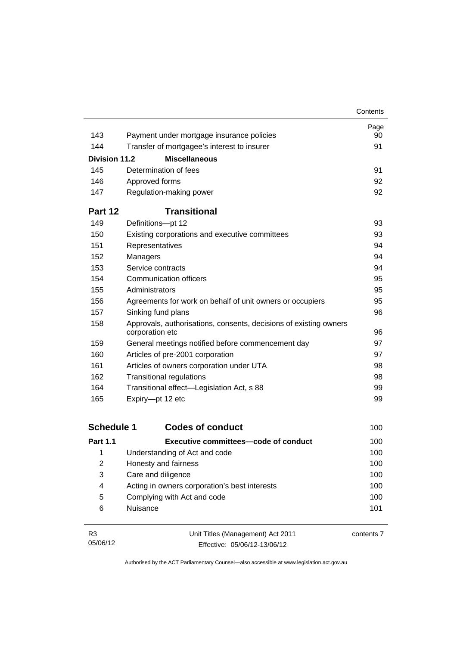|                      |                                                                                      | Contents |
|----------------------|--------------------------------------------------------------------------------------|----------|
|                      |                                                                                      | Page     |
| 143                  | Payment under mortgage insurance policies                                            | 90       |
| 144                  | Transfer of mortgagee's interest to insurer                                          | 91       |
| <b>Division 11.2</b> | <b>Miscellaneous</b>                                                                 |          |
| 145                  | Determination of fees                                                                | 91       |
| 146                  | Approved forms                                                                       | 92       |
| 147                  | Regulation-making power                                                              | 92       |
| Part 12              | <b>Transitional</b>                                                                  |          |
| 149                  | Definitions-pt 12                                                                    | 93       |
| 150                  | Existing corporations and executive committees                                       | 93       |
| 151                  | Representatives                                                                      | 94       |
| 152                  | Managers                                                                             | 94       |
| 153                  | Service contracts                                                                    | 94       |
| 154                  | Communication officers                                                               | 95       |
| 155                  | Administrators                                                                       | 95       |
| 156                  | Agreements for work on behalf of unit owners or occupiers                            | 95       |
| 157                  | Sinking fund plans                                                                   | 96       |
| 158                  | Approvals, authorisations, consents, decisions of existing owners<br>corporation etc | 96       |
| 159                  | General meetings notified before commencement day                                    | 97       |
| 160                  | Articles of pre-2001 corporation                                                     | 97       |
| 161                  | Articles of owners corporation under UTA                                             | 98       |
| 162                  | <b>Transitional regulations</b>                                                      | 98       |
| 164                  | Transitional effect-Legislation Act, s 88                                            | 99       |
| 165                  | Expiry-pt 12 etc                                                                     | 99       |

| <b>Schedule 1</b> | <b>Codes of conduct</b>                       | 100 |
|-------------------|-----------------------------------------------|-----|
| <b>Part 1.1</b>   | Executive committees—code of conduct          | 100 |
| 1                 | Understanding of Act and code                 | 100 |
| 2                 | Honesty and fairness                          | 100 |
| 3                 | Care and diligence                            | 100 |
| 4                 | Acting in owners corporation's best interests | 100 |
| 5                 | Complying with Act and code                   | 100 |
| 6                 | Nuisance                                      | 101 |

| R3       | Unit Titles (Management) Act 2011 | contents 7 |
|----------|-----------------------------------|------------|
| 05/06/12 | Effective: 05/06/12-13/06/12      |            |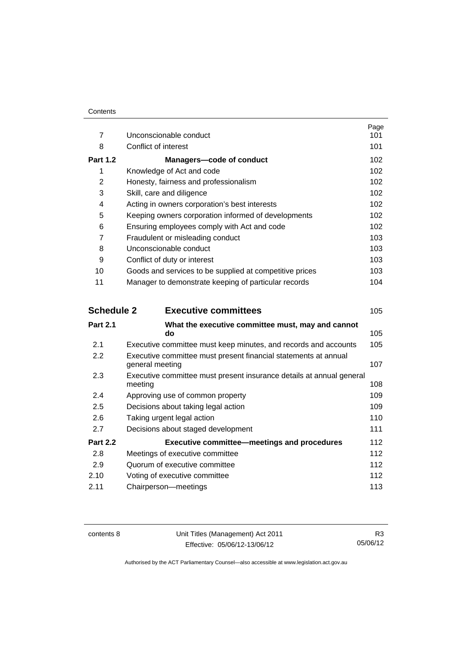|                 |                                                         | Page |
|-----------------|---------------------------------------------------------|------|
| $\overline{7}$  | Unconscionable conduct                                  | 101  |
| 8               | Conflict of interest                                    | 101  |
| <b>Part 1.2</b> | Managers-code of conduct                                | 102  |
| 1               | Knowledge of Act and code                               | 102  |
| 2               | Honesty, fairness and professionalism                   | 102  |
| 3               | Skill, care and diligence                               | 102  |
| 4               | Acting in owners corporation's best interests           | 102  |
| 5               | Keeping owners corporation informed of developments     | 102  |
| 6               | Ensuring employees comply with Act and code             | 102  |
| 7               | Fraudulent or misleading conduct                        | 103  |
| 8               | Unconscionable conduct                                  | 103  |
| 9               | Conflict of duty or interest                            | 103  |
| 10              | Goods and services to be supplied at competitive prices | 103. |
| 11              | Manager to demonstrate keeping of particular records    | 104  |
|                 |                                                         |      |

| <b>Schedule 2</b> | <b>Executive committees</b>                                                        | 105 |
|-------------------|------------------------------------------------------------------------------------|-----|
| <b>Part 2.1</b>   | What the executive committee must, may and cannot<br>do                            | 105 |
| 2.1               | Executive committee must keep minutes, and records and accounts                    | 105 |
| $2.2\phantom{0}$  | Executive committee must present financial statements at annual<br>general meeting | 107 |
| 2.3               | Executive committee must present insurance details at annual general<br>meeting    | 108 |
| 2.4               | Approving use of common property                                                   | 109 |
| 2.5               | Decisions about taking legal action                                                | 109 |
| 2.6               | Taking urgent legal action                                                         | 110 |
| 2.7               | Decisions about staged development                                                 | 111 |
| <b>Part 2.2</b>   | <b>Executive committee–meetings and procedures</b>                                 | 112 |
| 2.8               | Meetings of executive committee                                                    | 112 |
| 2.9               | Quorum of executive committee                                                      | 112 |
| 2.10              | Voting of executive committee                                                      | 112 |
| 2.11              | Chairperson-meetings                                                               | 113 |
|                   |                                                                                    |     |

contents 8 Unit Titles (Management) Act 2011 Effective: 05/06/12-13/06/12

R3 05/06/12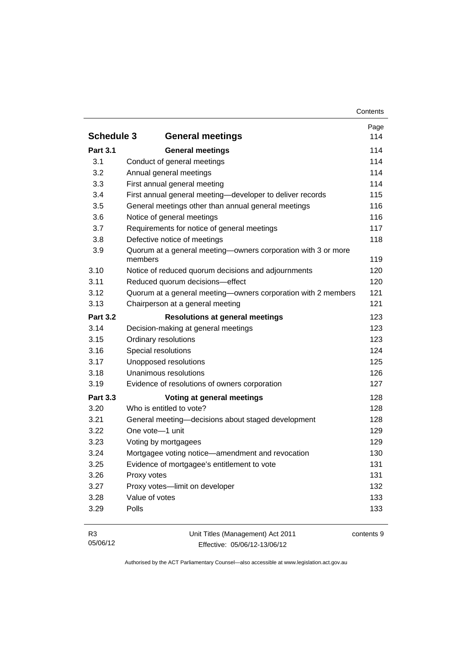|                   |                                                                          | Page |
|-------------------|--------------------------------------------------------------------------|------|
| <b>Schedule 3</b> | <b>General meetings</b>                                                  | 114  |
| <b>Part 3.1</b>   | <b>General meetings</b>                                                  | 114  |
| 3.1               | Conduct of general meetings                                              | 114  |
| 3.2               | Annual general meetings                                                  | 114  |
| 3.3               | First annual general meeting                                             | 114  |
| 3.4               | First annual general meeting-developer to deliver records                | 115  |
| 3.5               | General meetings other than annual general meetings                      | 116  |
| 3.6               | Notice of general meetings                                               | 116  |
| 3.7               | Requirements for notice of general meetings                              | 117  |
| 3.8               | Defective notice of meetings                                             | 118  |
| 3.9               | Quorum at a general meeting-owners corporation with 3 or more<br>members | 119  |
| 3.10              | Notice of reduced quorum decisions and adjournments                      | 120  |
| 3.11              | Reduced quorum decisions-effect                                          | 120  |
| 3.12              | Quorum at a general meeting-owners corporation with 2 members            | 121  |
| 3.13              | Chairperson at a general meeting                                         | 121  |
| <b>Part 3.2</b>   | <b>Resolutions at general meetings</b>                                   | 123  |
| 3.14              | Decision-making at general meetings                                      | 123  |
| 3.15              | Ordinary resolutions                                                     | 123  |
| 3.16              | Special resolutions                                                      | 124  |
| 3.17              | Unopposed resolutions                                                    | 125  |
| 3.18              | Unanimous resolutions                                                    | 126  |
| 3.19              | Evidence of resolutions of owners corporation                            | 127  |
| <b>Part 3.3</b>   | Voting at general meetings                                               | 128  |
| 3.20              | Who is entitled to vote?                                                 | 128  |
| 3.21              | General meeting-decisions about staged development                       | 128  |
| 3.22              | One vote-1 unit                                                          | 129  |
| 3.23              | Voting by mortgagees                                                     | 129  |
| 3.24              | Mortgagee voting notice-amendment and revocation                         | 130  |
| 3.25              | Evidence of mortgagee's entitlement to vote                              | 131  |
| 3.26              | Proxy votes                                                              | 131  |
| 3.27              | Proxy votes-limit on developer                                           | 132  |
| 3.28              | Value of votes                                                           | 133  |
| 3.29              | Polls                                                                    | 133  |

| <b>R3</b> | Unit Titles (Management) Act 2011 | contents 9 |
|-----------|-----------------------------------|------------|
| 05/06/12  | Effective: 05/06/12-13/06/12      |            |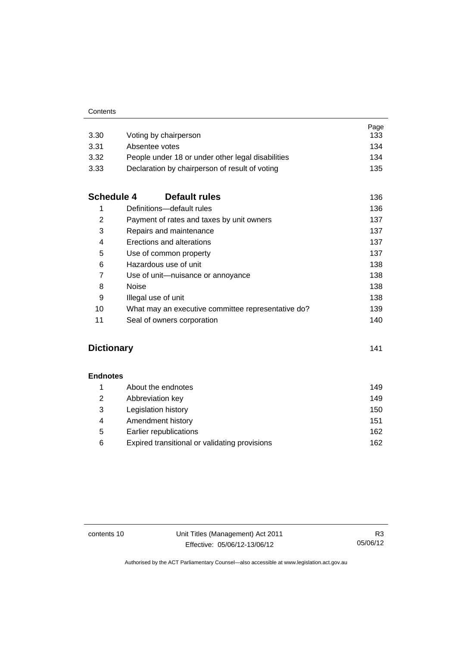| 3.30              | Voting by chairperson                              | Page<br>133 |
|-------------------|----------------------------------------------------|-------------|
| 3.31              | Absentee votes                                     | 134         |
| 3.32              | People under 18 or under other legal disabilities  | 134         |
| 3.33              | Declaration by chairperson of result of voting     | 135         |
| <b>Schedule 4</b> | Default rules                                      | 136         |
| 1                 | Definitions-default rules                          | 136         |
| 2                 | Payment of rates and taxes by unit owners          | 137         |
| 3                 | Repairs and maintenance                            | 137         |
| 4                 | Erections and alterations                          | 137         |
| 5                 | Use of common property                             | 137         |
| 6                 | Hazardous use of unit                              | 138         |
| $\overline{7}$    | Use of unit-nuisance or annoyance                  | 138         |
| 8                 | <b>Noise</b>                                       | 138         |
| 9                 | Illegal use of unit                                | 138         |
| 10                | What may an executive committee representative do? | 139         |
| 11                | Seal of owners corporation                         | 140         |

### **[Dictionary](#page-152-0)** [141](#page-152-0)

**[Endnotes](#page-160-0)**

| About the endnotes                            | 149 |
|-----------------------------------------------|-----|
| Abbreviation key                              | 149 |
| Legislation history                           | 150 |
| Amendment history                             | 151 |
| Earlier republications                        | 162 |
| Expired transitional or validating provisions | 162 |
|                                               |     |

contents 10 Unit Titles (Management) Act 2011 Effective: 05/06/12-13/06/12

R3 05/06/12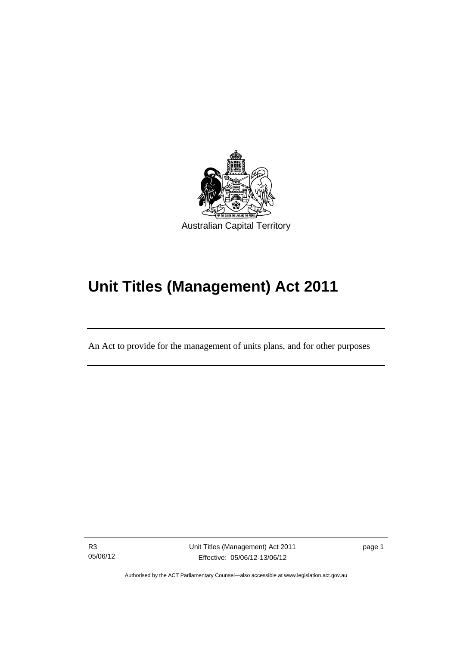

# **Unit Titles (Management) Act 2011**

An Act to provide for the management of units plans, and for other purposes

R3 05/06/12

Ī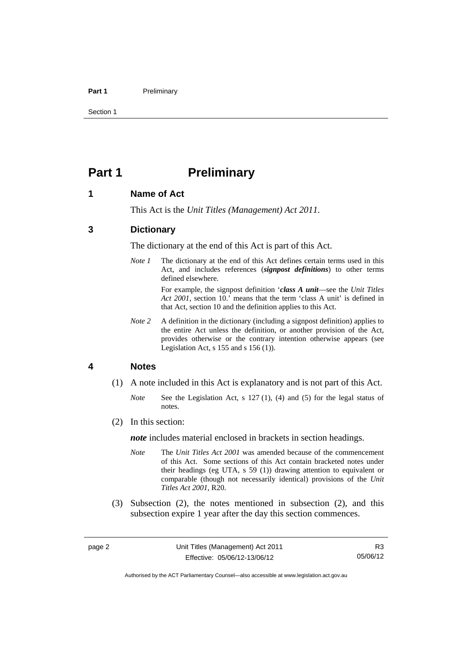#### Part 1 **Preliminary**

Section 1

### <span id="page-13-0"></span>**Part 1** Preliminary

#### <span id="page-13-1"></span>**1 Name of Act**

This Act is the *Unit Titles (Management) Act 2011*.

#### <span id="page-13-2"></span>**3 Dictionary**

The dictionary at the end of this Act is part of this Act.

*Note 1* The dictionary at the end of this Act defines certain terms used in this Act, and includes references (*signpost definitions*) to other terms defined elsewhere.

> For example, the signpost definition '*class A unit*—see the *Unit Titles Act 2001*, section 10.' means that the term 'class A unit' is defined in that Act, section 10 and the definition applies to this Act.

*Note* 2 A definition in the dictionary (including a signpost definition) applies to the entire Act unless the definition, or another provision of the Act, provides otherwise or the contrary intention otherwise appears (see Legislation Act, s 155 and s 156 (1)).

#### <span id="page-13-3"></span>**4 Notes**

- (1) A note included in this Act is explanatory and is not part of this Act.
	- *Note* See the Legislation Act, s 127 (1), (4) and (5) for the legal status of notes.
- (2) In this section:

*note* includes material enclosed in brackets in section headings.

- *Note* The *Unit Titles Act 2001* was amended because of the commencement of this Act. Some sections of this Act contain bracketed notes under their headings (eg UTA, s 59 (1)) drawing attention to equivalent or comparable (though not necessarily identical) provisions of the *Unit Titles Act 2001*, R20.
- (3) Subsection (2), the notes mentioned in subsection (2), and this subsection expire 1 year after the day this section commences.

Authorised by the ACT Parliamentary Counsel—also accessible at www.legislation.act.gov.au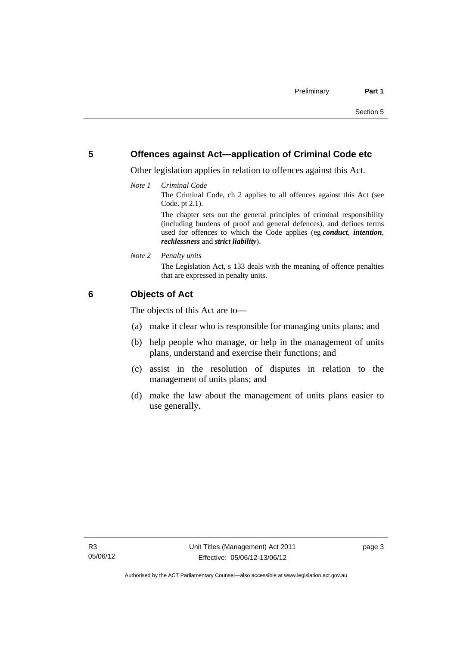#### <span id="page-14-0"></span>**5 Offences against Act—application of Criminal Code etc**

Other legislation applies in relation to offences against this Act.

*Note 1 Criminal Code*

The Criminal Code, ch 2 applies to all offences against this Act (see Code, pt 2.1).

The chapter sets out the general principles of criminal responsibility (including burdens of proof and general defences), and defines terms used for offences to which the Code applies (eg *conduct*, *intention*, *recklessness* and *strict liability*).

*Note 2 Penalty units* 

The Legislation Act, s 133 deals with the meaning of offence penalties that are expressed in penalty units.

### <span id="page-14-1"></span>**6 Objects of Act**

The objects of this Act are to—

- (a) make it clear who is responsible for managing units plans; and
- (b) help people who manage, or help in the management of units plans, understand and exercise their functions; and
- (c) assist in the resolution of disputes in relation to the management of units plans; and
- (d) make the law about the management of units plans easier to use generally.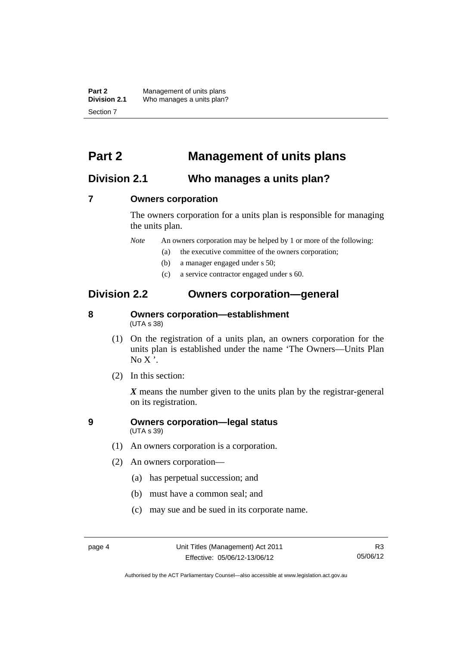**Part 2** Management of units plans<br>**Division 2.1** Who manages a units plan? Who manages a units plan? Section 7

### <span id="page-15-0"></span>**Part 2 Management of units plans**

### <span id="page-15-1"></span>**Division 2.1 Who manages a units plan?**

#### <span id="page-15-2"></span>**7 Owners corporation**

The owners corporation for a units plan is responsible for managing the units plan.

*Note* An owners corporation may be helped by 1 or more of the following:

- (a) the executive committee of the owners corporation;
- (b) a manager engaged under s 50;
- (c) a service contractor engaged under s 60.

### <span id="page-15-3"></span>**Division 2.2 Owners corporation—general**

#### <span id="page-15-4"></span>**8 Owners corporation—establishment**  (UTA s 38)

- (1) On the registration of a units plan, an owners corporation for the units plan is established under the name 'The Owners—Units Plan  $No X'.$
- (2) In this section:

*X* means the number given to the units plan by the registrar-general on its registration.

#### <span id="page-15-5"></span>**9 Owners corporation—legal status**  (UTA s 39)

- (1) An owners corporation is a corporation.
- (2) An owners corporation—
	- (a) has perpetual succession; and
	- (b) must have a common seal; and
	- (c) may sue and be sued in its corporate name.

Authorised by the ACT Parliamentary Counsel—also accessible at www.legislation.act.gov.au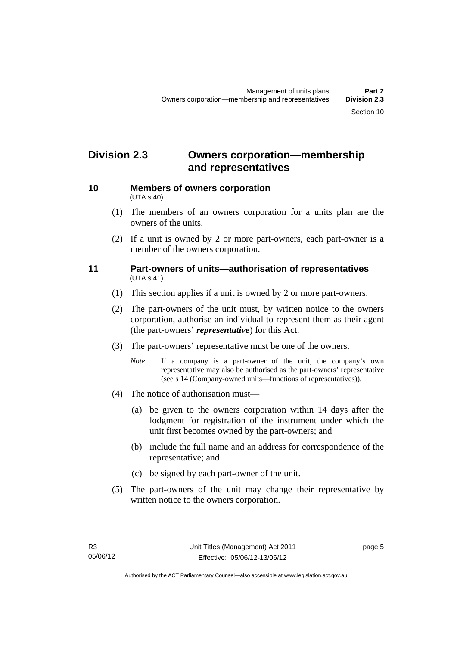### <span id="page-16-0"></span>**Division 2.3 Owners corporation—membership and representatives**

<span id="page-16-1"></span>

#### **10 Members of owners corporation**  (UTA s 40)

- (1) The members of an owners corporation for a units plan are the owners of the units.
- (2) If a unit is owned by 2 or more part-owners, each part-owner is a member of the owners corporation.

#### <span id="page-16-2"></span>**11 Part-owners of units—authorisation of representatives**  (UTA s 41)

- (1) This section applies if a unit is owned by 2 or more part-owners.
- (2) The part-owners of the unit must, by written notice to the owners corporation, authorise an individual to represent them as their agent (the part-owners' *representative*) for this Act.
- (3) The part-owners' representative must be one of the owners.
	- *Note* If a company is a part-owner of the unit, the company's own representative may also be authorised as the part-owners' representative (see s 14 (Company-owned units—functions of representatives)).
- (4) The notice of authorisation must—
	- (a) be given to the owners corporation within 14 days after the lodgment for registration of the instrument under which the unit first becomes owned by the part-owners; and
	- (b) include the full name and an address for correspondence of the representative; and
	- (c) be signed by each part-owner of the unit.
- (5) The part-owners of the unit may change their representative by written notice to the owners corporation.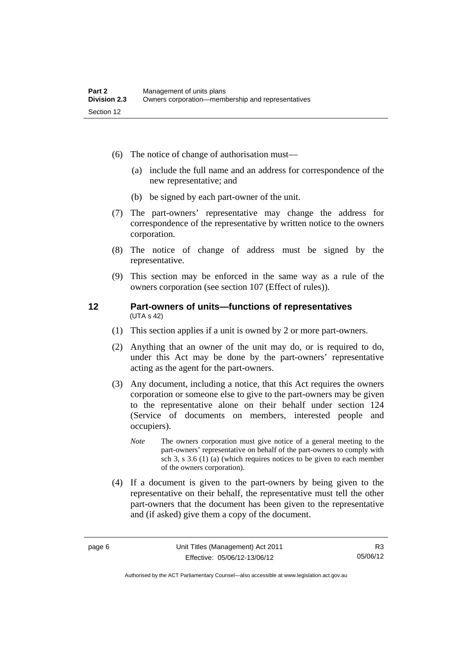- (6) The notice of change of authorisation must—
	- (a) include the full name and an address for correspondence of the new representative; and
	- (b) be signed by each part-owner of the unit.
- (7) The part-owners' representative may change the address for correspondence of the representative by written notice to the owners corporation.
- (8) The notice of change of address must be signed by the representative.
- (9) This section may be enforced in the same way as a rule of the owners corporation (see section 107 (Effect of rules)).

#### <span id="page-17-0"></span>**12 Part-owners of units—functions of representatives**  (UTA s 42)

- (1) This section applies if a unit is owned by 2 or more part-owners.
- (2) Anything that an owner of the unit may do, or is required to do, under this Act may be done by the part-owners' representative acting as the agent for the part-owners.
- (3) Any document, including a notice, that this Act requires the owners corporation or someone else to give to the part-owners may be given to the representative alone on their behalf under section 124 (Service of documents on members, interested people and occupiers).
	- *Note* The owners corporation must give notice of a general meeting to the part-owners' representative on behalf of the part-owners to comply with sch 3, s 3.6 (1) (a) (which requires notices to be given to each member of the owners corporation).
- (4) If a document is given to the part-owners by being given to the representative on their behalf, the representative must tell the other part-owners that the document has been given to the representative and (if asked) give them a copy of the document.

Authorised by the ACT Parliamentary Counsel—also accessible at www.legislation.act.gov.au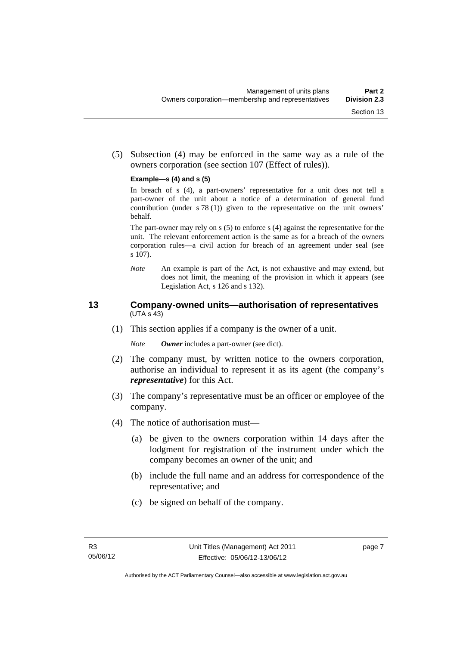(5) Subsection (4) may be enforced in the same way as a rule of the owners corporation (see section 107 (Effect of rules)).

#### **Example—s (4) and s (5)**

In breach of s (4), a part-owners' representative for a unit does not tell a part-owner of the unit about a notice of a determination of general fund contribution (under s 78 (1)) given to the representative on the unit owners' behalf.

The part-owner may rely on s (5) to enforce s (4) against the representative for the unit. The relevant enforcement action is the same as for a breach of the owners corporation rules—a civil action for breach of an agreement under seal (see s 107).

*Note* An example is part of the Act, is not exhaustive and may extend, but does not limit, the meaning of the provision in which it appears (see Legislation Act, s 126 and s 132).

#### <span id="page-18-0"></span>**13 Company-owned units—authorisation of representatives**  (UTA s 43)

(1) This section applies if a company is the owner of a unit.

*Note Owner* includes a part-owner (see dict).

- (2) The company must, by written notice to the owners corporation, authorise an individual to represent it as its agent (the company's *representative*) for this Act.
- (3) The company's representative must be an officer or employee of the company.
- (4) The notice of authorisation must—
	- (a) be given to the owners corporation within 14 days after the lodgment for registration of the instrument under which the company becomes an owner of the unit; and
	- (b) include the full name and an address for correspondence of the representative; and
	- (c) be signed on behalf of the company.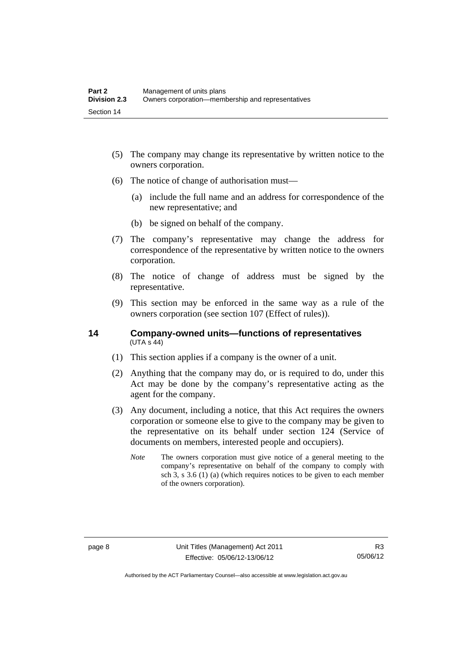- (5) The company may change its representative by written notice to the owners corporation.
- (6) The notice of change of authorisation must—
	- (a) include the full name and an address for correspondence of the new representative; and
	- (b) be signed on behalf of the company.
- (7) The company's representative may change the address for correspondence of the representative by written notice to the owners corporation.
- (8) The notice of change of address must be signed by the representative.
- (9) This section may be enforced in the same way as a rule of the owners corporation (see section 107 (Effect of rules)).

#### <span id="page-19-0"></span>**14 Company-owned units—functions of representatives**   $(UTA S 44)$

- (1) This section applies if a company is the owner of a unit.
- (2) Anything that the company may do, or is required to do, under this Act may be done by the company's representative acting as the agent for the company.
- (3) Any document, including a notice, that this Act requires the owners corporation or someone else to give to the company may be given to the representative on its behalf under section 124 (Service of documents on members, interested people and occupiers).
	- *Note* The owners corporation must give notice of a general meeting to the company's representative on behalf of the company to comply with sch 3, s 3.6 (1) (a) (which requires notices to be given to each member of the owners corporation).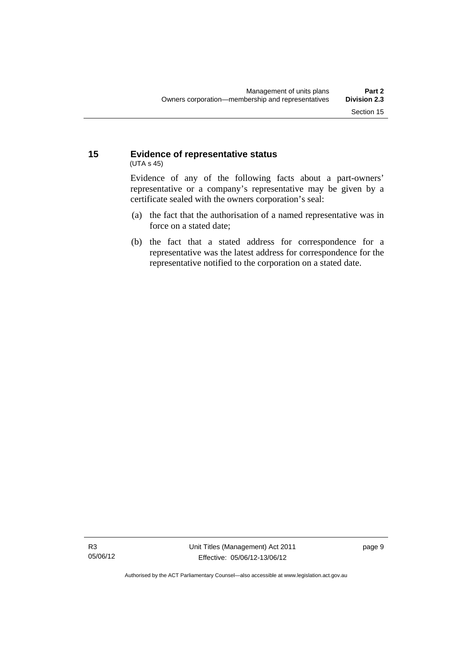#### <span id="page-20-0"></span>**15 Evidence of representative status**  (UTA s 45)

Evidence of any of the following facts about a part-owners' representative or a company's representative may be given by a certificate sealed with the owners corporation's seal:

- (a) the fact that the authorisation of a named representative was in force on a stated date;
- (b) the fact that a stated address for correspondence for a representative was the latest address for correspondence for the representative notified to the corporation on a stated date.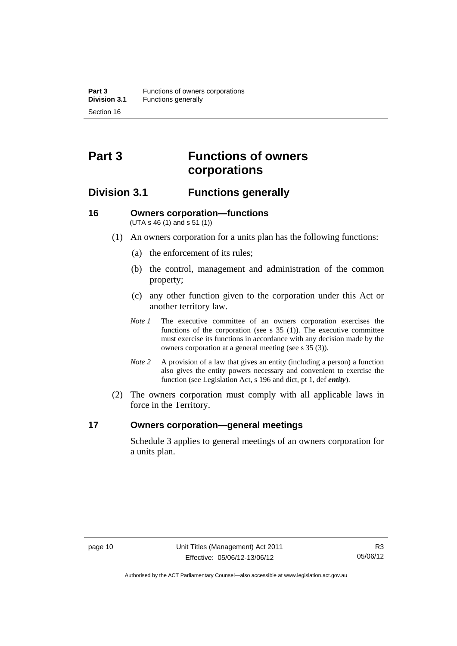## <span id="page-21-0"></span>**Part 3 Functions of owners corporations**

### <span id="page-21-1"></span>**Division 3.1 Functions generally**

#### <span id="page-21-2"></span>**16 Owners corporation—functions**  (UTA s 46 (1) and s 51 (1))

- (1) An owners corporation for a units plan has the following functions:
	- (a) the enforcement of its rules;
	- (b) the control, management and administration of the common property;
	- (c) any other function given to the corporation under this Act or another territory law.
	- *Note 1* The executive committee of an owners corporation exercises the functions of the corporation (see s 35 (1)). The executive committee must exercise its functions in accordance with any decision made by the owners corporation at a general meeting (see s 35 (3)).
	- *Note 2* A provision of a law that gives an entity (including a person) a function also gives the entity powers necessary and convenient to exercise the function (see Legislation Act, s 196 and dict, pt 1, def *entity*).
- (2) The owners corporation must comply with all applicable laws in force in the Territory.

#### <span id="page-21-3"></span>**17 Owners corporation—general meetings**

Schedule 3 applies to general meetings of an owners corporation for a units plan.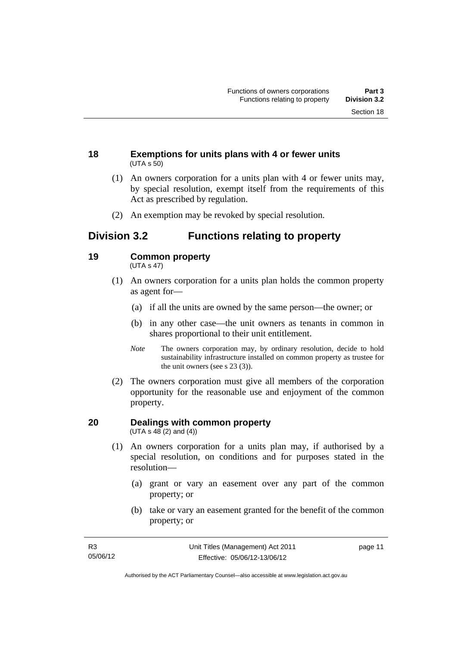#### <span id="page-22-0"></span>**18 Exemptions for units plans with 4 or fewer units**  (UTA s 50)

- (1) An owners corporation for a units plan with 4 or fewer units may, by special resolution, exempt itself from the requirements of this Act as prescribed by regulation.
- (2) An exemption may be revoked by special resolution.

### <span id="page-22-1"></span>**Division 3.2 Functions relating to property**

#### <span id="page-22-2"></span>**19 Common property**

(UTA s 47)

- (1) An owners corporation for a units plan holds the common property as agent for—
	- (a) if all the units are owned by the same person—the owner; or
	- (b) in any other case—the unit owners as tenants in common in shares proportional to their unit entitlement.
	- *Note* The owners corporation may, by ordinary resolution, decide to hold sustainability infrastructure installed on common property as trustee for the unit owners (see s 23 (3)).
- (2) The owners corporation must give all members of the corporation opportunity for the reasonable use and enjoyment of the common property.

#### <span id="page-22-3"></span>**20 Dealings with common property**  (UTA s  $48(2)$  and  $(4)$ )

- (1) An owners corporation for a units plan may, if authorised by a special resolution, on conditions and for purposes stated in the resolution—
	- (a) grant or vary an easement over any part of the common property; or
	- (b) take or vary an easement granted for the benefit of the common property; or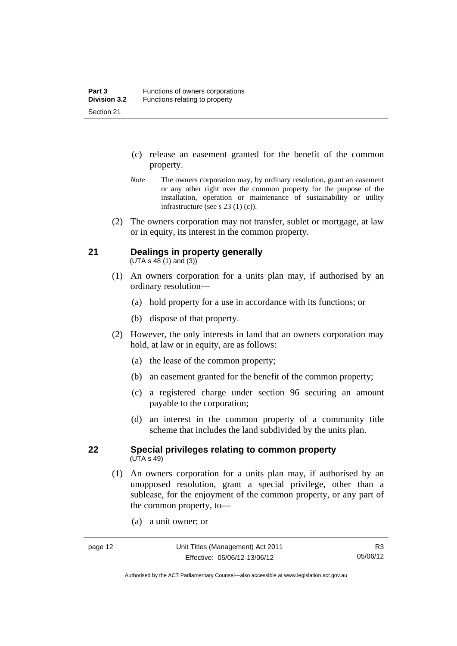- (c) release an easement granted for the benefit of the common property.
- *Note* The owners corporation may, by ordinary resolution, grant an easement or any other right over the common property for the purpose of the installation, operation or maintenance of sustainability or utility infrastructure (see s 23 (1) (c)).
- (2) The owners corporation may not transfer, sublet or mortgage, at law or in equity, its interest in the common property.

### <span id="page-23-0"></span>**21 Dealings in property generally**

 $(UTA s 48 (1) and (3))$ 

- (1) An owners corporation for a units plan may, if authorised by an ordinary resolution—
	- (a) hold property for a use in accordance with its functions; or
	- (b) dispose of that property.
- (2) However, the only interests in land that an owners corporation may hold, at law or in equity, are as follows:
	- (a) the lease of the common property;
	- (b) an easement granted for the benefit of the common property;
	- (c) a registered charge under section 96 securing an amount payable to the corporation;
	- (d) an interest in the common property of a community title scheme that includes the land subdivided by the units plan.

#### <span id="page-23-1"></span>**22 Special privileges relating to common property**  (UTA s 49)

- (1) An owners corporation for a units plan may, if authorised by an unopposed resolution, grant a special privilege, other than a sublease, for the enjoyment of the common property, or any part of the common property, to—
	- (a) a unit owner; or

Authorised by the ACT Parliamentary Counsel—also accessible at www.legislation.act.gov.au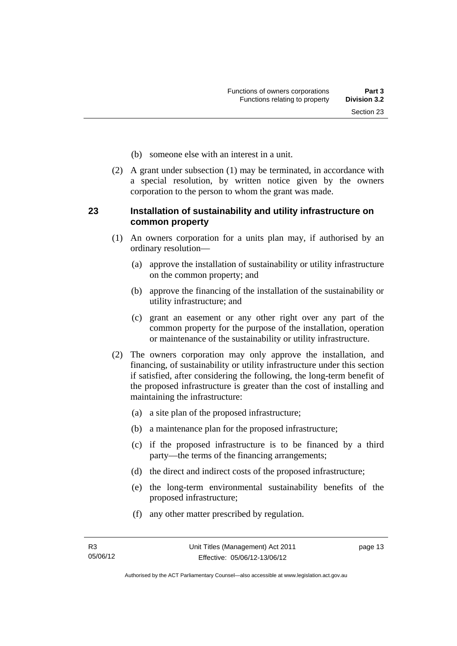- (b) someone else with an interest in a unit.
- (2) A grant under subsection (1) may be terminated, in accordance with a special resolution, by written notice given by the owners corporation to the person to whom the grant was made.

#### <span id="page-24-0"></span>**23 Installation of sustainability and utility infrastructure on common property**

- (1) An owners corporation for a units plan may, if authorised by an ordinary resolution—
	- (a) approve the installation of sustainability or utility infrastructure on the common property; and
	- (b) approve the financing of the installation of the sustainability or utility infrastructure; and
	- (c) grant an easement or any other right over any part of the common property for the purpose of the installation, operation or maintenance of the sustainability or utility infrastructure.
- (2) The owners corporation may only approve the installation, and financing, of sustainability or utility infrastructure under this section if satisfied, after considering the following, the long-term benefit of the proposed infrastructure is greater than the cost of installing and maintaining the infrastructure:
	- (a) a site plan of the proposed infrastructure;
	- (b) a maintenance plan for the proposed infrastructure;
	- (c) if the proposed infrastructure is to be financed by a third party—the terms of the financing arrangements;
	- (d) the direct and indirect costs of the proposed infrastructure;
	- (e) the long-term environmental sustainability benefits of the proposed infrastructure;
	- (f) any other matter prescribed by regulation.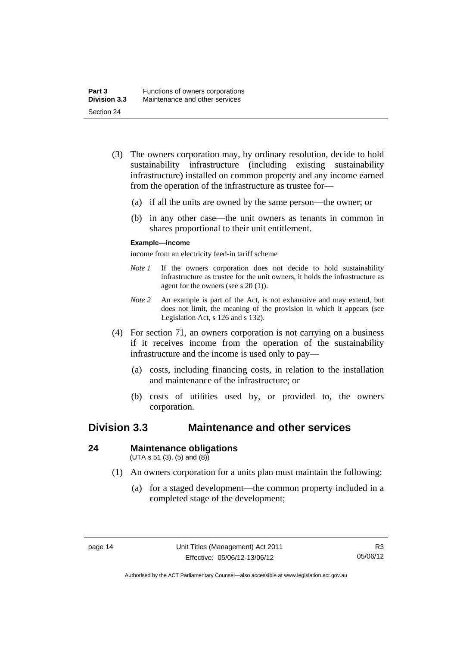- (3) The owners corporation may, by ordinary resolution, decide to hold sustainability infrastructure (including existing sustainability infrastructure) installed on common property and any income earned from the operation of the infrastructure as trustee for—
	- (a) if all the units are owned by the same person—the owner; or
	- (b) in any other case—the unit owners as tenants in common in shares proportional to their unit entitlement.

#### **Example—income**

income from an electricity feed-in tariff scheme

- *Note 1* If the owners corporation does not decide to hold sustainability infrastructure as trustee for the unit owners, it holds the infrastructure as agent for the owners (see s 20 (1)).
- *Note 2* An example is part of the Act, is not exhaustive and may extend, but does not limit, the meaning of the provision in which it appears (see Legislation Act, s 126 and s 132).
- (4) For section 71, an owners corporation is not carrying on a business if it receives income from the operation of the sustainability infrastructure and the income is used only to pay—
	- (a) costs, including financing costs, in relation to the installation and maintenance of the infrastructure; or
	- (b) costs of utilities used by, or provided to, the owners corporation.

### <span id="page-25-0"></span>**Division 3.3 Maintenance and other services**

#### <span id="page-25-1"></span>**24 Maintenance obligations**

 $(UTA s 51 (3), (5) and (8))$ 

- (1) An owners corporation for a units plan must maintain the following:
	- (a) for a staged development—the common property included in a completed stage of the development;

Authorised by the ACT Parliamentary Counsel—also accessible at www.legislation.act.gov.au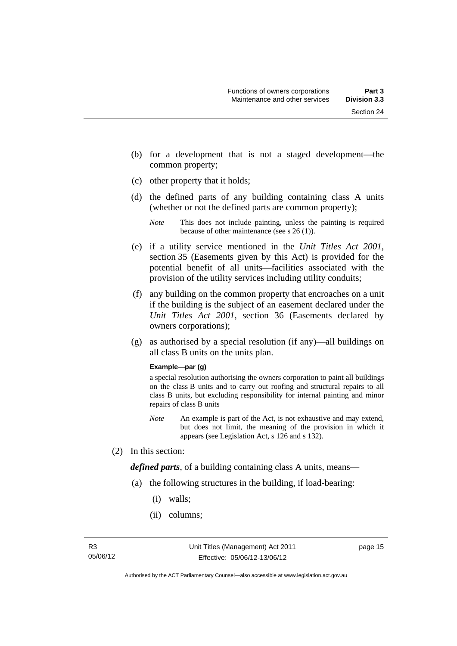- (b) for a development that is not a staged development—the common property;
- (c) other property that it holds;
- (d) the defined parts of any building containing class A units (whether or not the defined parts are common property);

- (e) if a utility service mentioned in the *Unit Titles Act 2001*, section 35 (Easements given by this Act) is provided for the potential benefit of all units—facilities associated with the provision of the utility services including utility conduits;
- (f) any building on the common property that encroaches on a unit if the building is the subject of an easement declared under the *Unit Titles Act 2001*, section 36 (Easements declared by owners corporations);
- (g) as authorised by a special resolution (if any)—all buildings on all class B units on the units plan.

#### **Example—par (g)**

a special resolution authorising the owners corporation to paint all buildings on the class B units and to carry out roofing and structural repairs to all class B units, but excluding responsibility for internal painting and minor repairs of class B units

- *Note* An example is part of the Act, is not exhaustive and may extend, but does not limit, the meaning of the provision in which it appears (see Legislation Act, s 126 and s 132).
- (2) In this section:

*defined parts*, of a building containing class A units, means—

- (a) the following structures in the building, if load-bearing:
	- (i) walls;
	- (ii) columns;

*Note* This does not include painting, unless the painting is required because of other maintenance (see s 26 (1)).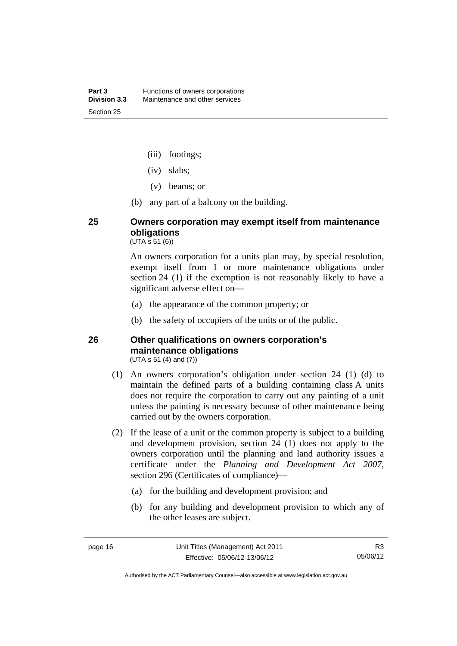- (iii) footings;
- (iv) slabs;
- (v) beams; or
- (b) any part of a balcony on the building.

### <span id="page-27-0"></span>**25 Owners corporation may exempt itself from maintenance obligations**

 $(UTA \, \bar{s} \, 51 \, (6))$ 

An owners corporation for a units plan may, by special resolution, exempt itself from 1 or more maintenance obligations under section 24 (1) if the exemption is not reasonably likely to have a significant adverse effect on—

- (a) the appearance of the common property; or
- (b) the safety of occupiers of the units or of the public.

#### <span id="page-27-1"></span>**26 Other qualifications on owners corporation's maintenance obligations**  (UTA s 51 (4) and (7))

- (1) An owners corporation's obligation under section 24 (1) (d) to maintain the defined parts of a building containing class A units does not require the corporation to carry out any painting of a unit unless the painting is necessary because of other maintenance being carried out by the owners corporation.
- (2) If the lease of a unit or the common property is subject to a building and development provision, section 24 (1) does not apply to the owners corporation until the planning and land authority issues a certificate under the *Planning and Development Act 2007*, section 296 (Certificates of compliance)—
	- (a) for the building and development provision; and
	- (b) for any building and development provision to which any of the other leases are subject.

Authorised by the ACT Parliamentary Counsel—also accessible at www.legislation.act.gov.au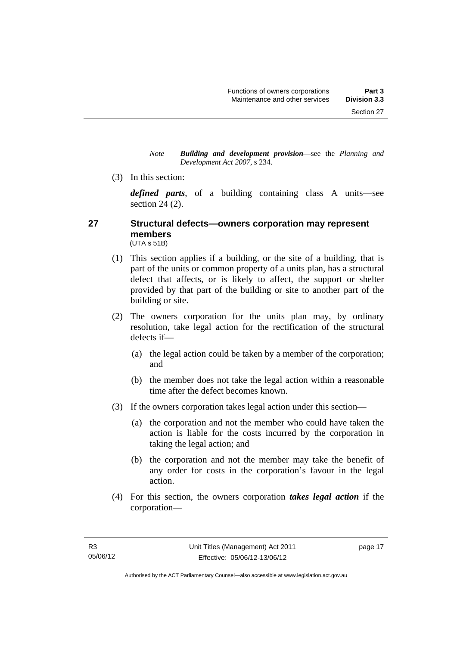*Note Building and development provision*—see the *Planning and Development Act 2007*, s 234.

(3) In this section:

*defined parts*, of a building containing class A units—see section 24 (2).

#### <span id="page-28-0"></span>**27 Structural defects—owners corporation may represent members**  (UTA s 51B)

- (1) This section applies if a building, or the site of a building, that is part of the units or common property of a units plan, has a structural defect that affects, or is likely to affect, the support or shelter provided by that part of the building or site to another part of the building or site.
- (2) The owners corporation for the units plan may, by ordinary resolution, take legal action for the rectification of the structural defects if—
	- (a) the legal action could be taken by a member of the corporation; and
	- (b) the member does not take the legal action within a reasonable time after the defect becomes known.
- (3) If the owners corporation takes legal action under this section—
	- (a) the corporation and not the member who could have taken the action is liable for the costs incurred by the corporation in taking the legal action; and
	- (b) the corporation and not the member may take the benefit of any order for costs in the corporation's favour in the legal action.
- (4) For this section, the owners corporation *takes legal action* if the corporation—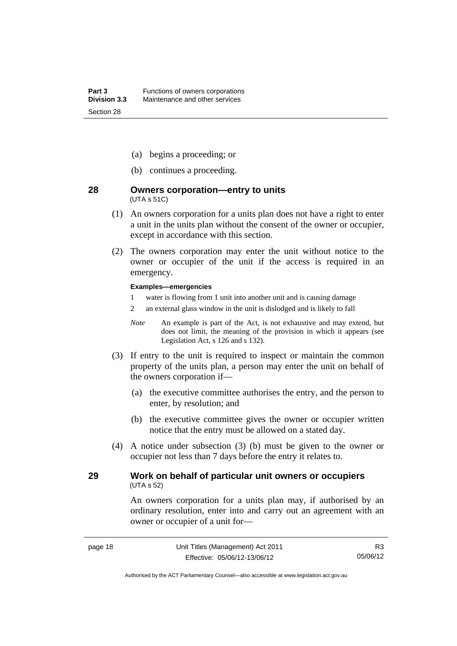- (a) begins a proceeding; or
- (b) continues a proceeding.

#### <span id="page-29-0"></span>**28 Owners corporation—entry to units**  (UTA s 51C)

- (1) An owners corporation for a units plan does not have a right to enter a unit in the units plan without the consent of the owner or occupier, except in accordance with this section.
- (2) The owners corporation may enter the unit without notice to the owner or occupier of the unit if the access is required in an emergency.

#### **Examples—emergencies**

- 1 water is flowing from 1 unit into another unit and is causing damage
- 2 an external glass window in the unit is dislodged and is likely to fall
- *Note* An example is part of the Act, is not exhaustive and may extend, but does not limit, the meaning of the provision in which it appears (see Legislation Act, s 126 and s 132).
- (3) If entry to the unit is required to inspect or maintain the common property of the units plan, a person may enter the unit on behalf of the owners corporation if—
	- (a) the executive committee authorises the entry, and the person to enter, by resolution; and
	- (b) the executive committee gives the owner or occupier written notice that the entry must be allowed on a stated day.
- (4) A notice under subsection (3) (b) must be given to the owner or occupier not less than 7 days before the entry it relates to.

#### <span id="page-29-1"></span>**29 Work on behalf of particular unit owners or occupiers**  (UTA s 52)

An owners corporation for a units plan may, if authorised by an ordinary resolution, enter into and carry out an agreement with an owner or occupier of a unit for—

Authorised by the ACT Parliamentary Counsel—also accessible at www.legislation.act.gov.au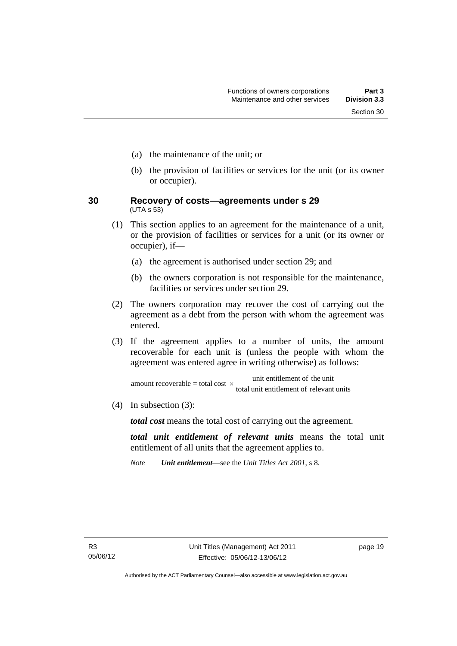- (a) the maintenance of the unit; or
- (b) the provision of facilities or services for the unit (or its owner or occupier).
- <span id="page-30-0"></span>**30 Recovery of costs—agreements under s 29**  (UTA s 53)
	- (1) This section applies to an agreement for the maintenance of a unit, or the provision of facilities or services for a unit (or its owner or occupier), if—
		- (a) the agreement is authorised under section 29; and
		- (b) the owners corporation is not responsible for the maintenance, facilities or services under section 29.
	- (2) The owners corporation may recover the cost of carrying out the agreement as a debt from the person with whom the agreement was entered.
	- (3) If the agreement applies to a number of units, the amount recoverable for each unit is (unless the people with whom the agreement was entered agree in writing otherwise) as follows:

total unit entitlement of relevant units amount recoverable = total cost  $\times$  unit entitlement of the unit

(4) In subsection (3):

*total cost* means the total cost of carrying out the agreement.

*total unit entitlement of relevant units* means the total unit entitlement of all units that the agreement applies to.

*Note Unit entitlement*—see the *Unit Titles Act 2001*, s 8.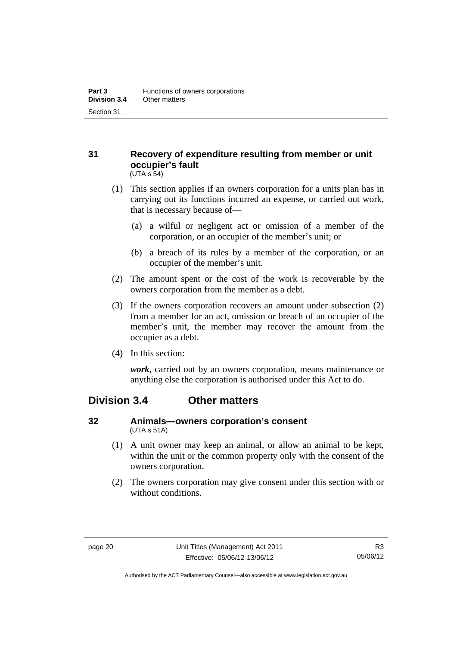#### <span id="page-31-0"></span>**31 Recovery of expenditure resulting from member or unit occupier's fault**  (UTA s 54)

- (1) This section applies if an owners corporation for a units plan has in carrying out its functions incurred an expense, or carried out work, that is necessary because of—
	- (a) a wilful or negligent act or omission of a member of the corporation, or an occupier of the member's unit; or
	- (b) a breach of its rules by a member of the corporation, or an occupier of the member's unit.
- (2) The amount spent or the cost of the work is recoverable by the owners corporation from the member as a debt.
- (3) If the owners corporation recovers an amount under subsection (2) from a member for an act, omission or breach of an occupier of the member's unit, the member may recover the amount from the occupier as a debt.
- (4) In this section:

*work*, carried out by an owners corporation, means maintenance or anything else the corporation is authorised under this Act to do.

### <span id="page-31-1"></span>**Division 3.4 Other matters**

#### <span id="page-31-2"></span>**32 Animals—owners corporation's consent**  (UTA s 51A)

- (1) A unit owner may keep an animal, or allow an animal to be kept, within the unit or the common property only with the consent of the owners corporation.
- (2) The owners corporation may give consent under this section with or without conditions.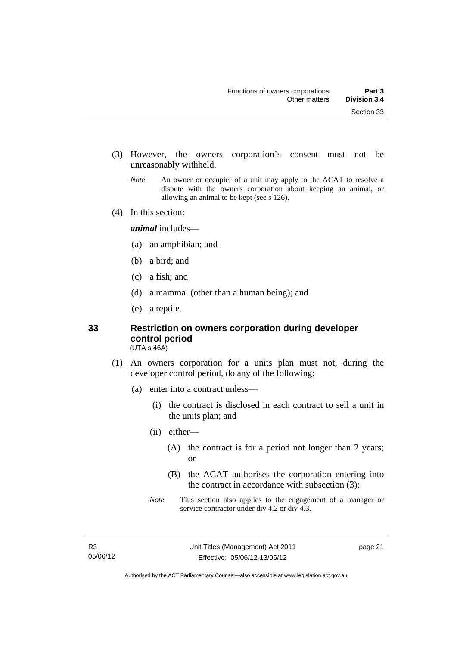- (3) However, the owners corporation's consent must not be unreasonably withheld.
	- *Note* An owner or occupier of a unit may apply to the ACAT to resolve a dispute with the owners corporation about keeping an animal, or allowing an animal to be kept (see s 126).
- (4) In this section:

*animal* includes—

- (a) an amphibian; and
- (b) a bird; and
- (c) a fish; and
- (d) a mammal (other than a human being); and
- (e) a reptile.

### <span id="page-32-0"></span>**33 Restriction on owners corporation during developer control period**

(UTA s 46A)

- (1) An owners corporation for a units plan must not, during the developer control period, do any of the following:
	- (a) enter into a contract unless—
		- (i) the contract is disclosed in each contract to sell a unit in the units plan; and
		- (ii) either—
			- (A) the contract is for a period not longer than 2 years; or
			- (B) the ACAT authorises the corporation entering into the contract in accordance with subsection (3);
		- *Note* This section also applies to the engagement of a manager or service contractor under div 4.2 or div 4.3.

page 21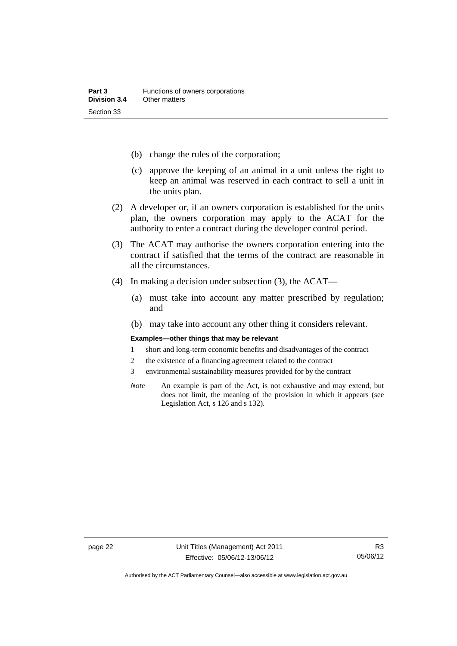- (b) change the rules of the corporation;
- (c) approve the keeping of an animal in a unit unless the right to keep an animal was reserved in each contract to sell a unit in the units plan.
- (2) A developer or, if an owners corporation is established for the units plan, the owners corporation may apply to the ACAT for the authority to enter a contract during the developer control period.
- (3) The ACAT may authorise the owners corporation entering into the contract if satisfied that the terms of the contract are reasonable in all the circumstances.
- (4) In making a decision under subsection (3), the ACAT—
	- (a) must take into account any matter prescribed by regulation; and
	- (b) may take into account any other thing it considers relevant.

#### **Examples—other things that may be relevant**

- 1 short and long-term economic benefits and disadvantages of the contract
- 2 the existence of a financing agreement related to the contract
- 3 environmental sustainability measures provided for by the contract
- *Note* An example is part of the Act, is not exhaustive and may extend, but does not limit, the meaning of the provision in which it appears (see Legislation Act, s 126 and s 132).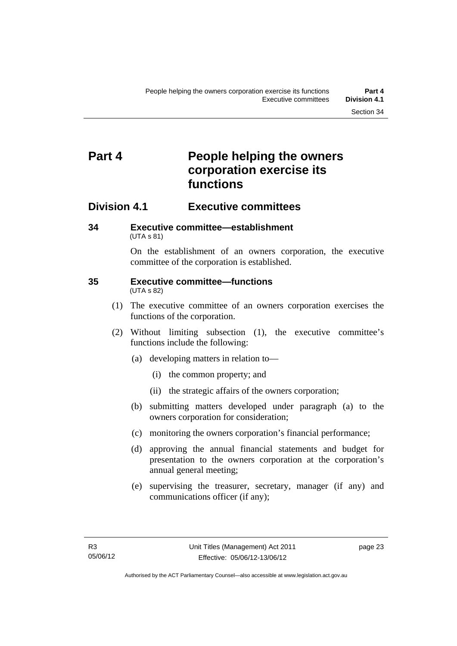## <span id="page-34-0"></span>**Part 4 People helping the owners corporation exercise its functions**

### <span id="page-34-1"></span>**Division 4.1 Executive committees**

#### <span id="page-34-2"></span>**34 Executive committee—establishment**  (UTA s 81)

On the establishment of an owners corporation, the executive committee of the corporation is established.

#### <span id="page-34-3"></span>**35 Executive committee—functions**  (UTA s 82)

- (1) The executive committee of an owners corporation exercises the functions of the corporation.
- (2) Without limiting subsection (1), the executive committee's functions include the following:
	- (a) developing matters in relation to—
		- (i) the common property; and
		- (ii) the strategic affairs of the owners corporation;
	- (b) submitting matters developed under paragraph (a) to the owners corporation for consideration;
	- (c) monitoring the owners corporation's financial performance;
	- (d) approving the annual financial statements and budget for presentation to the owners corporation at the corporation's annual general meeting;
	- (e) supervising the treasurer, secretary, manager (if any) and communications officer (if any);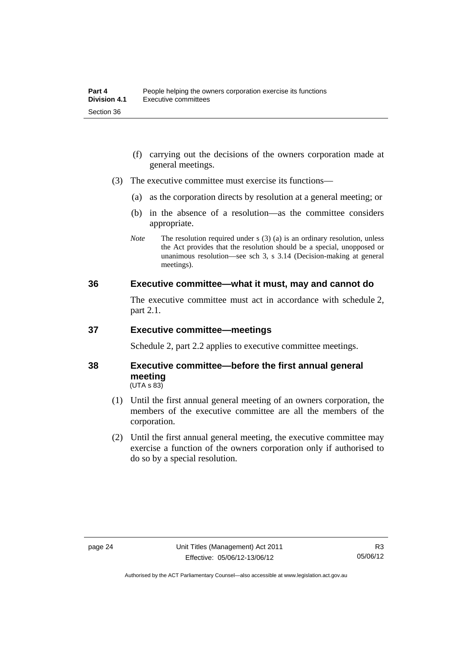- (f) carrying out the decisions of the owners corporation made at general meetings.
- (3) The executive committee must exercise its functions—
	- (a) as the corporation directs by resolution at a general meeting; or
	- (b) in the absence of a resolution—as the committee considers appropriate.
	- *Note* The resolution required under s (3) (a) is an ordinary resolution, unless the Act provides that the resolution should be a special, unopposed or unanimous resolution—see sch 3, s 3.14 (Decision-making at general meetings).

#### <span id="page-35-0"></span>**36 Executive committee—what it must, may and cannot do**

The executive committee must act in accordance with schedule 2, part 2.1.

#### <span id="page-35-1"></span>**37 Executive committee—meetings**

Schedule 2, part 2.2 applies to executive committee meetings.

#### <span id="page-35-2"></span>**38 Executive committee—before the first annual general meeting**   $(UTA S 83)$

- (1) Until the first annual general meeting of an owners corporation, the members of the executive committee are all the members of the corporation.
- (2) Until the first annual general meeting, the executive committee may exercise a function of the owners corporation only if authorised to do so by a special resolution.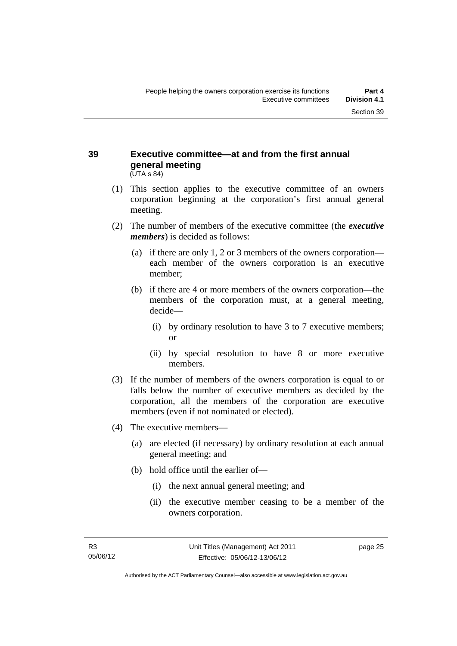#### **39 Executive committee—at and from the first annual general meeting**  (UTA s 84)

- (1) This section applies to the executive committee of an owners corporation beginning at the corporation's first annual general meeting.
- (2) The number of members of the executive committee (the *executive members*) is decided as follows:
	- (a) if there are only 1, 2 or 3 members of the owners corporation each member of the owners corporation is an executive member;
	- (b) if there are 4 or more members of the owners corporation—the members of the corporation must, at a general meeting, decide—
		- (i) by ordinary resolution to have 3 to 7 executive members; or
		- (ii) by special resolution to have 8 or more executive members.
- (3) If the number of members of the owners corporation is equal to or falls below the number of executive members as decided by the corporation, all the members of the corporation are executive members (even if not nominated or elected).
- (4) The executive members—
	- (a) are elected (if necessary) by ordinary resolution at each annual general meeting; and
	- (b) hold office until the earlier of—
		- (i) the next annual general meeting; and
		- (ii) the executive member ceasing to be a member of the owners corporation.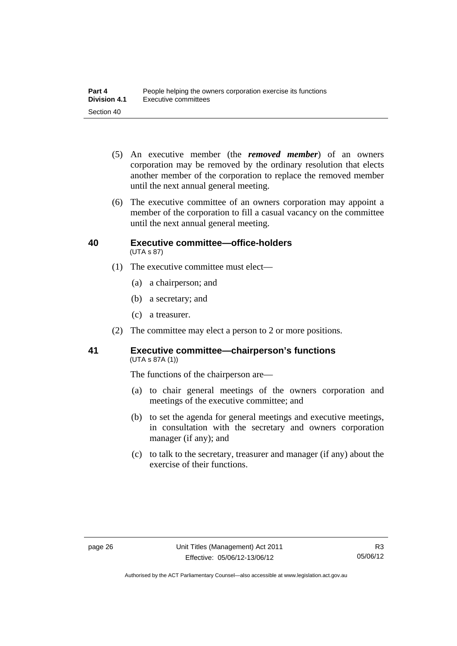- (5) An executive member (the *removed member*) of an owners corporation may be removed by the ordinary resolution that elects another member of the corporation to replace the removed member until the next annual general meeting.
- (6) The executive committee of an owners corporation may appoint a member of the corporation to fill a casual vacancy on the committee until the next annual general meeting.

#### **40 Executive committee—office-holders**  (UTA s 87)

- (1) The executive committee must elect—
	- (a) a chairperson; and
	- (b) a secretary; and
	- (c) a treasurer.
- (2) The committee may elect a person to 2 or more positions.

#### **41 Executive committee—chairperson's functions**  (UTA s 87A (1))

The functions of the chairperson are—

- (a) to chair general meetings of the owners corporation and meetings of the executive committee; and
- (b) to set the agenda for general meetings and executive meetings, in consultation with the secretary and owners corporation manager (if any); and
- (c) to talk to the secretary, treasurer and manager (if any) about the exercise of their functions.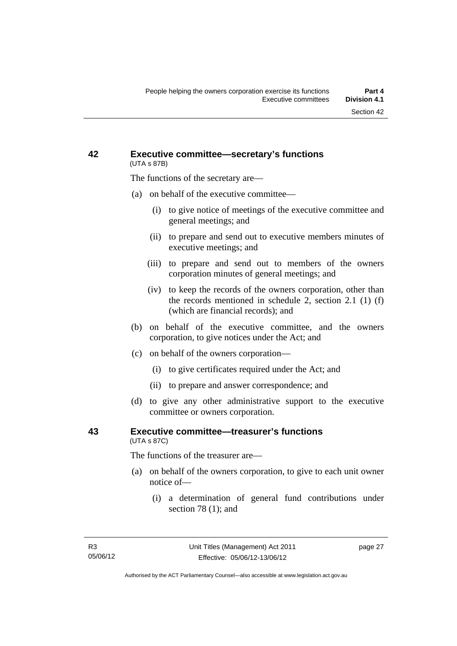#### **42 Executive committee—secretary's functions**  (UTA s 87B)

The functions of the secretary are—

- (a) on behalf of the executive committee—
	- (i) to give notice of meetings of the executive committee and general meetings; and
	- (ii) to prepare and send out to executive members minutes of executive meetings; and
	- (iii) to prepare and send out to members of the owners corporation minutes of general meetings; and
	- (iv) to keep the records of the owners corporation, other than the records mentioned in schedule 2, section 2.1 (1) (f) (which are financial records); and
- (b) on behalf of the executive committee, and the owners corporation, to give notices under the Act; and
- (c) on behalf of the owners corporation—
	- (i) to give certificates required under the Act; and
	- (ii) to prepare and answer correspondence; and
- (d) to give any other administrative support to the executive committee or owners corporation.

#### **43 Executive committee—treasurer's functions**  (UTA s 87C)

The functions of the treasurer are—

- (a) on behalf of the owners corporation, to give to each unit owner notice of—
	- (i) a determination of general fund contributions under section 78 (1); and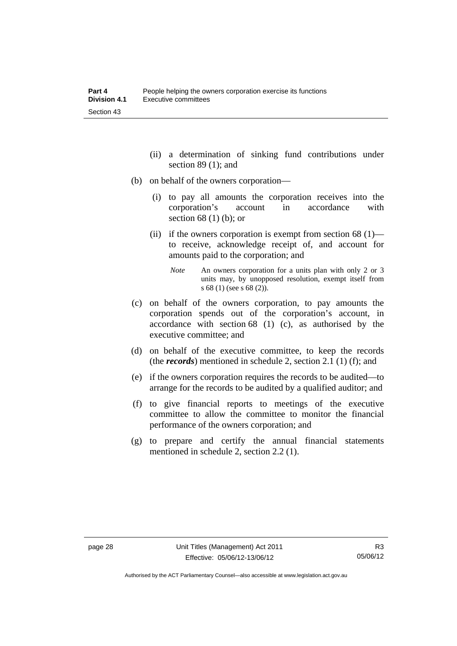- (ii) a determination of sinking fund contributions under section 89 (1); and
- (b) on behalf of the owners corporation—
	- (i) to pay all amounts the corporation receives into the corporation's account in accordance with section 68 (1) (b); or
	- (ii) if the owners corporation is exempt from section  $68(1)$  to receive, acknowledge receipt of, and account for amounts paid to the corporation; and
		- *Note* An owners corporation for a units plan with only 2 or 3 units may, by unopposed resolution, exempt itself from s 68 (1) (see s 68 (2)).
- (c) on behalf of the owners corporation, to pay amounts the corporation spends out of the corporation's account, in accordance with section 68 (1) (c), as authorised by the executive committee; and
- (d) on behalf of the executive committee, to keep the records (the *records*) mentioned in schedule 2, section 2.1 (1) (f); and
- (e) if the owners corporation requires the records to be audited—to arrange for the records to be audited by a qualified auditor; and
- (f) to give financial reports to meetings of the executive committee to allow the committee to monitor the financial performance of the owners corporation; and
- (g) to prepare and certify the annual financial statements mentioned in schedule 2, section 2.2 (1).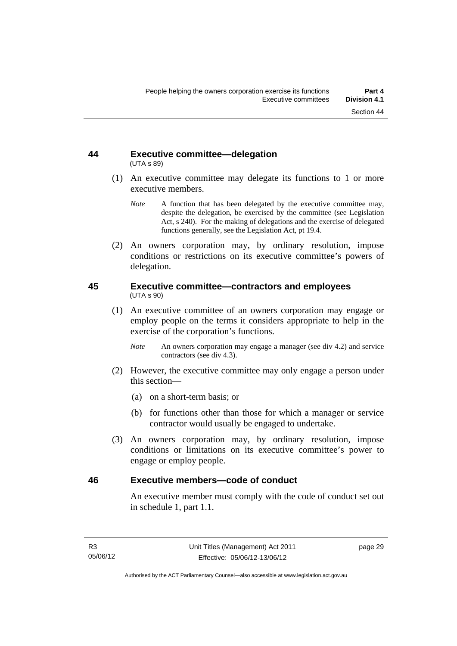#### **44 Executive committee—delegation**  (UTA s 89)

- (1) An executive committee may delegate its functions to 1 or more executive members.
	- *Note* A function that has been delegated by the executive committee may, despite the delegation, be exercised by the committee (see Legislation Act, s 240). For the making of delegations and the exercise of delegated functions generally, see the Legislation Act, pt 19.4.
- (2) An owners corporation may, by ordinary resolution, impose conditions or restrictions on its executive committee's powers of delegation.

#### **45 Executive committee—contractors and employees**  (UTA s 90)

- (1) An executive committee of an owners corporation may engage or employ people on the terms it considers appropriate to help in the exercise of the corporation's functions.
	- *Note* An owners corporation may engage a manager (see div 4.2) and service contractors (see div 4.3).
- (2) However, the executive committee may only engage a person under this section—
	- (a) on a short-term basis; or
	- (b) for functions other than those for which a manager or service contractor would usually be engaged to undertake.
- (3) An owners corporation may, by ordinary resolution, impose conditions or limitations on its executive committee's power to engage or employ people.

#### **46 Executive members—code of conduct**

An executive member must comply with the code of conduct set out in schedule 1, part 1.1.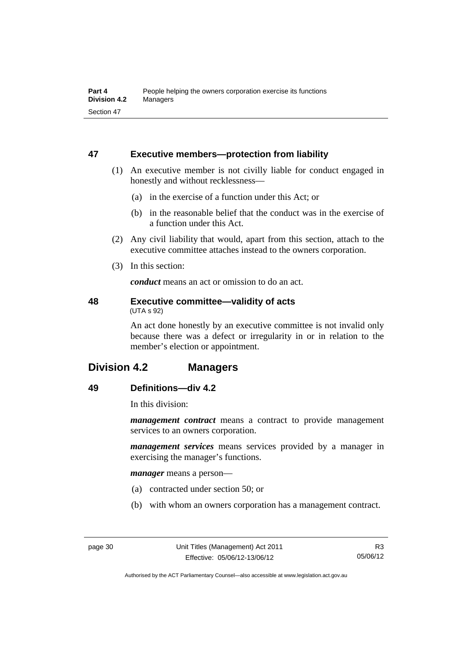### **47 Executive members—protection from liability**

- (1) An executive member is not civilly liable for conduct engaged in honestly and without recklessness—
	- (a) in the exercise of a function under this Act; or
	- (b) in the reasonable belief that the conduct was in the exercise of a function under this Act.
- (2) Any civil liability that would, apart from this section, attach to the executive committee attaches instead to the owners corporation.
- (3) In this section:

*conduct* means an act or omission to do an act.

#### **48 Executive committee—validity of acts**  (UTA s 92)

An act done honestly by an executive committee is not invalid only because there was a defect or irregularity in or in relation to the member's election or appointment.

# **Division 4.2 Managers**

## **49 Definitions—div 4.2**

In this division:

*management contract* means a contract to provide management services to an owners corporation.

*management services* means services provided by a manager in exercising the manager's functions.

*manager* means a person—

- (a) contracted under section 50; or
- (b) with whom an owners corporation has a management contract.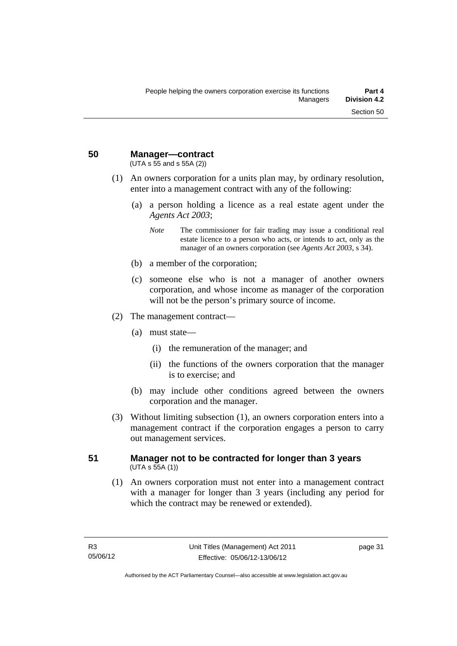**50 Manager—contract** 

(UTA s 55 and s 55A (2))

- (1) An owners corporation for a units plan may, by ordinary resolution, enter into a management contract with any of the following:
	- (a) a person holding a licence as a real estate agent under the *Agents Act 2003*;
		- *Note* The commissioner for fair trading may issue a conditional real estate licence to a person who acts, or intends to act, only as the manager of an owners corporation (see *Agents Act 2003*, s 34).
	- (b) a member of the corporation;
	- (c) someone else who is not a manager of another owners corporation, and whose income as manager of the corporation will not be the person's primary source of income.
- (2) The management contract—
	- (a) must state—
		- (i) the remuneration of the manager; and
		- (ii) the functions of the owners corporation that the manager is to exercise; and
	- (b) may include other conditions agreed between the owners corporation and the manager.
- (3) Without limiting subsection (1), an owners corporation enters into a management contract if the corporation engages a person to carry out management services.

#### **51 Manager not to be contracted for longer than 3 years**   $(UTA S 55A (1))$

 (1) An owners corporation must not enter into a management contract with a manager for longer than 3 years (including any period for which the contract may be renewed or extended).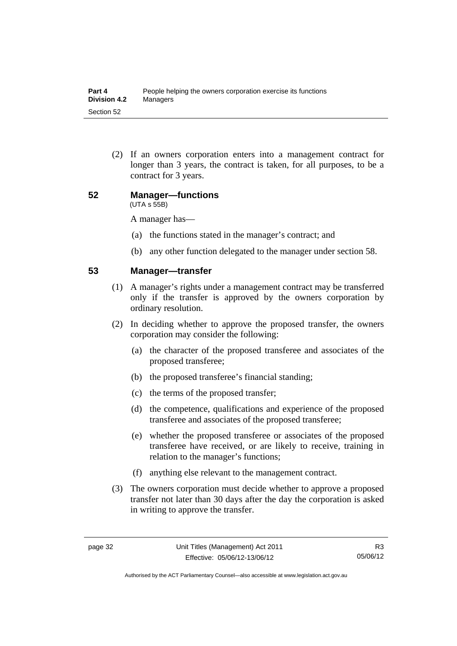(2) If an owners corporation enters into a management contract for longer than 3 years, the contract is taken, for all purposes, to be a contract for 3 years.

#### **52 Manager—functions**  (UTA s 55B)

A manager has—

- (a) the functions stated in the manager's contract; and
- (b) any other function delegated to the manager under section 58.

#### **53 Manager—transfer**

- (1) A manager's rights under a management contract may be transferred only if the transfer is approved by the owners corporation by ordinary resolution.
- (2) In deciding whether to approve the proposed transfer, the owners corporation may consider the following:
	- (a) the character of the proposed transferee and associates of the proposed transferee;
	- (b) the proposed transferee's financial standing;
	- (c) the terms of the proposed transfer;
	- (d) the competence, qualifications and experience of the proposed transferee and associates of the proposed transferee;
	- (e) whether the proposed transferee or associates of the proposed transferee have received, or are likely to receive, training in relation to the manager's functions;
	- (f) anything else relevant to the management contract.
- (3) The owners corporation must decide whether to approve a proposed transfer not later than 30 days after the day the corporation is asked in writing to approve the transfer.

Authorised by the ACT Parliamentary Counsel—also accessible at www.legislation.act.gov.au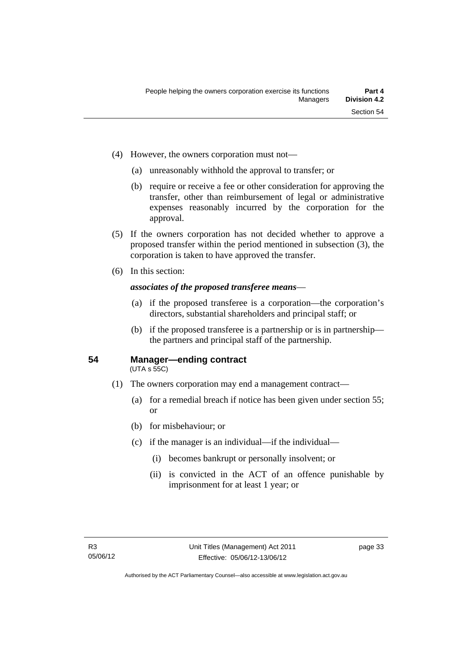- (4) However, the owners corporation must not—
	- (a) unreasonably withhold the approval to transfer; or
	- (b) require or receive a fee or other consideration for approving the transfer, other than reimbursement of legal or administrative expenses reasonably incurred by the corporation for the approval.
- (5) If the owners corporation has not decided whether to approve a proposed transfer within the period mentioned in subsection (3), the corporation is taken to have approved the transfer.
- (6) In this section:

#### *associates of the proposed transferee means*—

- (a) if the proposed transferee is a corporation—the corporation's directors, substantial shareholders and principal staff; or
- (b) if the proposed transferee is a partnership or is in partnership the partners and principal staff of the partnership.

#### **54 Manager—ending contract**

(UTA s 55C)

- (1) The owners corporation may end a management contract—
	- (a) for a remedial breach if notice has been given under section 55; or
	- (b) for misbehaviour; or
	- (c) if the manager is an individual—if the individual—
		- (i) becomes bankrupt or personally insolvent; or
		- (ii) is convicted in the ACT of an offence punishable by imprisonment for at least 1 year; or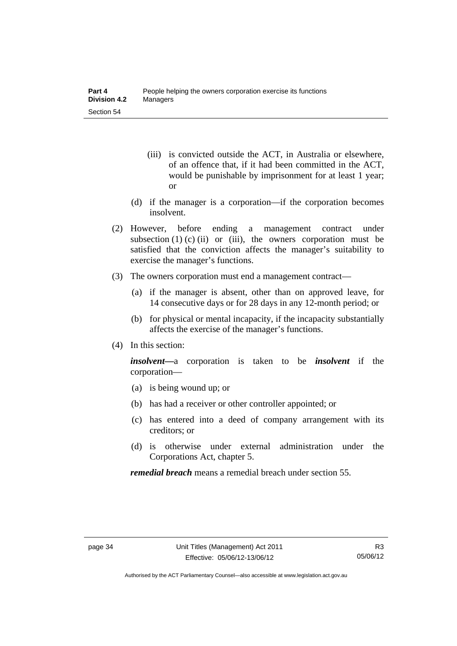- (iii) is convicted outside the ACT, in Australia or elsewhere, of an offence that, if it had been committed in the ACT, would be punishable by imprisonment for at least 1 year; or
- (d) if the manager is a corporation—if the corporation becomes insolvent.
- (2) However, before ending a management contract under subsection  $(1)$   $(c)$   $(ii)$  or  $(iii)$ , the owners corporation must be satisfied that the conviction affects the manager's suitability to exercise the manager's functions.
- (3) The owners corporation must end a management contract—
	- (a) if the manager is absent, other than on approved leave, for 14 consecutive days or for 28 days in any 12-month period; or
	- (b) for physical or mental incapacity, if the incapacity substantially affects the exercise of the manager's functions.
- (4) In this section:

*insolvent—*a corporation is taken to be *insolvent* if the corporation—

- (a) is being wound up; or
- (b) has had a receiver or other controller appointed; or
- (c) has entered into a deed of company arrangement with its creditors; or
- (d) is otherwise under external administration under the Corporations Act, chapter 5.

*remedial breach* means a remedial breach under section 55.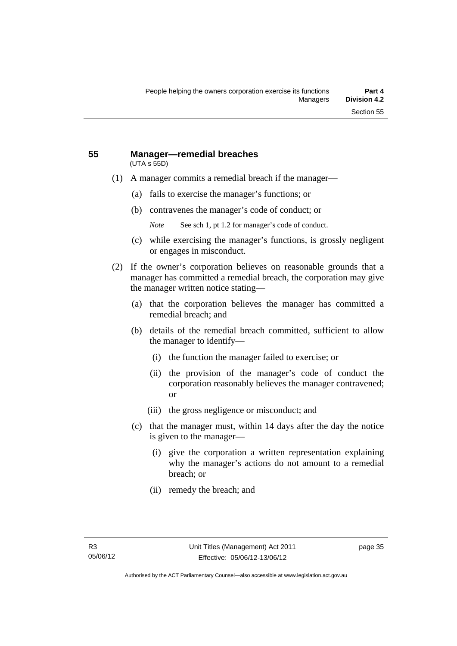#### **55 Manager—remedial breaches**  (UTA s 55D)

- (1) A manager commits a remedial breach if the manager—
	- (a) fails to exercise the manager's functions; or
	- (b) contravenes the manager's code of conduct; or
		- *Note* See sch 1, pt 1.2 for manager's code of conduct.
	- (c) while exercising the manager's functions, is grossly negligent or engages in misconduct.
- (2) If the owner's corporation believes on reasonable grounds that a manager has committed a remedial breach, the corporation may give the manager written notice stating—
	- (a) that the corporation believes the manager has committed a remedial breach; and
	- (b) details of the remedial breach committed, sufficient to allow the manager to identify—
		- (i) the function the manager failed to exercise; or
		- (ii) the provision of the manager's code of conduct the corporation reasonably believes the manager contravened; or
		- (iii) the gross negligence or misconduct; and
	- (c) that the manager must, within 14 days after the day the notice is given to the manager—
		- (i) give the corporation a written representation explaining why the manager's actions do not amount to a remedial breach; or
		- (ii) remedy the breach; and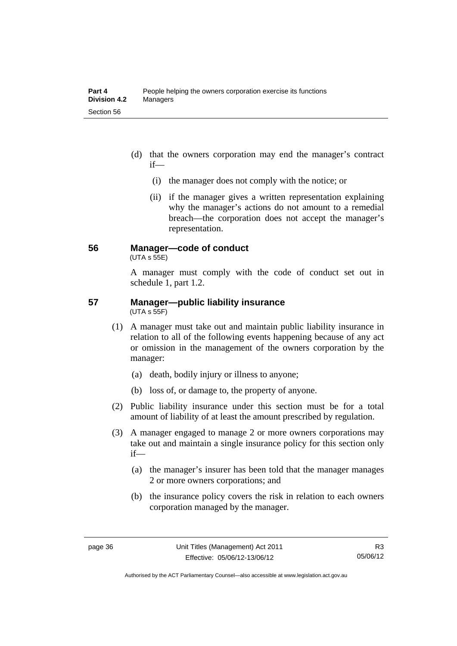- (d) that the owners corporation may end the manager's contract if—
	- (i) the manager does not comply with the notice; or
	- (ii) if the manager gives a written representation explaining why the manager's actions do not amount to a remedial breach—the corporation does not accept the manager's representation.

#### **56 Manager—code of conduct**

 $(UTA s 55E)$ 

A manager must comply with the code of conduct set out in schedule 1, part 1.2.

#### **57 Manager—public liability insurance**  (UTA s 55F)

- (1) A manager must take out and maintain public liability insurance in relation to all of the following events happening because of any act or omission in the management of the owners corporation by the manager:
	- (a) death, bodily injury or illness to anyone;
	- (b) loss of, or damage to, the property of anyone.
- (2) Public liability insurance under this section must be for a total amount of liability of at least the amount prescribed by regulation.
- (3) A manager engaged to manage 2 or more owners corporations may take out and maintain a single insurance policy for this section only if—
	- (a) the manager's insurer has been told that the manager manages 2 or more owners corporations; and
	- (b) the insurance policy covers the risk in relation to each owners corporation managed by the manager.

Authorised by the ACT Parliamentary Counsel—also accessible at www.legislation.act.gov.au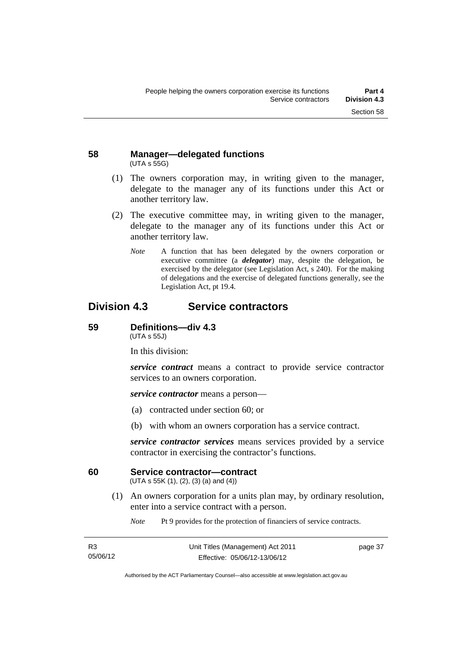#### **58 Manager—delegated functions**  (UTA s 55G)

- (1) The owners corporation may, in writing given to the manager, delegate to the manager any of its functions under this Act or another territory law.
- (2) The executive committee may, in writing given to the manager, delegate to the manager any of its functions under this Act or another territory law.
	- *Note* A function that has been delegated by the owners corporation or executive committee (a *delegator*) may, despite the delegation, be exercised by the delegator (see Legislation Act, s 240). For the making of delegations and the exercise of delegated functions generally, see the Legislation Act, pt 19.4.

# **Division 4.3 Service contractors**

#### **59 Definitions—div 4.3**

(UTA s 55J)

In this division:

*service contract* means a contract to provide service contractor services to an owners corporation.

*service contractor* means a person—

- (a) contracted under section 60; or
- (b) with whom an owners corporation has a service contract.

*service contractor services* means services provided by a service contractor in exercising the contractor's functions.

#### **60 Service contractor—contract**

(UTA s 55K (1), (2), (3) (a) and (4))

 (1) An owners corporation for a units plan may, by ordinary resolution, enter into a service contract with a person.

*Note* Pt 9 provides for the protection of financiers of service contracts.

| R <sub>3</sub> | Uni |
|----------------|-----|
| 05/06/12       |     |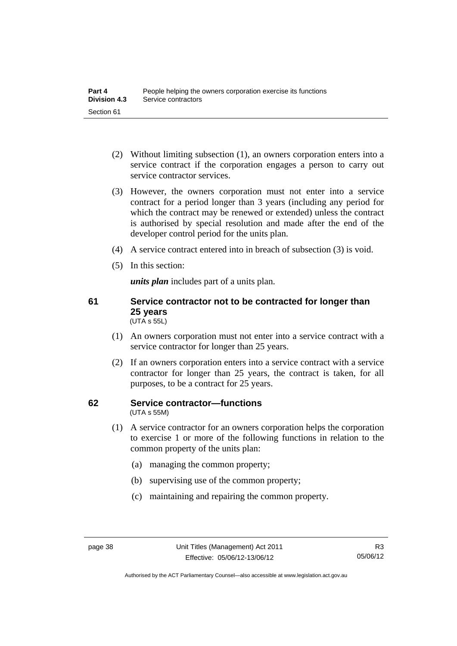- (2) Without limiting subsection (1), an owners corporation enters into a service contract if the corporation engages a person to carry out service contractor services.
- (3) However, the owners corporation must not enter into a service contract for a period longer than 3 years (including any period for which the contract may be renewed or extended) unless the contract is authorised by special resolution and made after the end of the developer control period for the units plan.
- (4) A service contract entered into in breach of subsection (3) is void.
- (5) In this section:

*units plan* includes part of a units plan.

#### **61 Service contractor not to be contracted for longer than 25 years**  (UTA s 55L)

- (1) An owners corporation must not enter into a service contract with a service contractor for longer than 25 years.
- (2) If an owners corporation enters into a service contract with a service contractor for longer than 25 years, the contract is taken, for all purposes, to be a contract for 25 years.

#### **62 Service contractor—functions**  (UTA s 55M)

- (1) A service contractor for an owners corporation helps the corporation to exercise 1 or more of the following functions in relation to the common property of the units plan:
	- (a) managing the common property;
	- (b) supervising use of the common property;
	- (c) maintaining and repairing the common property.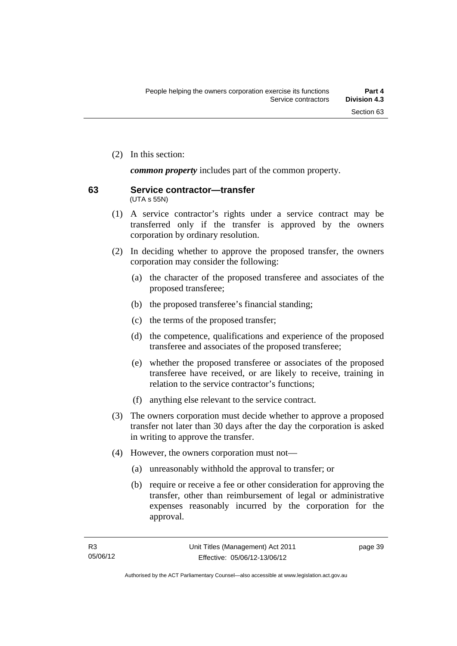(2) In this section:

*common property* includes part of the common property.

#### **63 Service contractor—transfer**  (UTA s 55N)

- (1) A service contractor's rights under a service contract may be transferred only if the transfer is approved by the owners corporation by ordinary resolution.
- (2) In deciding whether to approve the proposed transfer, the owners corporation may consider the following:
	- (a) the character of the proposed transferee and associates of the proposed transferee;
	- (b) the proposed transferee's financial standing;
	- (c) the terms of the proposed transfer;
	- (d) the competence, qualifications and experience of the proposed transferee and associates of the proposed transferee;
	- (e) whether the proposed transferee or associates of the proposed transferee have received, or are likely to receive, training in relation to the service contractor's functions;
	- (f) anything else relevant to the service contract.
- (3) The owners corporation must decide whether to approve a proposed transfer not later than 30 days after the day the corporation is asked in writing to approve the transfer.
- (4) However, the owners corporation must not—
	- (a) unreasonably withhold the approval to transfer; or
	- (b) require or receive a fee or other consideration for approving the transfer, other than reimbursement of legal or administrative expenses reasonably incurred by the corporation for the approval.

page 39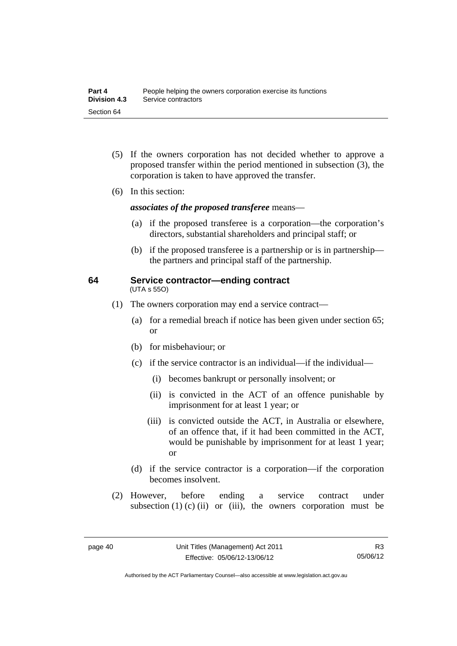- (5) If the owners corporation has not decided whether to approve a proposed transfer within the period mentioned in subsection (3), the corporation is taken to have approved the transfer.
- (6) In this section:

*associates of the proposed transferee* means—

- (a) if the proposed transferee is a corporation—the corporation's directors, substantial shareholders and principal staff; or
- (b) if the proposed transferee is a partnership or is in partnership the partners and principal staff of the partnership.

#### **64 Service contractor—ending contract**  (UTA s 55O)

- (1) The owners corporation may end a service contract—
	- (a) for a remedial breach if notice has been given under section 65; or
	- (b) for misbehaviour; or
	- (c) if the service contractor is an individual—if the individual—
		- (i) becomes bankrupt or personally insolvent; or
		- (ii) is convicted in the ACT of an offence punishable by imprisonment for at least 1 year; or
		- (iii) is convicted outside the ACT, in Australia or elsewhere, of an offence that, if it had been committed in the ACT, would be punishable by imprisonment for at least 1 year; or
	- (d) if the service contractor is a corporation—if the corporation becomes insolvent.
- (2) However, before ending a service contract under subsection  $(1)$   $(c)$   $(ii)$  or  $(iii)$ , the owners corporation must be

Authorised by the ACT Parliamentary Counsel—also accessible at www.legislation.act.gov.au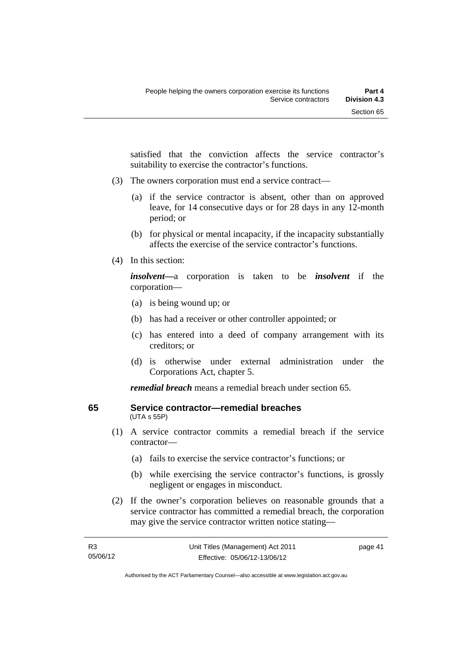satisfied that the conviction affects the service contractor's suitability to exercise the contractor's functions.

- (3) The owners corporation must end a service contract—
	- (a) if the service contractor is absent, other than on approved leave, for 14 consecutive days or for 28 days in any 12-month period; or
	- (b) for physical or mental incapacity, if the incapacity substantially affects the exercise of the service contractor's functions.
- (4) In this section:

*insolvent—*a corporation is taken to be *insolvent* if the corporation—

- (a) is being wound up; or
- (b) has had a receiver or other controller appointed; or
- (c) has entered into a deed of company arrangement with its creditors; or
- (d) is otherwise under external administration under the Corporations Act, chapter 5.

*remedial breach* means a remedial breach under section 65.

#### **65 Service contractor—remedial breaches**  (UTA s 55P)

- (1) A service contractor commits a remedial breach if the service contractor—
	- (a) fails to exercise the service contractor's functions; or
	- (b) while exercising the service contractor's functions, is grossly negligent or engages in misconduct.
- (2) If the owner's corporation believes on reasonable grounds that a service contractor has committed a remedial breach, the corporation may give the service contractor written notice stating—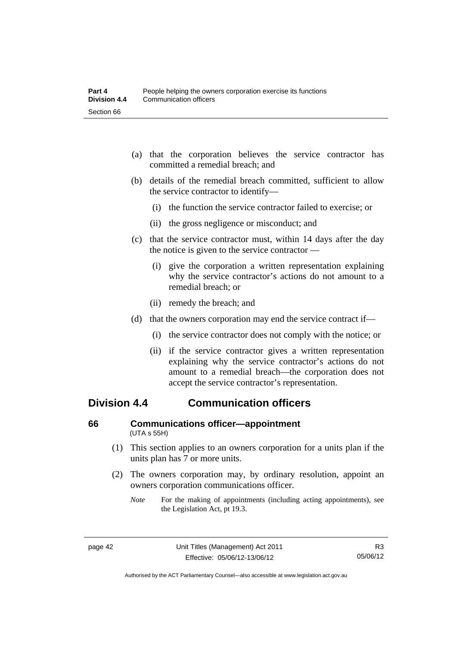- (a) that the corporation believes the service contractor has committed a remedial breach; and
- (b) details of the remedial breach committed, sufficient to allow the service contractor to identify—
	- (i) the function the service contractor failed to exercise; or
	- (ii) the gross negligence or misconduct; and
- (c) that the service contractor must, within 14 days after the day the notice is given to the service contractor —
	- (i) give the corporation a written representation explaining why the service contractor's actions do not amount to a remedial breach; or
	- (ii) remedy the breach; and
- (d) that the owners corporation may end the service contract if—
	- (i) the service contractor does not comply with the notice; or
	- (ii) if the service contractor gives a written representation explaining why the service contractor's actions do not amount to a remedial breach—the corporation does not accept the service contractor's representation.

# **Division 4.4 Communication officers**

#### **66 Communications officer—appointment**  (UTA s 55H)

- (1) This section applies to an owners corporation for a units plan if the units plan has 7 or more units.
- (2) The owners corporation may, by ordinary resolution, appoint an owners corporation communications officer.
	- *Note* For the making of appointments (including acting appointments), see the Legislation Act, pt 19.3.

Authorised by the ACT Parliamentary Counsel—also accessible at www.legislation.act.gov.au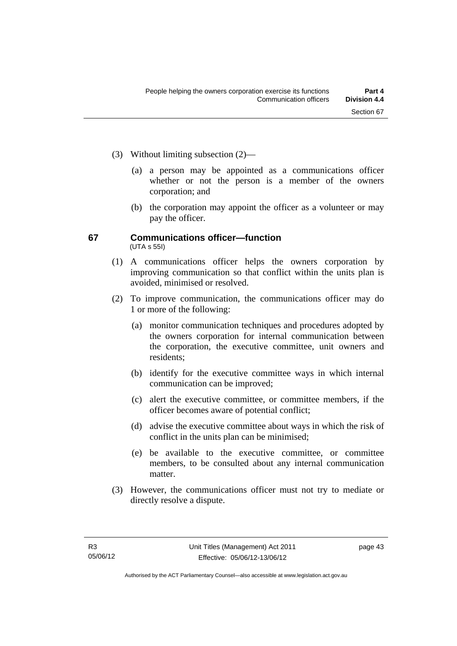- (3) Without limiting subsection (2)—
	- (a) a person may be appointed as a communications officer whether or not the person is a member of the owners corporation; and
	- (b) the corporation may appoint the officer as a volunteer or may pay the officer.

#### **67 Communications officer—function**  (UTA s 55I)

- (1) A communications officer helps the owners corporation by improving communication so that conflict within the units plan is avoided, minimised or resolved.
- (2) To improve communication, the communications officer may do 1 or more of the following:
	- (a) monitor communication techniques and procedures adopted by the owners corporation for internal communication between the corporation, the executive committee, unit owners and residents;
	- (b) identify for the executive committee ways in which internal communication can be improved;
	- (c) alert the executive committee, or committee members, if the officer becomes aware of potential conflict;
	- (d) advise the executive committee about ways in which the risk of conflict in the units plan can be minimised;
	- (e) be available to the executive committee, or committee members, to be consulted about any internal communication matter.
- (3) However, the communications officer must not try to mediate or directly resolve a dispute.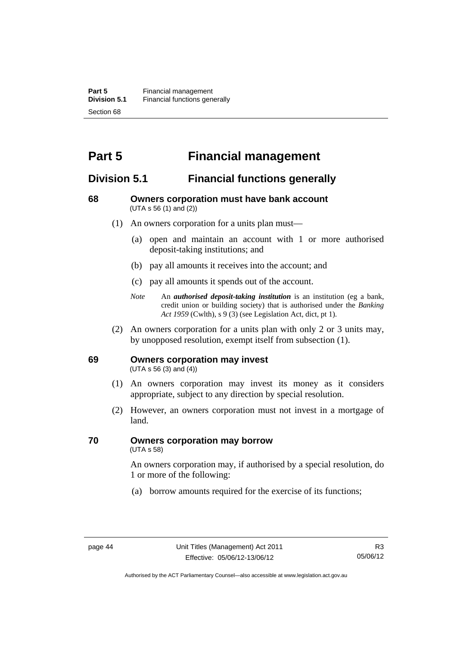# **Part 5 Financial management**

# **Division 5.1 Financial functions generally**

#### **68 Owners corporation must have bank account**  (UTA s 56 (1) and (2))

- (1) An owners corporation for a units plan must—
	- (a) open and maintain an account with 1 or more authorised deposit-taking institutions; and
	- (b) pay all amounts it receives into the account; and
	- (c) pay all amounts it spends out of the account.
	- *Note* An *authorised deposit-taking institution* is an institution (eg a bank, credit union or building society) that is authorised under the *Banking Act 1959* (Cwlth), s 9 (3) (see Legislation Act, dict, pt 1).
- (2) An owners corporation for a units plan with only 2 or 3 units may, by unopposed resolution, exempt itself from subsection (1).

#### **69 Owners corporation may invest**

(UTA s 56 (3) and (4))

- (1) An owners corporation may invest its money as it considers appropriate, subject to any direction by special resolution.
- (2) However, an owners corporation must not invest in a mortgage of land.

# **70 Owners corporation may borrow**

(UTA s 58)

An owners corporation may, if authorised by a special resolution, do 1 or more of the following:

(a) borrow amounts required for the exercise of its functions;

Authorised by the ACT Parliamentary Counsel—also accessible at www.legislation.act.gov.au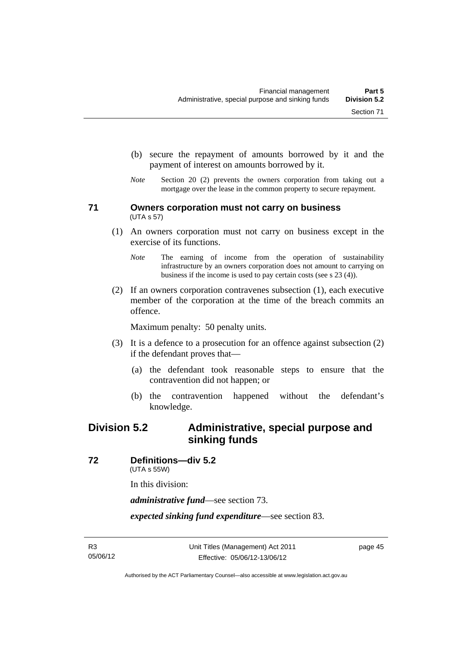- (b) secure the repayment of amounts borrowed by it and the
- *Note* Section 20 (2) prevents the owners corporation from taking out a mortgage over the lease in the common property to secure repayment.

payment of interest on amounts borrowed by it.

#### **71 Owners corporation must not carry on business**  (UTA s 57)

- (1) An owners corporation must not carry on business except in the exercise of its functions.
	- *Note* The earning of income from the operation of sustainability infrastructure by an owners corporation does not amount to carrying on business if the income is used to pay certain costs (see s 23 (4)).
- (2) If an owners corporation contravenes subsection (1), each executive member of the corporation at the time of the breach commits an offence.

Maximum penalty: 50 penalty units.

- (3) It is a defence to a prosecution for an offence against subsection (2) if the defendant proves that—
	- (a) the defendant took reasonable steps to ensure that the contravention did not happen; or
	- (b) the contravention happened without the defendant's knowledge.

# **Division 5.2 Administrative, special purpose and sinking funds**

**72 Definitions—div 5.2** 

(UTA s 55W)

In this division:

*administrative fund*—see section 73.

*expected sinking fund expenditure*—see section 83.

page 45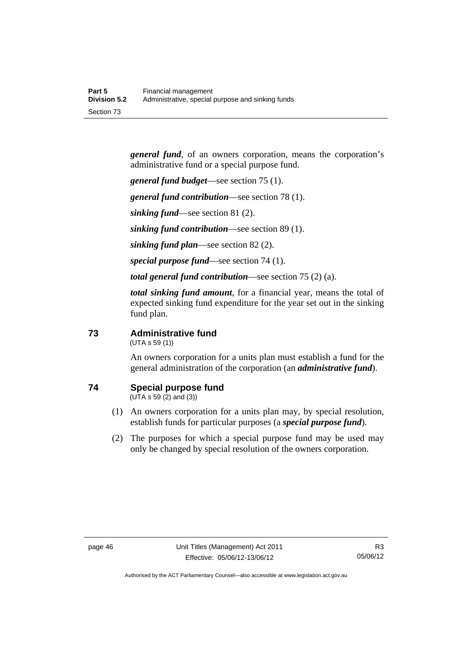*general fund*, of an owners corporation, means the corporation's administrative fund or a special purpose fund.

*general fund budget*—see section 75 (1).

*general fund contribution*—see section 78 (1).

*sinking fund*—see section 81 (2).

*sinking fund contribution*—see section 89 (1).

*sinking fund plan*—see section 82 (2).

*special purpose fund*—see section 74 (1).

*total general fund contribution*—see section 75 (2) (a).

*total sinking fund amount*, for a financial year, means the total of expected sinking fund expenditure for the year set out in the sinking fund plan.

#### **73 Administrative fund**

(UTA s 59 (1))

An owners corporation for a units plan must establish a fund for the general administration of the corporation (an *administrative fund*).

## **74 Special purpose fund**

(UTA s 59 (2) and (3))

- (1) An owners corporation for a units plan may, by special resolution, establish funds for particular purposes (a *special purpose fund*).
- (2) The purposes for which a special purpose fund may be used may only be changed by special resolution of the owners corporation.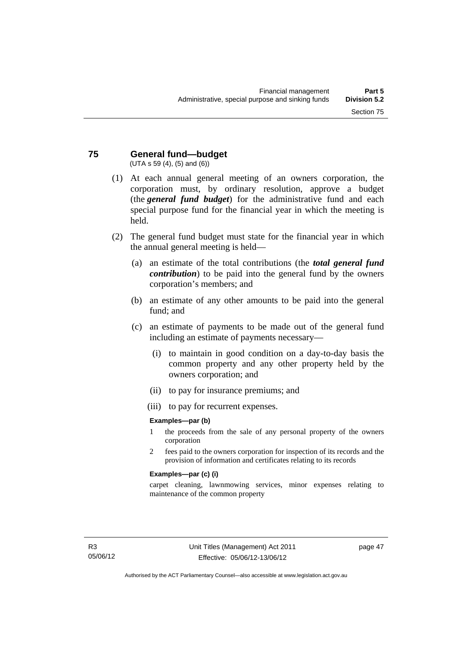#### **75 General fund—budget**  (UTA s 59 (4), (5) and (6))

- (1) At each annual general meeting of an owners corporation, the corporation must, by ordinary resolution, approve a budget (the *general fund budget*) for the administrative fund and each special purpose fund for the financial year in which the meeting is held.
- (2) The general fund budget must state for the financial year in which the annual general meeting is held—
	- (a) an estimate of the total contributions (the *total general fund contribution*) to be paid into the general fund by the owners corporation's members; and
	- (b) an estimate of any other amounts to be paid into the general fund; and
	- (c) an estimate of payments to be made out of the general fund including an estimate of payments necessary—
		- (i) to maintain in good condition on a day-to-day basis the common property and any other property held by the owners corporation; and
		- (ii) to pay for insurance premiums; and
		- (iii) to pay for recurrent expenses.

#### **Examples—par (b)**

- 1 the proceeds from the sale of any personal property of the owners corporation
- 2 fees paid to the owners corporation for inspection of its records and the provision of information and certificates relating to its records

#### **Examples—par (c) (i)**

carpet cleaning, lawnmowing services, minor expenses relating to maintenance of the common property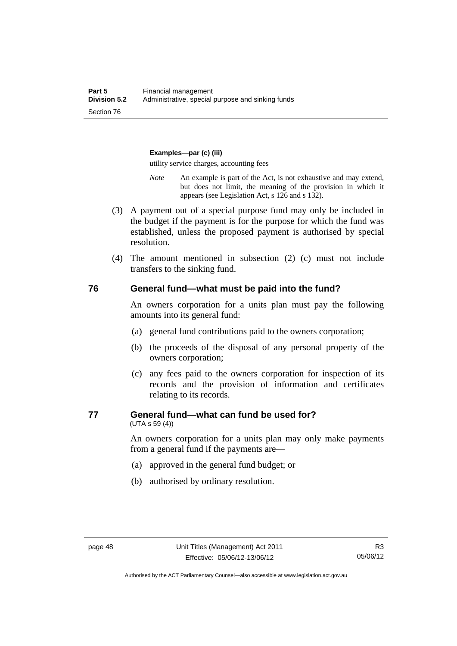#### **Examples—par (c) (iii)**

utility service charges, accounting fees

- *Note* An example is part of the Act, is not exhaustive and may extend, but does not limit, the meaning of the provision in which it appears (see Legislation Act, s 126 and s 132).
- (3) A payment out of a special purpose fund may only be included in the budget if the payment is for the purpose for which the fund was established, unless the proposed payment is authorised by special resolution.
- (4) The amount mentioned in subsection (2) (c) must not include transfers to the sinking fund.

#### **76 General fund—what must be paid into the fund?**

An owners corporation for a units plan must pay the following amounts into its general fund:

- (a) general fund contributions paid to the owners corporation;
- (b) the proceeds of the disposal of any personal property of the owners corporation;
- (c) any fees paid to the owners corporation for inspection of its records and the provision of information and certificates relating to its records.

#### **77 General fund—what can fund be used for?**

(UTA s 59 (4))

An owners corporation for a units plan may only make payments from a general fund if the payments are—

- (a) approved in the general fund budget; or
- (b) authorised by ordinary resolution.

Authorised by the ACT Parliamentary Counsel—also accessible at www.legislation.act.gov.au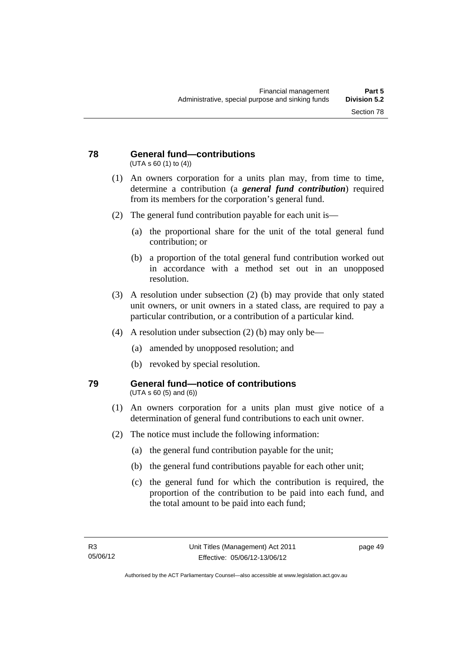#### **78 General fund—contributions**  (UTA s 60 (1) to (4))

- (1) An owners corporation for a units plan may, from time to time, determine a contribution (a *general fund contribution*) required from its members for the corporation's general fund.
- (2) The general fund contribution payable for each unit is—
	- (a) the proportional share for the unit of the total general fund contribution; or
	- (b) a proportion of the total general fund contribution worked out in accordance with a method set out in an unopposed resolution.
- (3) A resolution under subsection (2) (b) may provide that only stated unit owners, or unit owners in a stated class, are required to pay a particular contribution, or a contribution of a particular kind.
- (4) A resolution under subsection (2) (b) may only be—
	- (a) amended by unopposed resolution; and
	- (b) revoked by special resolution.

#### **79 General fund—notice of contributions**  (UTA s 60 (5) and (6))

- (1) An owners corporation for a units plan must give notice of a determination of general fund contributions to each unit owner.
- (2) The notice must include the following information:
	- (a) the general fund contribution payable for the unit;
	- (b) the general fund contributions payable for each other unit;
	- (c) the general fund for which the contribution is required, the proportion of the contribution to be paid into each fund, and the total amount to be paid into each fund;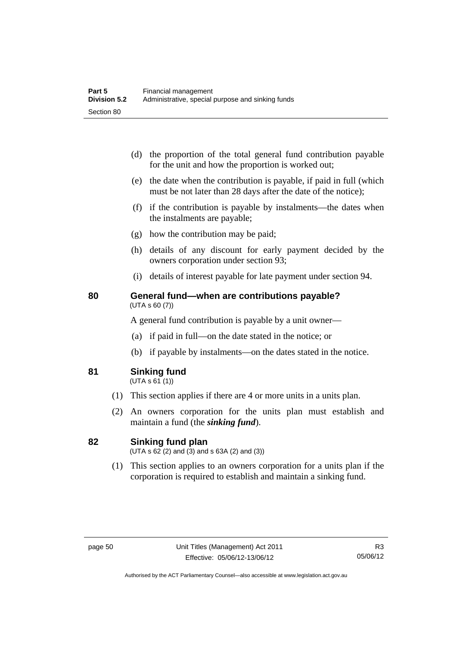- (d) the proportion of the total general fund contribution payable for the unit and how the proportion is worked out;
- (e) the date when the contribution is payable, if paid in full (which must be not later than 28 days after the date of the notice);
- (f) if the contribution is payable by instalments—the dates when the instalments are payable;
- (g) how the contribution may be paid;
- (h) details of any discount for early payment decided by the owners corporation under section 93;
- (i) details of interest payable for late payment under section 94.

#### **80 General fund—when are contributions payable?**  (UTA s 60 (7))

A general fund contribution is payable by a unit owner—

- (a) if paid in full—on the date stated in the notice; or
- (b) if payable by instalments—on the dates stated in the notice.
- **81 Sinking fund**

 $(UTA S 61(1))$ 

- (1) This section applies if there are 4 or more units in a units plan.
- (2) An owners corporation for the units plan must establish and maintain a fund (the *sinking fund*).

#### **82 Sinking fund plan**

 $(UTA \, s \, 62 \, (2)$  and  $(3)$  and  $s \, 63A \, (2)$  and  $(3)$ )

 (1) This section applies to an owners corporation for a units plan if the corporation is required to establish and maintain a sinking fund.

Authorised by the ACT Parliamentary Counsel—also accessible at www.legislation.act.gov.au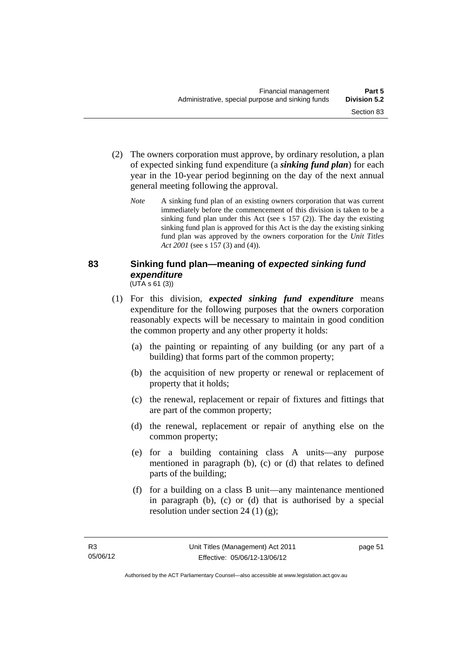- (2) The owners corporation must approve, by ordinary resolution, a plan of expected sinking fund expenditure (a *sinking fund plan*) for each year in the 10-year period beginning on the day of the next annual general meeting following the approval.
	- *Note* A sinking fund plan of an existing owners corporation that was current immediately before the commencement of this division is taken to be a sinking fund plan under this Act (see s 157 (2)). The day the existing sinking fund plan is approved for this Act is the day the existing sinking fund plan was approved by the owners corporation for the *Unit Titles Act 2001* (see s 157 (3) and (4)).

#### **83 Sinking fund plan—meaning of** *expected sinking fund expenditure* (UTA s 61 (3))

- (1) For this division, *expected sinking fund expenditure* means expenditure for the following purposes that the owners corporation reasonably expects will be necessary to maintain in good condition the common property and any other property it holds:
	- (a) the painting or repainting of any building (or any part of a building) that forms part of the common property;
	- (b) the acquisition of new property or renewal or replacement of property that it holds;
	- (c) the renewal, replacement or repair of fixtures and fittings that are part of the common property;
	- (d) the renewal, replacement or repair of anything else on the common property;
	- (e) for a building containing class A units—any purpose mentioned in paragraph (b), (c) or (d) that relates to defined parts of the building;
	- (f) for a building on a class B unit—any maintenance mentioned in paragraph (b), (c) or (d) that is authorised by a special resolution under section 24 (1) (g);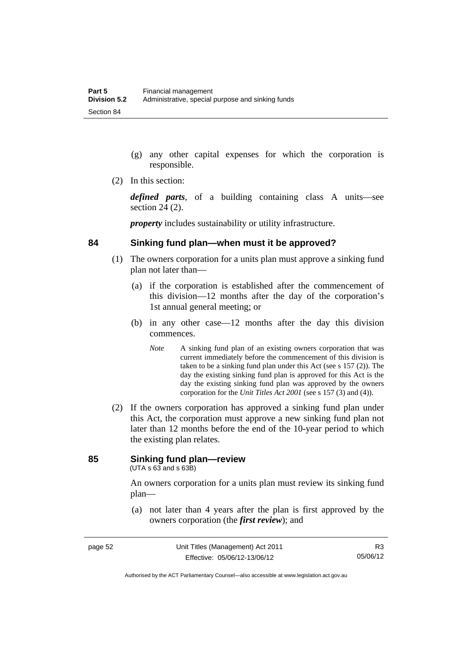- (g) any other capital expenses for which the corporation is responsible.
- (2) In this section:

*defined parts*, of a building containing class A units—see section 24 (2).

*property* includes sustainability or utility infrastructure.

#### **84 Sinking fund plan—when must it be approved?**

- (1) The owners corporation for a units plan must approve a sinking fund plan not later than—
	- (a) if the corporation is established after the commencement of this division—12 months after the day of the corporation's 1st annual general meeting; or
	- (b) in any other case—12 months after the day this division commences.
		- *Note* A sinking fund plan of an existing owners corporation that was current immediately before the commencement of this division is taken to be a sinking fund plan under this Act (see s 157 (2)). The day the existing sinking fund plan is approved for this Act is the day the existing sinking fund plan was approved by the owners corporation for the *Unit Titles Act 2001* (see s 157 (3) and (4)).
- (2) If the owners corporation has approved a sinking fund plan under this Act, the corporation must approve a new sinking fund plan not later than 12 months before the end of the 10-year period to which the existing plan relates.

# **85 Sinking fund plan—review**

(UTA s 63 and s 63B)

An owners corporation for a units plan must review its sinking fund plan—

 (a) not later than 4 years after the plan is first approved by the owners corporation (the *first review*); and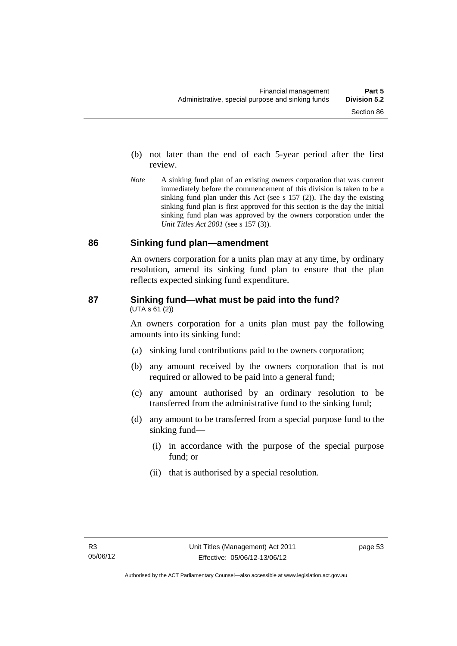- (b) not later than the end of each 5-year period after the first review.
- *Note* A sinking fund plan of an existing owners corporation that was current immediately before the commencement of this division is taken to be a sinking fund plan under this Act (see s 157 (2)). The day the existing sinking fund plan is first approved for this section is the day the initial sinking fund plan was approved by the owners corporation under the *Unit Titles Act 2001* (see s 157 (3)).

#### **86 Sinking fund plan—amendment**

An owners corporation for a units plan may at any time, by ordinary resolution, amend its sinking fund plan to ensure that the plan reflects expected sinking fund expenditure.

#### **87 Sinking fund—what must be paid into the fund?**   $(UTA S 61 (2))$

An owners corporation for a units plan must pay the following amounts into its sinking fund:

- (a) sinking fund contributions paid to the owners corporation;
- (b) any amount received by the owners corporation that is not required or allowed to be paid into a general fund;
- (c) any amount authorised by an ordinary resolution to be transferred from the administrative fund to the sinking fund;
- (d) any amount to be transferred from a special purpose fund to the sinking fund—
	- (i) in accordance with the purpose of the special purpose fund; or
	- (ii) that is authorised by a special resolution.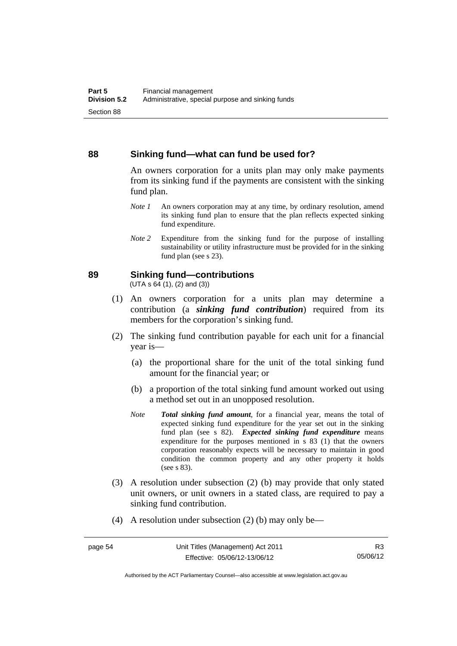#### **88 Sinking fund—what can fund be used for?**

An owners corporation for a units plan may only make payments from its sinking fund if the payments are consistent with the sinking fund plan.

- *Note 1* An owners corporation may at any time, by ordinary resolution, amend its sinking fund plan to ensure that the plan reflects expected sinking fund expenditure.
- *Note 2* Expenditure from the sinking fund for the purpose of installing sustainability or utility infrastructure must be provided for in the sinking fund plan (see s 23).

#### **89 Sinking fund—contributions**

 $(UTA S 64(1), (2) and (3))$ 

- (1) An owners corporation for a units plan may determine a contribution (a *sinking fund contribution*) required from its members for the corporation's sinking fund.
- (2) The sinking fund contribution payable for each unit for a financial year is—
	- (a) the proportional share for the unit of the total sinking fund amount for the financial year; or
	- (b) a proportion of the total sinking fund amount worked out using a method set out in an unopposed resolution.
	- *Note Total sinking fund amount*, for a financial year, means the total of expected sinking fund expenditure for the year set out in the sinking fund plan (see s 82). *Expected sinking fund expenditure* means expenditure for the purposes mentioned in s 83 (1) that the owners corporation reasonably expects will be necessary to maintain in good condition the common property and any other property it holds (see s 83).
- (3) A resolution under subsection (2) (b) may provide that only stated unit owners, or unit owners in a stated class, are required to pay a sinking fund contribution.
- (4) A resolution under subsection (2) (b) may only be—

Authorised by the ACT Parliamentary Counsel—also accessible at www.legislation.act.gov.au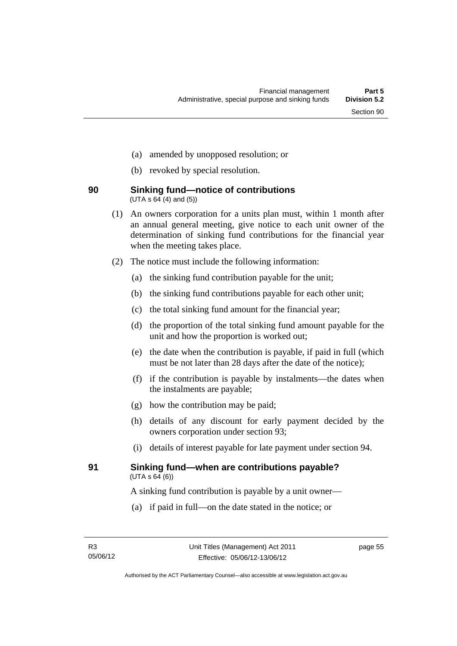- (a) amended by unopposed resolution; or
- (b) revoked by special resolution.

#### **90 Sinking fund—notice of contributions**   $(UTA \, s \, 64 \, (4) \, and \, (5))$

- (1) An owners corporation for a units plan must, within 1 month after an annual general meeting, give notice to each unit owner of the determination of sinking fund contributions for the financial year when the meeting takes place.
- (2) The notice must include the following information:
	- (a) the sinking fund contribution payable for the unit;
	- (b) the sinking fund contributions payable for each other unit;
	- (c) the total sinking fund amount for the financial year;
	- (d) the proportion of the total sinking fund amount payable for the unit and how the proportion is worked out;
	- (e) the date when the contribution is payable, if paid in full (which must be not later than 28 days after the date of the notice);
	- (f) if the contribution is payable by instalments—the dates when the instalments are payable;
	- (g) how the contribution may be paid;
	- (h) details of any discount for early payment decided by the owners corporation under section 93;
	- (i) details of interest payable for late payment under section 94.

#### **91 Sinking fund—when are contributions payable?**   $(UTA S 64(6))$

A sinking fund contribution is payable by a unit owner—

(a) if paid in full—on the date stated in the notice; or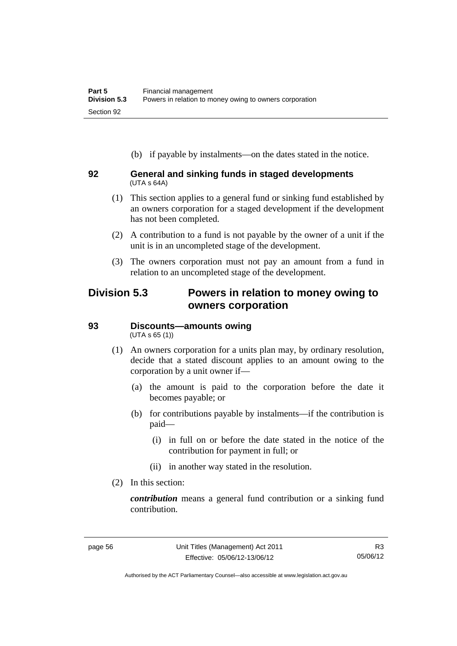(b) if payable by instalments—on the dates stated in the notice.

#### **92 General and sinking funds in staged developments**  (UTA s 64A)

- (1) This section applies to a general fund or sinking fund established by an owners corporation for a staged development if the development has not been completed.
- (2) A contribution to a fund is not payable by the owner of a unit if the unit is in an uncompleted stage of the development.
- (3) The owners corporation must not pay an amount from a fund in relation to an uncompleted stage of the development.

# **Division 5.3 Powers in relation to money owing to owners corporation**

# **93 Discounts—amounts owing**

(UTA s 65 (1))

- (1) An owners corporation for a units plan may, by ordinary resolution, decide that a stated discount applies to an amount owing to the corporation by a unit owner if—
	- (a) the amount is paid to the corporation before the date it becomes payable; or
	- (b) for contributions payable by instalments—if the contribution is paid—
		- (i) in full on or before the date stated in the notice of the contribution for payment in full; or
		- (ii) in another way stated in the resolution.
- (2) In this section:

*contribution* means a general fund contribution or a sinking fund contribution.

Authorised by the ACT Parliamentary Counsel—also accessible at www.legislation.act.gov.au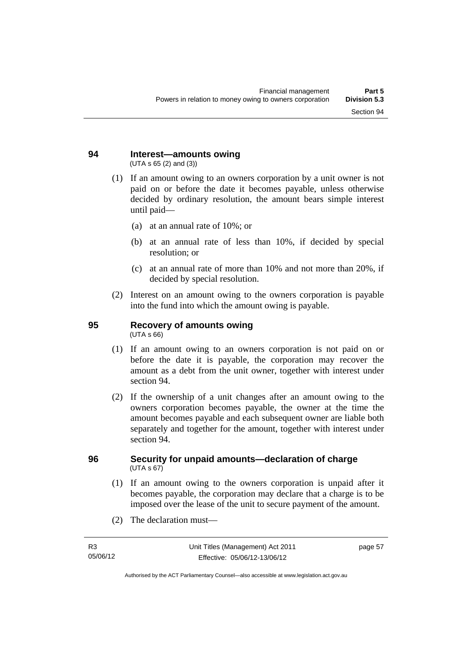#### **94 Interest—amounts owing**  (UTA s 65 (2) and (3))

- (1) If an amount owing to an owners corporation by a unit owner is not paid on or before the date it becomes payable, unless otherwise decided by ordinary resolution, the amount bears simple interest until paid—
	- (a) at an annual rate of 10%; or
	- (b) at an annual rate of less than 10%, if decided by special resolution; or
	- (c) at an annual rate of more than 10% and not more than 20%, if decided by special resolution.
- (2) Interest on an amount owing to the owners corporation is payable into the fund into which the amount owing is payable.

# **95 Recovery of amounts owing**

(UTA s 66)

- (1) If an amount owing to an owners corporation is not paid on or before the date it is payable, the corporation may recover the amount as a debt from the unit owner, together with interest under section 94.
- (2) If the ownership of a unit changes after an amount owing to the owners corporation becomes payable, the owner at the time the amount becomes payable and each subsequent owner are liable both separately and together for the amount, together with interest under section 94.

#### **96 Security for unpaid amounts—declaration of charge**   $(UTA \, s \, 67)$

- (1) If an amount owing to the owners corporation is unpaid after it becomes payable, the corporation may declare that a charge is to be imposed over the lease of the unit to secure payment of the amount.
- (2) The declaration must—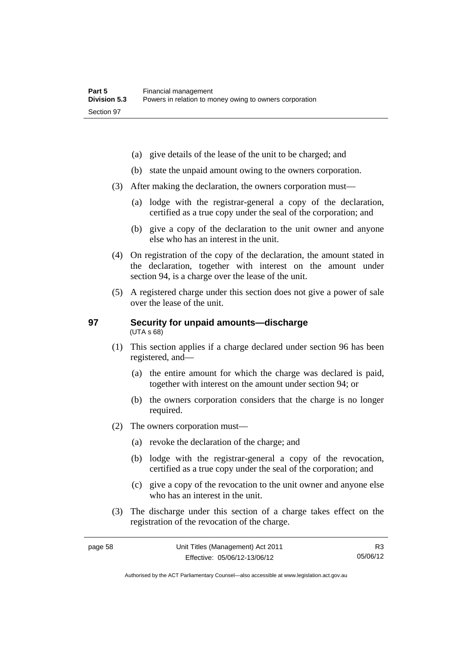- (a) give details of the lease of the unit to be charged; and
- (b) state the unpaid amount owing to the owners corporation.
- (3) After making the declaration, the owners corporation must—
	- (a) lodge with the registrar-general a copy of the declaration, certified as a true copy under the seal of the corporation; and
	- (b) give a copy of the declaration to the unit owner and anyone else who has an interest in the unit.
- (4) On registration of the copy of the declaration, the amount stated in the declaration, together with interest on the amount under section 94, is a charge over the lease of the unit.
- (5) A registered charge under this section does not give a power of sale over the lease of the unit.

#### **97 Security for unpaid amounts—discharge**  (UTA s 68)

- (1) This section applies if a charge declared under section 96 has been registered, and—
	- (a) the entire amount for which the charge was declared is paid, together with interest on the amount under section 94; or
	- (b) the owners corporation considers that the charge is no longer required.
- (2) The owners corporation must—
	- (a) revoke the declaration of the charge; and
	- (b) lodge with the registrar-general a copy of the revocation, certified as a true copy under the seal of the corporation; and
	- (c) give a copy of the revocation to the unit owner and anyone else who has an interest in the unit.
- (3) The discharge under this section of a charge takes effect on the registration of the revocation of the charge.

R3 05/06/12

Authorised by the ACT Parliamentary Counsel—also accessible at www.legislation.act.gov.au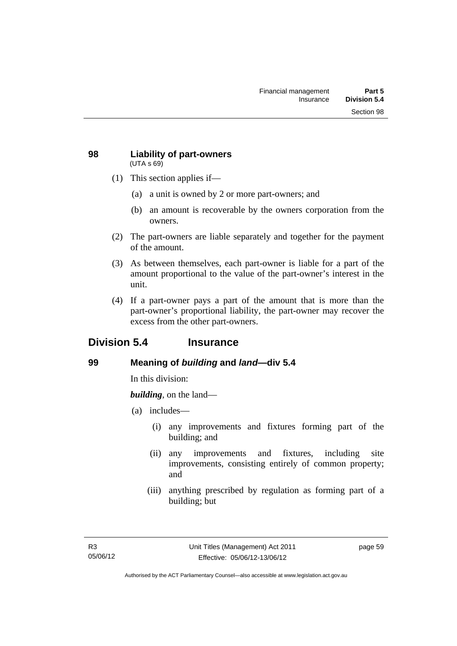#### **98 Liability of part-owners**  (UTA s 69)

- (1) This section applies if—
	- (a) a unit is owned by 2 or more part-owners; and
	- (b) an amount is recoverable by the owners corporation from the owners.
- (2) The part-owners are liable separately and together for the payment of the amount.
- (3) As between themselves, each part-owner is liable for a part of the amount proportional to the value of the part-owner's interest in the unit.
- (4) If a part-owner pays a part of the amount that is more than the part-owner's proportional liability, the part-owner may recover the excess from the other part-owners.

# **Division 5.4 Insurance**

## **99 Meaning of** *building* **and** *land***—div 5.4**

In this division:

*building*, on the land—

- (a) includes—
	- (i) any improvements and fixtures forming part of the building; and
	- (ii) any improvements and fixtures, including site improvements, consisting entirely of common property; and
	- (iii) anything prescribed by regulation as forming part of a building; but

page 59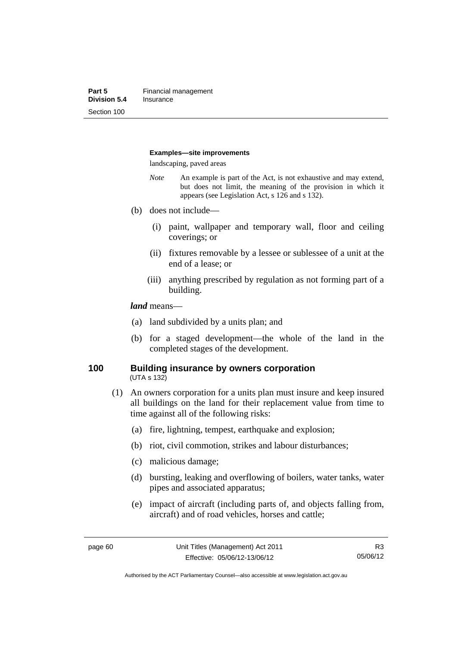#### **Examples—site improvements**

landscaping, paved areas

- *Note* An example is part of the Act, is not exhaustive and may extend, but does not limit, the meaning of the provision in which it appears (see Legislation Act, s 126 and s 132).
- (b) does not include—
	- (i) paint, wallpaper and temporary wall, floor and ceiling coverings; or
	- (ii) fixtures removable by a lessee or sublessee of a unit at the end of a lease; or
	- (iii) anything prescribed by regulation as not forming part of a building.

#### *land* means—

- (a) land subdivided by a units plan; and
- (b) for a staged development—the whole of the land in the completed stages of the development.

#### **100 Building insurance by owners corporation**  (UTA s 132)

- (1) An owners corporation for a units plan must insure and keep insured all buildings on the land for their replacement value from time to time against all of the following risks:
	- (a) fire, lightning, tempest, earthquake and explosion;
	- (b) riot, civil commotion, strikes and labour disturbances;
	- (c) malicious damage;
	- (d) bursting, leaking and overflowing of boilers, water tanks, water pipes and associated apparatus;
	- (e) impact of aircraft (including parts of, and objects falling from, aircraft) and of road vehicles, horses and cattle;

Authorised by the ACT Parliamentary Counsel—also accessible at www.legislation.act.gov.au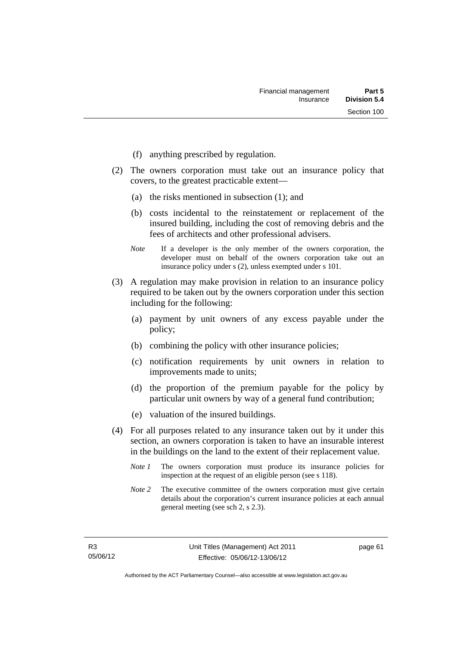- (f) anything prescribed by regulation.
- (2) The owners corporation must take out an insurance policy that covers, to the greatest practicable extent—
	- (a) the risks mentioned in subsection (1); and
	- (b) costs incidental to the reinstatement or replacement of the insured building, including the cost of removing debris and the fees of architects and other professional advisers.
	- *Note* If a developer is the only member of the owners corporation, the developer must on behalf of the owners corporation take out an insurance policy under s (2), unless exempted under s 101.
- (3) A regulation may make provision in relation to an insurance policy required to be taken out by the owners corporation under this section including for the following:
	- (a) payment by unit owners of any excess payable under the policy;
	- (b) combining the policy with other insurance policies;
	- (c) notification requirements by unit owners in relation to improvements made to units;
	- (d) the proportion of the premium payable for the policy by particular unit owners by way of a general fund contribution;
	- (e) valuation of the insured buildings.
- (4) For all purposes related to any insurance taken out by it under this section, an owners corporation is taken to have an insurable interest in the buildings on the land to the extent of their replacement value.
	- *Note 1* The owners corporation must produce its insurance policies for inspection at the request of an eligible person (see s 118).
	- *Note 2* The executive committee of the owners corporation must give certain details about the corporation's current insurance policies at each annual general meeting (see sch 2, s 2.3).

page 61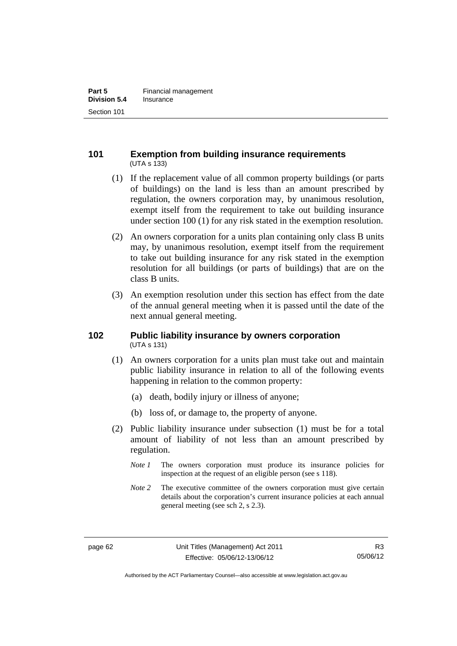## **101 Exemption from building insurance requirements**  (UTA s 133)

- (1) If the replacement value of all common property buildings (or parts of buildings) on the land is less than an amount prescribed by regulation, the owners corporation may, by unanimous resolution, exempt itself from the requirement to take out building insurance under section 100 (1) for any risk stated in the exemption resolution.
- (2) An owners corporation for a units plan containing only class B units may, by unanimous resolution, exempt itself from the requirement to take out building insurance for any risk stated in the exemption resolution for all buildings (or parts of buildings) that are on the class B units.
- (3) An exemption resolution under this section has effect from the date of the annual general meeting when it is passed until the date of the next annual general meeting.

## **102 Public liability insurance by owners corporation**  (UTA s 131)

- (1) An owners corporation for a units plan must take out and maintain public liability insurance in relation to all of the following events happening in relation to the common property:
	- (a) death, bodily injury or illness of anyone;
	- (b) loss of, or damage to, the property of anyone.
- (2) Public liability insurance under subsection (1) must be for a total amount of liability of not less than an amount prescribed by regulation.
	- *Note 1* The owners corporation must produce its insurance policies for inspection at the request of an eligible person (see s 118).
	- *Note 2* The executive committee of the owners corporation must give certain details about the corporation's current insurance policies at each annual general meeting (see sch 2, s 2.3).

Authorised by the ACT Parliamentary Counsel—also accessible at www.legislation.act.gov.au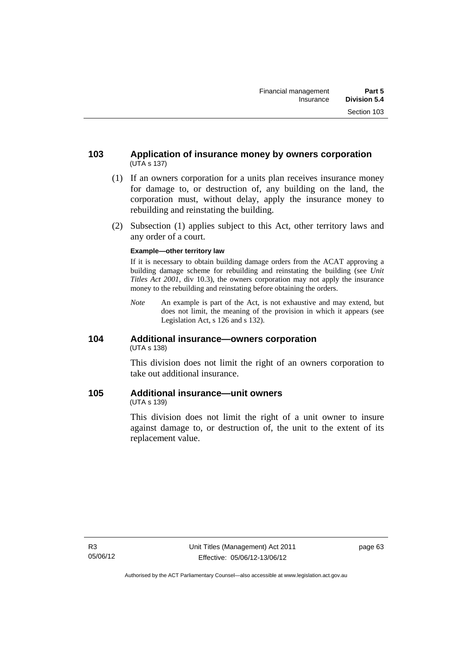- (1) If an owners corporation for a units plan receives insurance money for damage to, or destruction of, any building on the land, the corporation must, without delay, apply the insurance money to rebuilding and reinstating the building.
- (2) Subsection (1) applies subject to this Act, other territory laws and any order of a court.

#### **Example—other territory law**

If it is necessary to obtain building damage orders from the ACAT approving a building damage scheme for rebuilding and reinstating the building (see *Unit Titles Act 2001*, div 10.3), the owners corporation may not apply the insurance money to the rebuilding and reinstating before obtaining the orders.

*Note* An example is part of the Act, is not exhaustive and may extend, but does not limit, the meaning of the provision in which it appears (see Legislation Act, s 126 and s 132).

## **104 Additional insurance—owners corporation**  (UTA s 138)

This division does not limit the right of an owners corporation to take out additional insurance.

## **105 Additional insurance—unit owners**

(UTA s 139)

This division does not limit the right of a unit owner to insure against damage to, or destruction of, the unit to the extent of its replacement value.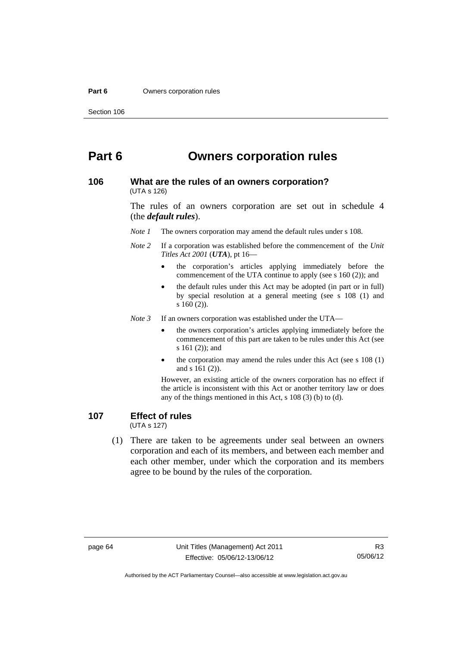#### **Part 6 Owners corporation rules**

# **Part 6 Owners corporation rules**

#### **106 What are the rules of an owners corporation?**  (UTA s 126)

The rules of an owners corporation are set out in schedule 4 (the *default rules*).

*Note 1* The owners corporation may amend the default rules under s 108.

- *Note 2* If a corporation was established before the commencement of the *Unit Titles Act 2001* (*UTA*), pt 16
	- the corporation's articles applying immediately before the commencement of the UTA continue to apply (see s 160 (2)); and
	- the default rules under this Act may be adopted (in part or in full) by special resolution at a general meeting (see s 108 (1) and s 160 (2)).

*Note 3* If an owners corporation was established under the UTA—

- the owners corporation's articles applying immediately before the commencement of this part are taken to be rules under this Act (see s 161 (2)); and
- the corporation may amend the rules under this Act (see s 108 (1) and s 161 (2)).

However, an existing article of the owners corporation has no effect if the article is inconsistent with this Act or another territory law or does any of the things mentioned in this Act, s 108 (3) (b) to (d).

# **107 Effect of rules**

(UTA s 127)

 (1) There are taken to be agreements under seal between an owners corporation and each of its members, and between each member and each other member, under which the corporation and its members agree to be bound by the rules of the corporation.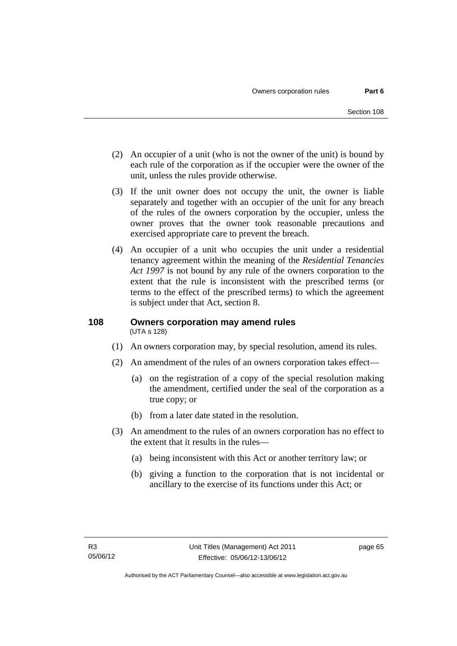- (2) An occupier of a unit (who is not the owner of the unit) is bound by each rule of the corporation as if the occupier were the owner of the unit, unless the rules provide otherwise.
- (3) If the unit owner does not occupy the unit, the owner is liable separately and together with an occupier of the unit for any breach of the rules of the owners corporation by the occupier, unless the owner proves that the owner took reasonable precautions and exercised appropriate care to prevent the breach.
- (4) An occupier of a unit who occupies the unit under a residential tenancy agreement within the meaning of the *Residential Tenancies Act 1997* is not bound by any rule of the owners corporation to the extent that the rule is inconsistent with the prescribed terms (or terms to the effect of the prescribed terms) to which the agreement is subject under that Act, section 8.

### **108 Owners corporation may amend rules**  (UTA s 128)

- (1) An owners corporation may, by special resolution, amend its rules.
- (2) An amendment of the rules of an owners corporation takes effect—
	- (a) on the registration of a copy of the special resolution making the amendment, certified under the seal of the corporation as a true copy; or
	- (b) from a later date stated in the resolution.
- (3) An amendment to the rules of an owners corporation has no effect to the extent that it results in the rules—
	- (a) being inconsistent with this Act or another territory law; or
	- (b) giving a function to the corporation that is not incidental or ancillary to the exercise of its functions under this Act; or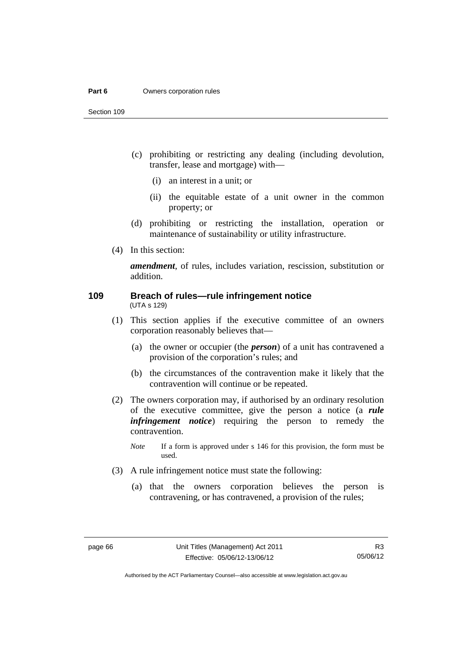#### **Part 6 Owners corporation rules**

Section 109

- (c) prohibiting or restricting any dealing (including devolution, transfer, lease and mortgage) with—
	- (i) an interest in a unit; or
	- (ii) the equitable estate of a unit owner in the common property; or
- (d) prohibiting or restricting the installation, operation or maintenance of sustainability or utility infrastructure.
- (4) In this section:

*amendment*, of rules, includes variation, rescission, substitution or addition.

#### **109 Breach of rules—rule infringement notice**  (UTA s 129)

- (1) This section applies if the executive committee of an owners corporation reasonably believes that—
	- (a) the owner or occupier (the *person*) of a unit has contravened a provision of the corporation's rules; and
	- (b) the circumstances of the contravention make it likely that the contravention will continue or be repeated.
- (2) The owners corporation may, if authorised by an ordinary resolution of the executive committee, give the person a notice (a *rule infringement notice*) requiring the person to remedy the contravention.
	- *Note* If a form is approved under s 146 for this provision, the form must be used.
- (3) A rule infringement notice must state the following:
	- (a) that the owners corporation believes the person is contravening, or has contravened, a provision of the rules;

Authorised by the ACT Parliamentary Counsel—also accessible at www.legislation.act.gov.au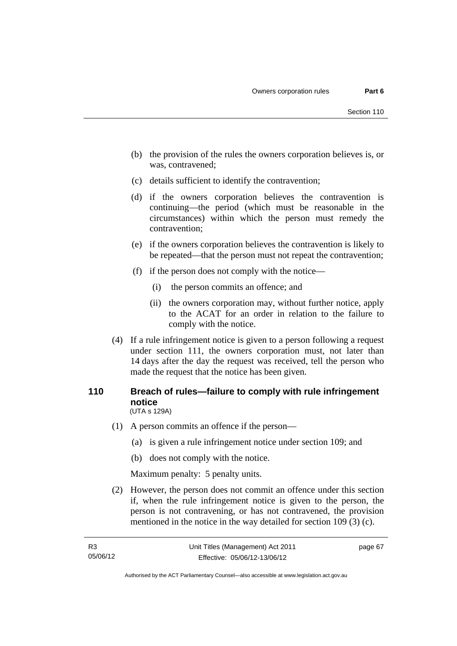- (b) the provision of the rules the owners corporation believes is, or was, contravened;
- (c) details sufficient to identify the contravention;
- (d) if the owners corporation believes the contravention is continuing—the period (which must be reasonable in the circumstances) within which the person must remedy the contravention;
- (e) if the owners corporation believes the contravention is likely to be repeated—that the person must not repeat the contravention;
- (f) if the person does not comply with the notice—
	- (i) the person commits an offence; and
	- (ii) the owners corporation may, without further notice, apply to the ACAT for an order in relation to the failure to comply with the notice.
- (4) If a rule infringement notice is given to a person following a request under section 111, the owners corporation must, not later than 14 days after the day the request was received, tell the person who made the request that the notice has been given.

### **110 Breach of rules—failure to comply with rule infringement notice**  (UTA s 129A)

- (1) A person commits an offence if the person—
	- (a) is given a rule infringement notice under section 109; and
	- (b) does not comply with the notice.

Maximum penalty: 5 penalty units.

 (2) However, the person does not commit an offence under this section if, when the rule infringement notice is given to the person, the person is not contravening, or has not contravened, the provision mentioned in the notice in the way detailed for section 109 (3) (c).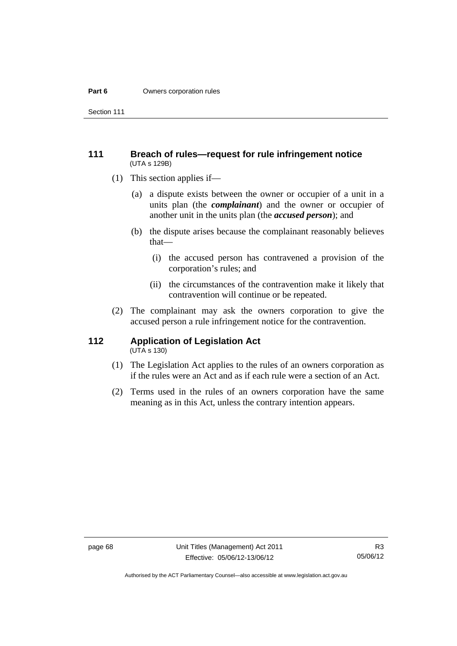#### **Part 6 Owners corporation rules**

Section 111

### **111 Breach of rules—request for rule infringement notice**  (UTA s 129B)

- (1) This section applies if—
	- (a) a dispute exists between the owner or occupier of a unit in a units plan (the *complainant*) and the owner or occupier of another unit in the units plan (the *accused person*); and
	- (b) the dispute arises because the complainant reasonably believes that—
		- (i) the accused person has contravened a provision of the corporation's rules; and
		- (ii) the circumstances of the contravention make it likely that contravention will continue or be repeated.
- (2) The complainant may ask the owners corporation to give the accused person a rule infringement notice for the contravention.

# **112 Application of Legislation Act**

- $(UTA \s{130})$
- (1) The Legislation Act applies to the rules of an owners corporation as if the rules were an Act and as if each rule were a section of an Act.
- (2) Terms used in the rules of an owners corporation have the same meaning as in this Act, unless the contrary intention appears.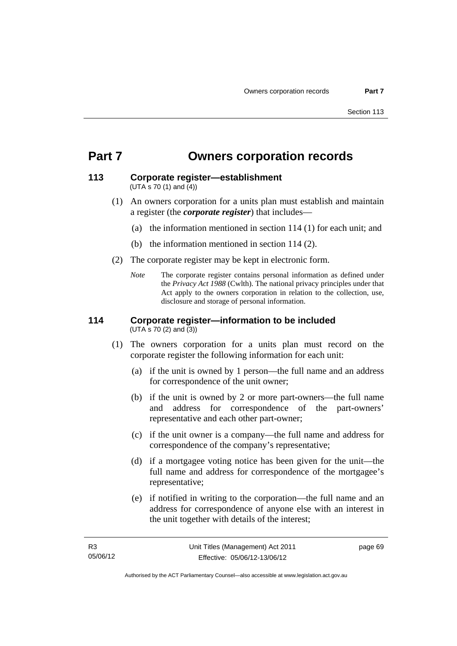# **Part 7 Owners corporation records**

#### **113 Corporate register—establishment**  (UTA s 70 (1) and (4))

- (1) An owners corporation for a units plan must establish and maintain a register (the *corporate register*) that includes—
	- (a) the information mentioned in section 114 (1) for each unit; and
	- (b) the information mentioned in section 114 (2).
- (2) The corporate register may be kept in electronic form.
	- *Note* The corporate register contains personal information as defined under the *Privacy Act 1988* (Cwlth). The national privacy principles under that Act apply to the owners corporation in relation to the collection, use, disclosure and storage of personal information.

#### **114 Corporate register—information to be included**  (UTA s 70 (2) and (3))

- (1) The owners corporation for a units plan must record on the corporate register the following information for each unit:
	- (a) if the unit is owned by 1 person—the full name and an address for correspondence of the unit owner;
	- (b) if the unit is owned by 2 or more part-owners—the full name and address for correspondence of the part-owners' representative and each other part-owner;
	- (c) if the unit owner is a company—the full name and address for correspondence of the company's representative;
	- (d) if a mortgagee voting notice has been given for the unit—the full name and address for correspondence of the mortgagee's representative;
	- (e) if notified in writing to the corporation—the full name and an address for correspondence of anyone else with an interest in the unit together with details of the interest;

page 69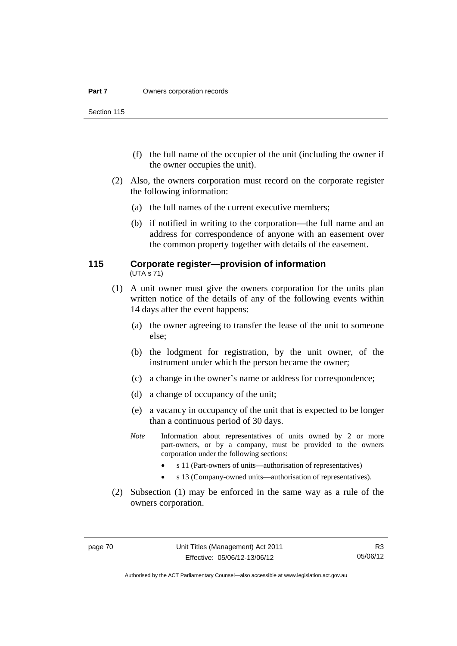Section 115

- (f) the full name of the occupier of the unit (including the owner if the owner occupies the unit).
- (2) Also, the owners corporation must record on the corporate register the following information:
	- (a) the full names of the current executive members;
	- (b) if notified in writing to the corporation—the full name and an address for correspondence of anyone with an easement over the common property together with details of the easement.

### **115 Corporate register—provision of information**  (UTA s 71)

- (1) A unit owner must give the owners corporation for the units plan written notice of the details of any of the following events within 14 days after the event happens:
	- (a) the owner agreeing to transfer the lease of the unit to someone else;
	- (b) the lodgment for registration, by the unit owner, of the instrument under which the person became the owner;
	- (c) a change in the owner's name or address for correspondence;
	- (d) a change of occupancy of the unit;
	- (e) a vacancy in occupancy of the unit that is expected to be longer than a continuous period of 30 days.
	- *Note* Information about representatives of units owned by 2 or more part-owners, or by a company, must be provided to the owners corporation under the following sections:
		- s 11 (Part-owners of units—authorisation of representatives)
		- s 13 (Company-owned units—authorisation of representatives).
- (2) Subsection (1) may be enforced in the same way as a rule of the owners corporation.

R3 05/06/12

Authorised by the ACT Parliamentary Counsel—also accessible at www.legislation.act.gov.au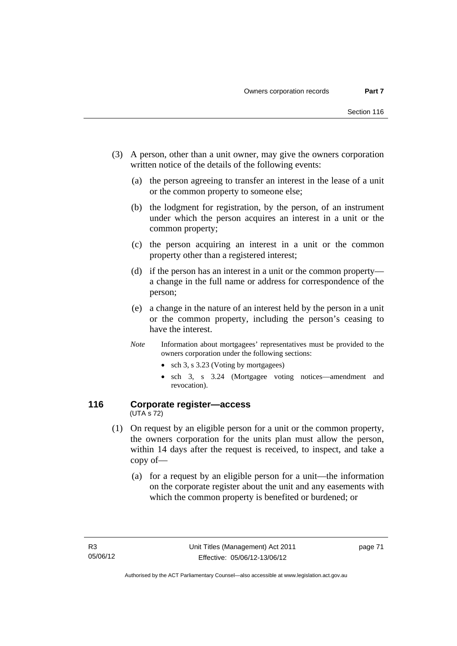- (3) A person, other than a unit owner, may give the owners corporation written notice of the details of the following events:
	- (a) the person agreeing to transfer an interest in the lease of a unit or the common property to someone else;
	- (b) the lodgment for registration, by the person, of an instrument under which the person acquires an interest in a unit or the common property;
	- (c) the person acquiring an interest in a unit or the common property other than a registered interest;
	- (d) if the person has an interest in a unit or the common property a change in the full name or address for correspondence of the person;
	- (e) a change in the nature of an interest held by the person in a unit or the common property, including the person's ceasing to have the interest.
	- *Note* Information about mortgagees' representatives must be provided to the owners corporation under the following sections:
		- sch 3, s 3.23 (Voting by mortgagees)
		- sch 3, s 3.24 (Mortgagee voting notices—amendment and revocation).

### **116 Corporate register—access**  (UTA s 72)

- (1) On request by an eligible person for a unit or the common property, the owners corporation for the units plan must allow the person, within 14 days after the request is received, to inspect, and take a copy of—
	- (a) for a request by an eligible person for a unit—the information on the corporate register about the unit and any easements with which the common property is benefited or burdened; or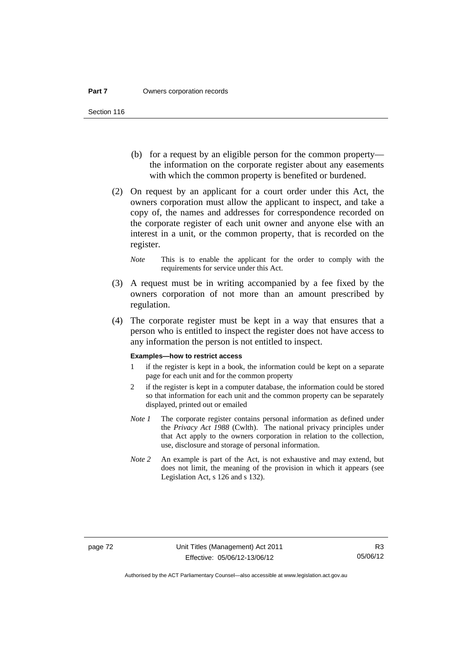- (b) for a request by an eligible person for the common property the information on the corporate register about any easements with which the common property is benefited or burdened.
- (2) On request by an applicant for a court order under this Act, the owners corporation must allow the applicant to inspect, and take a copy of, the names and addresses for correspondence recorded on the corporate register of each unit owner and anyone else with an interest in a unit, or the common property, that is recorded on the register.
	- *Note* This is to enable the applicant for the order to comply with the requirements for service under this Act.
- (3) A request must be in writing accompanied by a fee fixed by the owners corporation of not more than an amount prescribed by regulation.
- (4) The corporate register must be kept in a way that ensures that a person who is entitled to inspect the register does not have access to any information the person is not entitled to inspect.

#### **Examples—how to restrict access**

- 1 if the register is kept in a book, the information could be kept on a separate page for each unit and for the common property
- 2 if the register is kept in a computer database, the information could be stored so that information for each unit and the common property can be separately displayed, printed out or emailed
- *Note 1* The corporate register contains personal information as defined under the *Privacy Act 1988* (Cwlth). The national privacy principles under that Act apply to the owners corporation in relation to the collection, use, disclosure and storage of personal information.
- *Note 2* An example is part of the Act, is not exhaustive and may extend, but does not limit, the meaning of the provision in which it appears (see Legislation Act, s 126 and s 132).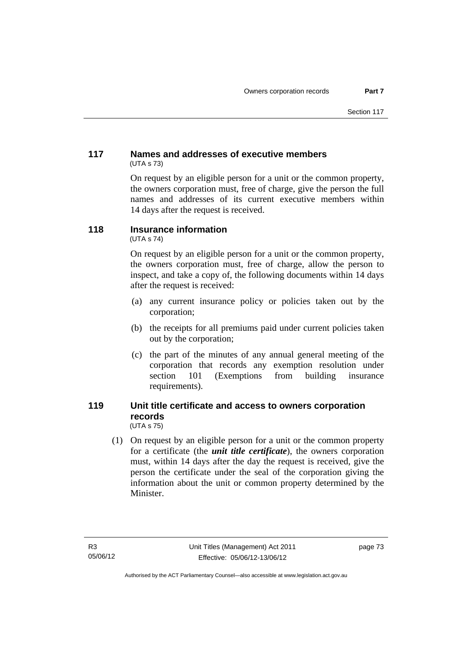# **117 Names and addresses of executive members**  (UTA s 73)

On request by an eligible person for a unit or the common property, the owners corporation must, free of charge, give the person the full names and addresses of its current executive members within 14 days after the request is received.

# **118 Insurance information**

(UTA s 74)

On request by an eligible person for a unit or the common property, the owners corporation must, free of charge, allow the person to inspect, and take a copy of, the following documents within 14 days after the request is received:

- (a) any current insurance policy or policies taken out by the corporation;
- (b) the receipts for all premiums paid under current policies taken out by the corporation;
- (c) the part of the minutes of any annual general meeting of the corporation that records any exemption resolution under section 101 (Exemptions from building insurance requirements).

### **119 Unit title certificate and access to owners corporation records**  (UTA s 75)

 (1) On request by an eligible person for a unit or the common property for a certificate (the *unit title certificate*), the owners corporation must, within 14 days after the day the request is received, give the person the certificate under the seal of the corporation giving the information about the unit or common property determined by the Minister.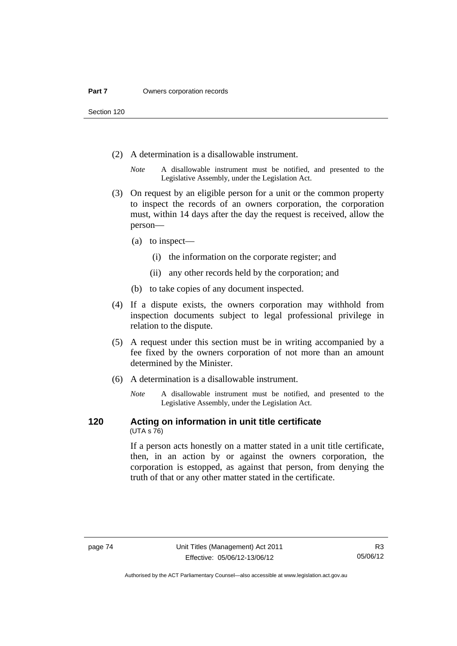Section 120

- (2) A determination is a disallowable instrument.
	- *Note* A disallowable instrument must be notified, and presented to the Legislative Assembly, under the Legislation Act.
- (3) On request by an eligible person for a unit or the common property to inspect the records of an owners corporation, the corporation must, within 14 days after the day the request is received, allow the person—
	- (a) to inspect—
		- (i) the information on the corporate register; and
		- (ii) any other records held by the corporation; and
	- (b) to take copies of any document inspected.
- (4) If a dispute exists, the owners corporation may withhold from inspection documents subject to legal professional privilege in relation to the dispute.
- (5) A request under this section must be in writing accompanied by a fee fixed by the owners corporation of not more than an amount determined by the Minister.
- (6) A determination is a disallowable instrument.
	- *Note* A disallowable instrument must be notified, and presented to the Legislative Assembly, under the Legislation Act.

#### **120 Acting on information in unit title certificate**  (UTA s 76)

If a person acts honestly on a matter stated in a unit title certificate, then, in an action by or against the owners corporation, the corporation is estopped, as against that person, from denying the truth of that or any other matter stated in the certificate.

Authorised by the ACT Parliamentary Counsel—also accessible at www.legislation.act.gov.au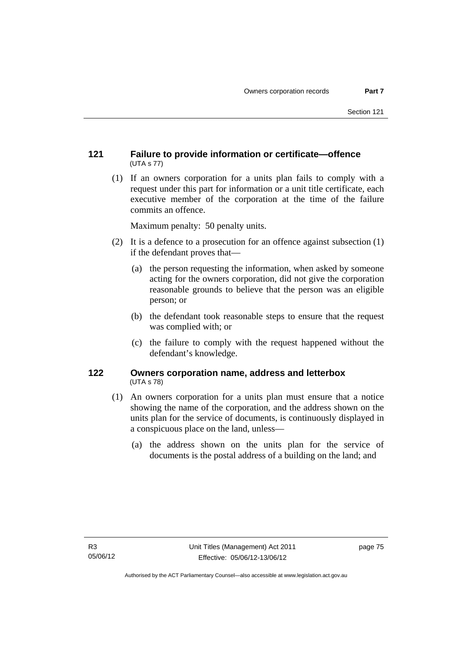# **121 Failure to provide information or certificate—offence**  (UTA s 77)

 (1) If an owners corporation for a units plan fails to comply with a request under this part for information or a unit title certificate, each executive member of the corporation at the time of the failure commits an offence.

Maximum penalty: 50 penalty units.

- (2) It is a defence to a prosecution for an offence against subsection (1) if the defendant proves that—
	- (a) the person requesting the information, when asked by someone acting for the owners corporation, did not give the corporation reasonable grounds to believe that the person was an eligible person; or
	- (b) the defendant took reasonable steps to ensure that the request was complied with; or
	- (c) the failure to comply with the request happened without the defendant's knowledge.

## **122 Owners corporation name, address and letterbox**  (UTA s 78)

- (1) An owners corporation for a units plan must ensure that a notice showing the name of the corporation, and the address shown on the units plan for the service of documents, is continuously displayed in a conspicuous place on the land, unless—
	- (a) the address shown on the units plan for the service of documents is the postal address of a building on the land; and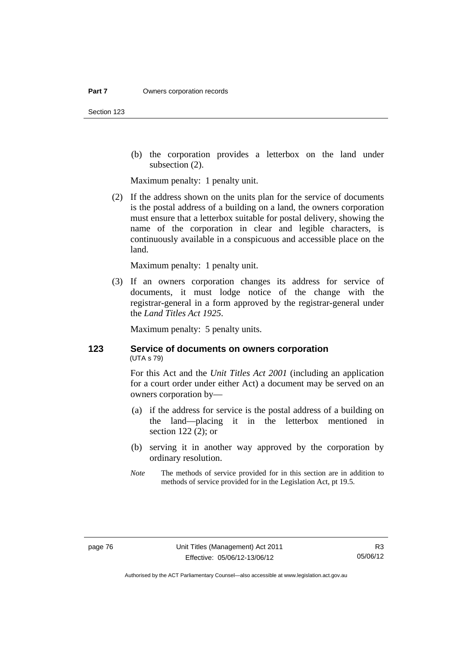Section 123

 (b) the corporation provides a letterbox on the land under subsection (2).

Maximum penalty: 1 penalty unit.

 (2) If the address shown on the units plan for the service of documents is the postal address of a building on a land, the owners corporation must ensure that a letterbox suitable for postal delivery, showing the name of the corporation in clear and legible characters, is continuously available in a conspicuous and accessible place on the land.

Maximum penalty: 1 penalty unit.

 (3) If an owners corporation changes its address for service of documents, it must lodge notice of the change with the registrar-general in a form approved by the registrar-general under the *Land Titles Act 1925*.

Maximum penalty: 5 penalty units.

## **123 Service of documents on owners corporation**  (UTA s 79)

For this Act and the *Unit Titles Act 2001* (including an application for a court order under either Act) a document may be served on an owners corporation by—

- (a) if the address for service is the postal address of a building on the land—placing it in the letterbox mentioned in section 122 (2); or
- (b) serving it in another way approved by the corporation by ordinary resolution.
- *Note* The methods of service provided for in this section are in addition to methods of service provided for in the Legislation Act, pt 19.5.

Authorised by the ACT Parliamentary Counsel—also accessible at www.legislation.act.gov.au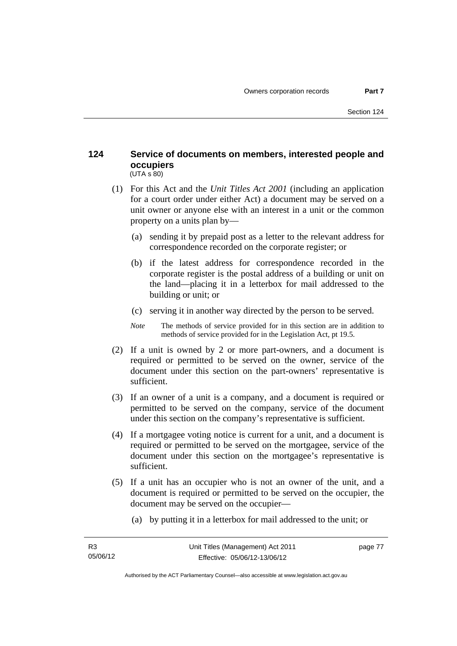### **124 Service of documents on members, interested people and occupiers**   $(UTA S 80)$

- (1) For this Act and the *Unit Titles Act 2001* (including an application for a court order under either Act) a document may be served on a unit owner or anyone else with an interest in a unit or the common property on a units plan by—
	- (a) sending it by prepaid post as a letter to the relevant address for correspondence recorded on the corporate register; or
	- (b) if the latest address for correspondence recorded in the corporate register is the postal address of a building or unit on the land—placing it in a letterbox for mail addressed to the building or unit; or
	- (c) serving it in another way directed by the person to be served.
	- *Note* The methods of service provided for in this section are in addition to methods of service provided for in the Legislation Act, pt 19.5.
- (2) If a unit is owned by 2 or more part-owners, and a document is required or permitted to be served on the owner, service of the document under this section on the part-owners' representative is sufficient.
- (3) If an owner of a unit is a company, and a document is required or permitted to be served on the company, service of the document under this section on the company's representative is sufficient.
- (4) If a mortgagee voting notice is current for a unit, and a document is required or permitted to be served on the mortgagee, service of the document under this section on the mortgagee's representative is sufficient.
- (5) If a unit has an occupier who is not an owner of the unit, and a document is required or permitted to be served on the occupier, the document may be served on the occupier—
	- (a) by putting it in a letterbox for mail addressed to the unit; or

page 77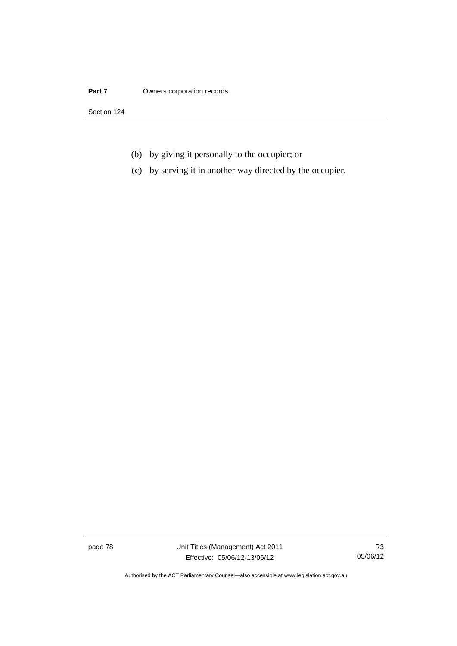#### **Part 7 Owners corporation records**

Section 124

- (b) by giving it personally to the occupier; or
- (c) by serving it in another way directed by the occupier.

page 78 Unit Titles (Management) Act 2011 Effective: 05/06/12-13/06/12

R3 05/06/12

Authorised by the ACT Parliamentary Counsel—also accessible at www.legislation.act.gov.au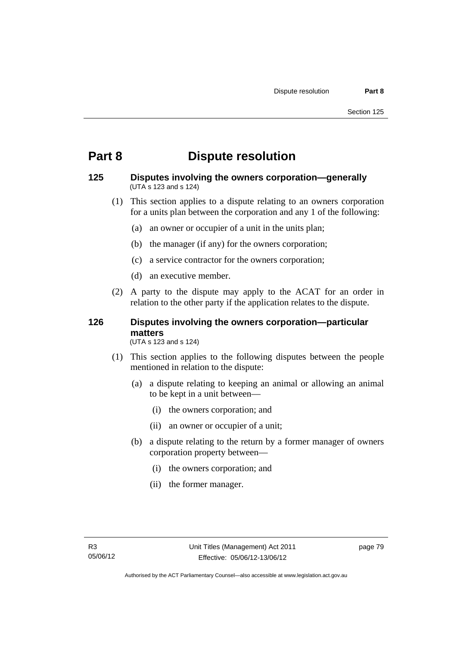# **Part 8 Dispute resolution**

### **125 Disputes involving the owners corporation—generally**  (UTA s 123 and s 124)

- (1) This section applies to a dispute relating to an owners corporation for a units plan between the corporation and any 1 of the following:
	- (a) an owner or occupier of a unit in the units plan;
	- (b) the manager (if any) for the owners corporation;
	- (c) a service contractor for the owners corporation;
	- (d) an executive member.
- (2) A party to the dispute may apply to the ACAT for an order in relation to the other party if the application relates to the dispute.

# **126 Disputes involving the owners corporation—particular matters**

(UTA s 123 and s 124)

- (1) This section applies to the following disputes between the people mentioned in relation to the dispute:
	- (a) a dispute relating to keeping an animal or allowing an animal to be kept in a unit between—
		- (i) the owners corporation; and
		- (ii) an owner or occupier of a unit;
	- (b) a dispute relating to the return by a former manager of owners corporation property between—
		- (i) the owners corporation; and
		- (ii) the former manager.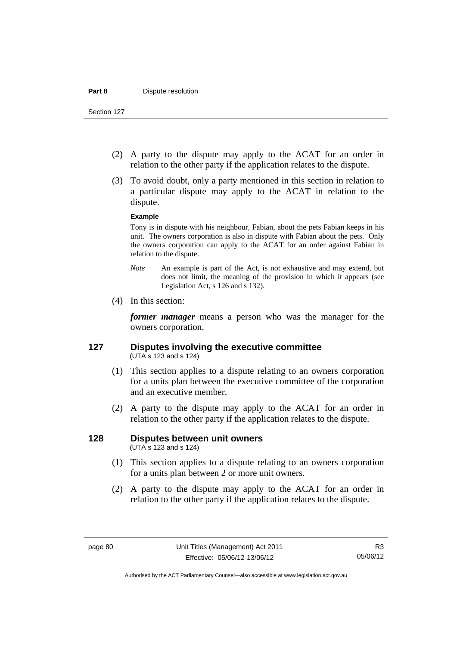- (2) A party to the dispute may apply to the ACAT for an order in relation to the other party if the application relates to the dispute.
- (3) To avoid doubt, only a party mentioned in this section in relation to a particular dispute may apply to the ACAT in relation to the dispute.

#### **Example**

Tony is in dispute with his neighbour, Fabian, about the pets Fabian keeps in his unit. The owners corporation is also in dispute with Fabian about the pets. Only the owners corporation can apply to the ACAT for an order against Fabian in relation to the dispute.

- *Note* An example is part of the Act, is not exhaustive and may extend, but does not limit, the meaning of the provision in which it appears (see Legislation Act, s 126 and s 132).
- (4) In this section:

*former manager* means a person who was the manager for the owners corporation.

### **127 Disputes involving the executive committee**  (UTA s 123 and s 124)

- (1) This section applies to a dispute relating to an owners corporation for a units plan between the executive committee of the corporation and an executive member.
- (2) A party to the dispute may apply to the ACAT for an order in relation to the other party if the application relates to the dispute.

# **128 Disputes between unit owners**

(UTA s 123 and s 124)

- (1) This section applies to a dispute relating to an owners corporation for a units plan between 2 or more unit owners.
- (2) A party to the dispute may apply to the ACAT for an order in relation to the other party if the application relates to the dispute.

Authorised by the ACT Parliamentary Counsel—also accessible at www.legislation.act.gov.au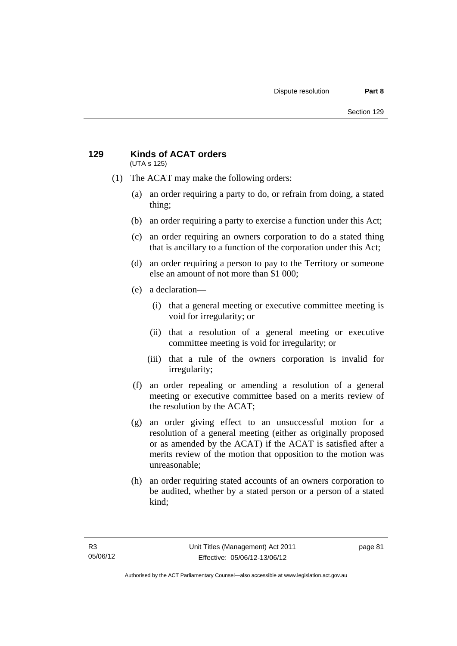### **129 Kinds of ACAT orders**  (UTA s 125)

- (1) The ACAT may make the following orders:
	- (a) an order requiring a party to do, or refrain from doing, a stated thing;
	- (b) an order requiring a party to exercise a function under this Act;
	- (c) an order requiring an owners corporation to do a stated thing that is ancillary to a function of the corporation under this Act;
	- (d) an order requiring a person to pay to the Territory or someone else an amount of not more than \$1 000;
	- (e) a declaration—
		- (i) that a general meeting or executive committee meeting is void for irregularity; or
		- (ii) that a resolution of a general meeting or executive committee meeting is void for irregularity; or
		- (iii) that a rule of the owners corporation is invalid for irregularity;
	- (f) an order repealing or amending a resolution of a general meeting or executive committee based on a merits review of the resolution by the ACAT;
	- (g) an order giving effect to an unsuccessful motion for a resolution of a general meeting (either as originally proposed or as amended by the ACAT) if the ACAT is satisfied after a merits review of the motion that opposition to the motion was unreasonable;
	- (h) an order requiring stated accounts of an owners corporation to be audited, whether by a stated person or a person of a stated kind;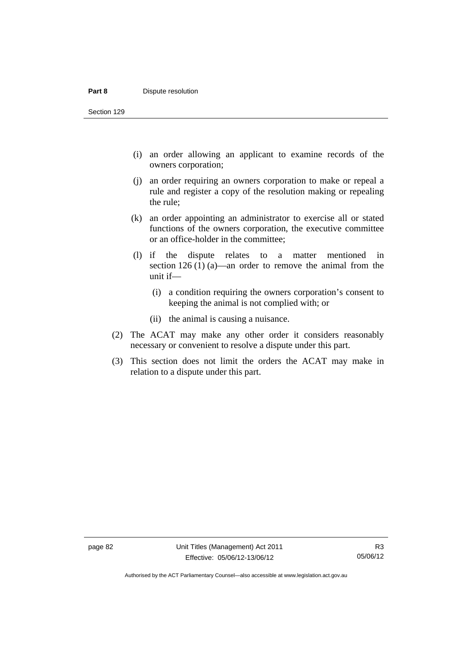#### **Part 8 Dispute resolution**

Section 129

- (i) an order allowing an applicant to examine records of the owners corporation;
- (j) an order requiring an owners corporation to make or repeal a rule and register a copy of the resolution making or repealing the rule;
- (k) an order appointing an administrator to exercise all or stated functions of the owners corporation, the executive committee or an office-holder in the committee;
- (l) if the dispute relates to a matter mentioned in section 126 (1) (a)—an order to remove the animal from the unit if—
	- (i) a condition requiring the owners corporation's consent to keeping the animal is not complied with; or
	- (ii) the animal is causing a nuisance.
- (2) The ACAT may make any other order it considers reasonably necessary or convenient to resolve a dispute under this part.
- (3) This section does not limit the orders the ACAT may make in relation to a dispute under this part.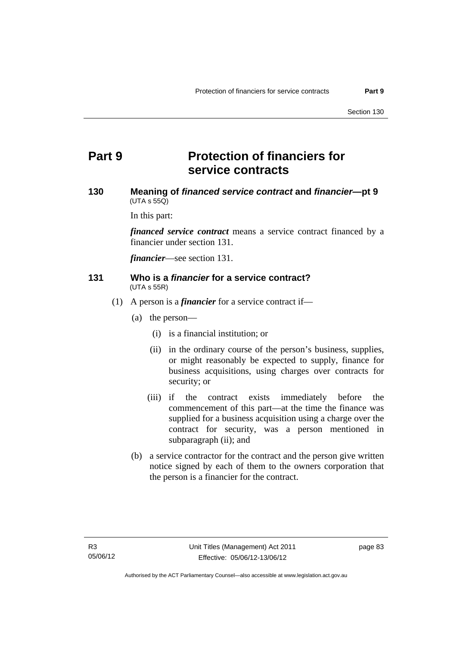# **Part 9 Protection of financiers for service contracts**

## **130 Meaning of** *financed service contract* **and** *financier***—pt 9**   $(UTA \, s \, 55Q)$

In this part:

*financed service contract* means a service contract financed by a financier under section 131.

*financier*—see section 131.

#### **131 Who is a** *financier* **for a service contract?**  (UTA s 55R)

- (1) A person is a *financier* for a service contract if—
	- (a) the person—
		- (i) is a financial institution; or
		- (ii) in the ordinary course of the person's business, supplies, or might reasonably be expected to supply, finance for business acquisitions, using charges over contracts for security; or
		- (iii) if the contract exists immediately before the commencement of this part—at the time the finance was supplied for a business acquisition using a charge over the contract for security, was a person mentioned in subparagraph (ii); and
	- (b) a service contractor for the contract and the person give written notice signed by each of them to the owners corporation that the person is a financier for the contract.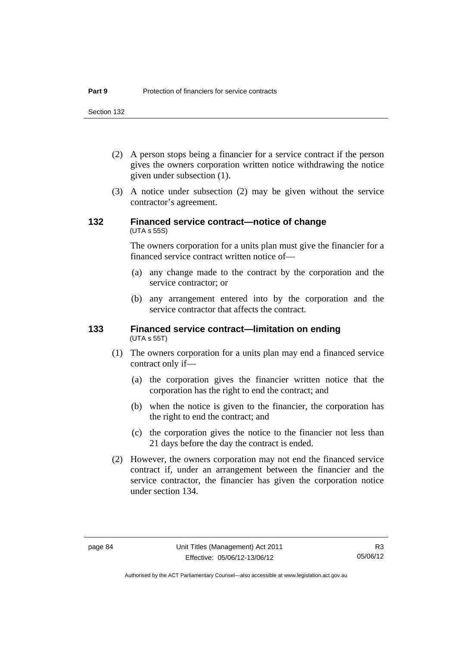Section 132

- (2) A person stops being a financier for a service contract if the person gives the owners corporation written notice withdrawing the notice given under subsection (1).
- (3) A notice under subsection (2) may be given without the service contractor's agreement.

## **132 Financed service contract—notice of change**  (UTA s 55S)

The owners corporation for a units plan must give the financier for a financed service contract written notice of—

- (a) any change made to the contract by the corporation and the service contractor; or
- (b) any arrangement entered into by the corporation and the service contractor that affects the contract.

#### **133 Financed service contract—limitation on ending**  (UTA s 55T)

- (1) The owners corporation for a units plan may end a financed service contract only if—
	- (a) the corporation gives the financier written notice that the corporation has the right to end the contract; and
	- (b) when the notice is given to the financier, the corporation has the right to end the contract; and
	- (c) the corporation gives the notice to the financier not less than 21 days before the day the contract is ended.
- (2) However, the owners corporation may not end the financed service contract if, under an arrangement between the financier and the service contractor, the financier has given the corporation notice under section 134.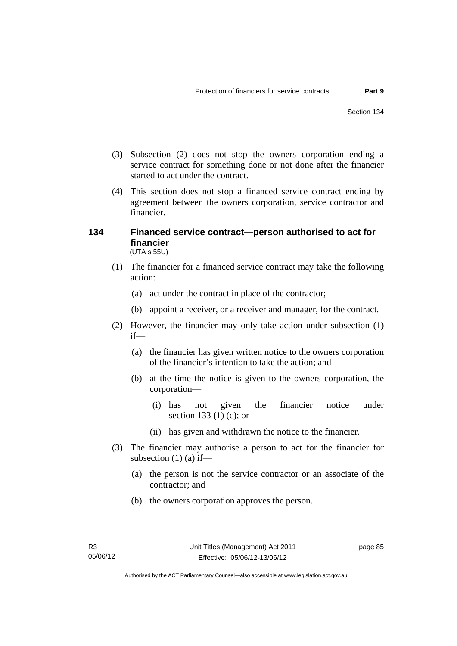- (3) Subsection (2) does not stop the owners corporation ending a service contract for something done or not done after the financier started to act under the contract.
- (4) This section does not stop a financed service contract ending by agreement between the owners corporation, service contractor and financier.

### **134 Financed service contract—person authorised to act for financier**  (UTA s 55U)

- (1) The financier for a financed service contract may take the following action:
	- (a) act under the contract in place of the contractor;
	- (b) appoint a receiver, or a receiver and manager, for the contract.
- (2) However, the financier may only take action under subsection (1) if—
	- (a) the financier has given written notice to the owners corporation of the financier's intention to take the action; and
	- (b) at the time the notice is given to the owners corporation, the corporation—
		- (i) has not given the financier notice under section 133 (1) (c); or
		- (ii) has given and withdrawn the notice to the financier.
- (3) The financier may authorise a person to act for the financier for subsection  $(1)$  (a) if—
	- (a) the person is not the service contractor or an associate of the contractor; and
	- (b) the owners corporation approves the person.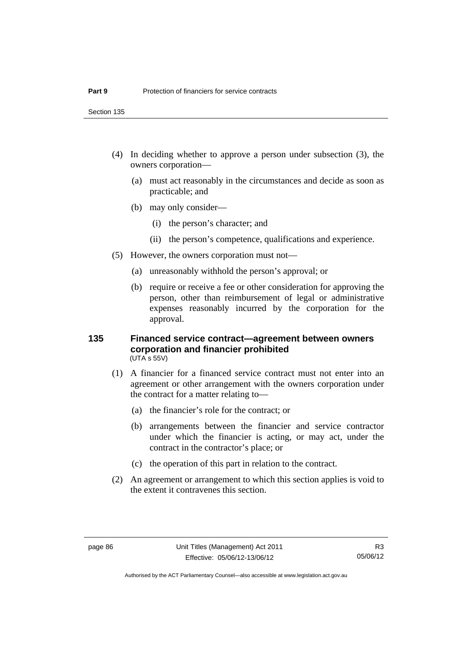Section 135

- (4) In deciding whether to approve a person under subsection (3), the owners corporation—
	- (a) must act reasonably in the circumstances and decide as soon as practicable; and
	- (b) may only consider—
		- (i) the person's character; and
		- (ii) the person's competence, qualifications and experience.
- (5) However, the owners corporation must not—
	- (a) unreasonably withhold the person's approval; or
	- (b) require or receive a fee or other consideration for approving the person, other than reimbursement of legal or administrative expenses reasonably incurred by the corporation for the approval.

#### **135 Financed service contract—agreement between owners corporation and financier prohibited**  (UTA s 55V)

- (1) A financier for a financed service contract must not enter into an agreement or other arrangement with the owners corporation under the contract for a matter relating to—
	- (a) the financier's role for the contract; or
	- (b) arrangements between the financier and service contractor under which the financier is acting, or may act, under the contract in the contractor's place; or
	- (c) the operation of this part in relation to the contract.
- (2) An agreement or arrangement to which this section applies is void to the extent it contravenes this section.

Authorised by the ACT Parliamentary Counsel—also accessible at www.legislation.act.gov.au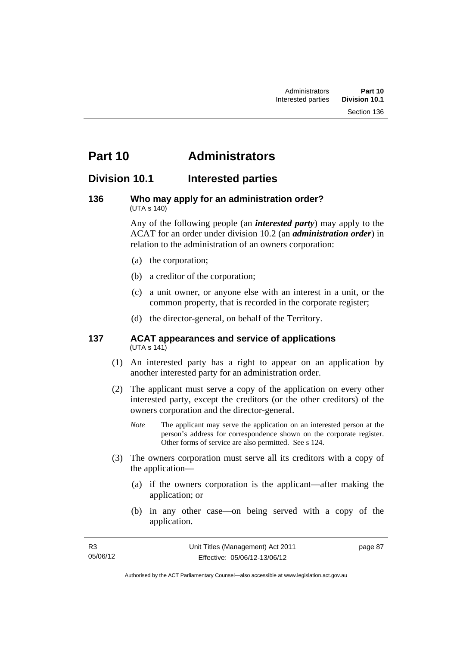# **Part 10 Administrators**

# **Division 10.1 Interested parties**

#### **136 Who may apply for an administration order?**  (UTA s 140)

Any of the following people (an *interested party*) may apply to the ACAT for an order under division 10.2 (an *administration order*) in relation to the administration of an owners corporation:

- (a) the corporation;
- (b) a creditor of the corporation;
- (c) a unit owner, or anyone else with an interest in a unit, or the common property, that is recorded in the corporate register;
- (d) the director-general, on behalf of the Territory.

#### **137 ACAT appearances and service of applications**  (UTA s 141)

- (1) An interested party has a right to appear on an application by another interested party for an administration order.
- (2) The applicant must serve a copy of the application on every other interested party, except the creditors (or the other creditors) of the owners corporation and the director-general.
	- *Note* The applicant may serve the application on an interested person at the person's address for correspondence shown on the corporate register. Other forms of service are also permitted. See s 124.
- (3) The owners corporation must serve all its creditors with a copy of the application—
	- (a) if the owners corporation is the applicant—after making the application; or
	- (b) in any other case—on being served with a copy of the application.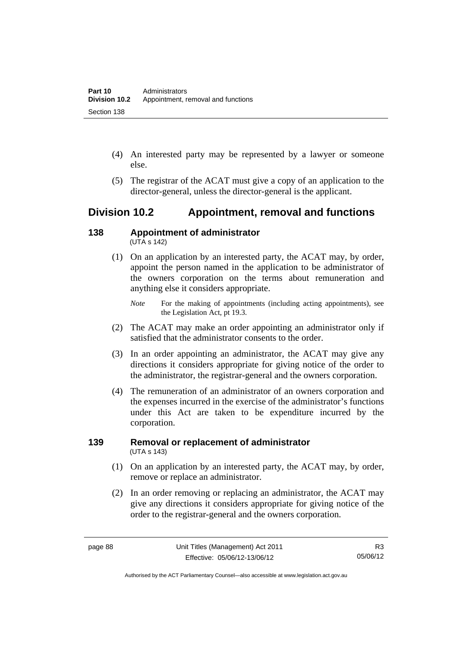- (4) An interested party may be represented by a lawyer or someone else.
- (5) The registrar of the ACAT must give a copy of an application to the director-general, unless the director-general is the applicant.

# **Division 10.2 Appointment, removal and functions**

#### **138 Appointment of administrator**   $(UTA S 142)$

- (1) On an application by an interested party, the ACAT may, by order, appoint the person named in the application to be administrator of the owners corporation on the terms about remuneration and anything else it considers appropriate.
	- *Note* For the making of appointments (including acting appointments), see the Legislation Act, pt 19.3.
- (2) The ACAT may make an order appointing an administrator only if satisfied that the administrator consents to the order.
- (3) In an order appointing an administrator, the ACAT may give any directions it considers appropriate for giving notice of the order to the administrator, the registrar-general and the owners corporation.
- (4) The remuneration of an administrator of an owners corporation and the expenses incurred in the exercise of the administrator's functions under this Act are taken to be expenditure incurred by the corporation.

## **139 Removal or replacement of administrator**  (UTA s 143)

- (1) On an application by an interested party, the ACAT may, by order, remove or replace an administrator.
- (2) In an order removing or replacing an administrator, the ACAT may give any directions it considers appropriate for giving notice of the order to the registrar-general and the owners corporation.

Authorised by the ACT Parliamentary Counsel—also accessible at www.legislation.act.gov.au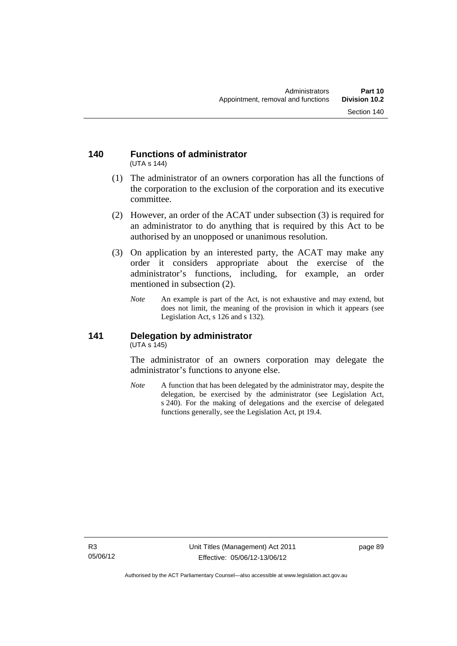#### **140 Functions of administrator**  (UTA s 144)

- (1) The administrator of an owners corporation has all the functions of the corporation to the exclusion of the corporation and its executive committee.
- (2) However, an order of the ACAT under subsection (3) is required for an administrator to do anything that is required by this Act to be authorised by an unopposed or unanimous resolution.
- (3) On application by an interested party, the ACAT may make any order it considers appropriate about the exercise of the administrator's functions, including, for example, an order mentioned in subsection (2).
	- *Note* An example is part of the Act, is not exhaustive and may extend, but does not limit, the meaning of the provision in which it appears (see Legislation Act, s 126 and s 132).

### **141 Delegation by administrator**  (UTA s 145)

The administrator of an owners corporation may delegate the administrator's functions to anyone else.

*Note* A function that has been delegated by the administrator may, despite the delegation, be exercised by the administrator (see Legislation Act, s 240). For the making of delegations and the exercise of delegated functions generally, see the Legislation Act, pt 19.4.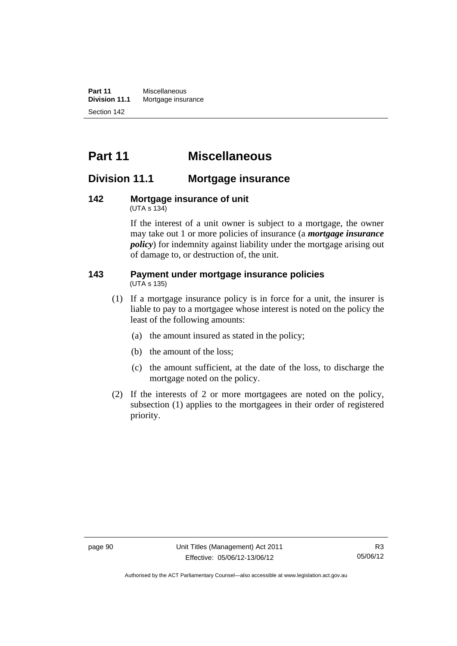**Part 11** Miscellaneous<br>**Division 11.1** Mortgage insur **Mortgage insurance** Section 142

# **Part 11 Miscellaneous**

# **Division 11.1 Mortgage insurance**

#### **142 Mortgage insurance of unit**  (UTA s 134)

If the interest of a unit owner is subject to a mortgage, the owner may take out 1 or more policies of insurance (a *mortgage insurance policy*) for indemnity against liability under the mortgage arising out of damage to, or destruction of, the unit.

#### **143 Payment under mortgage insurance policies**  (UTA s 135)

- (1) If a mortgage insurance policy is in force for a unit, the insurer is liable to pay to a mortgagee whose interest is noted on the policy the least of the following amounts:
	- (a) the amount insured as stated in the policy;
	- (b) the amount of the loss;
	- (c) the amount sufficient, at the date of the loss, to discharge the mortgage noted on the policy.
- (2) If the interests of 2 or more mortgagees are noted on the policy, subsection (1) applies to the mortgagees in their order of registered priority.

Authorised by the ACT Parliamentary Counsel—also accessible at www.legislation.act.gov.au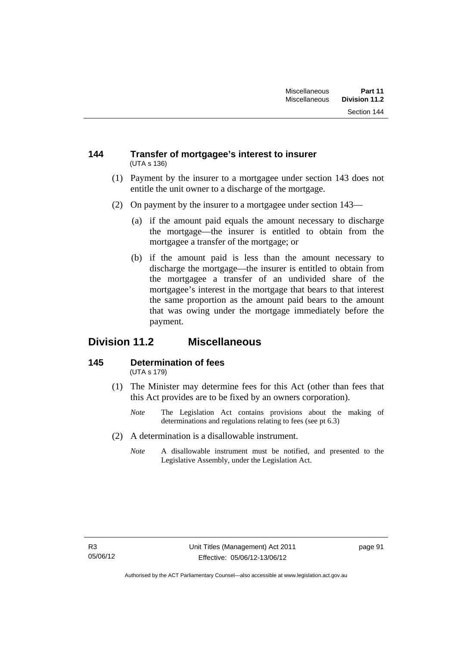### **144 Transfer of mortgagee's interest to insurer**  (UTA s 136)

- (1) Payment by the insurer to a mortgagee under section 143 does not entitle the unit owner to a discharge of the mortgage.
- (2) On payment by the insurer to a mortgagee under section 143—
	- (a) if the amount paid equals the amount necessary to discharge the mortgage—the insurer is entitled to obtain from the mortgagee a transfer of the mortgage; or
	- (b) if the amount paid is less than the amount necessary to discharge the mortgage—the insurer is entitled to obtain from the mortgagee a transfer of an undivided share of the mortgagee's interest in the mortgage that bears to that interest the same proportion as the amount paid bears to the amount that was owing under the mortgage immediately before the payment.

# **Division 11.2 Miscellaneous**

#### **145 Determination of fees**  (UTA s 179)

- (1) The Minister may determine fees for this Act (other than fees that this Act provides are to be fixed by an owners corporation).
	- *Note* The Legislation Act contains provisions about the making of determinations and regulations relating to fees (see pt 6.3)
- (2) A determination is a disallowable instrument.
	- *Note* A disallowable instrument must be notified, and presented to the Legislative Assembly, under the Legislation Act.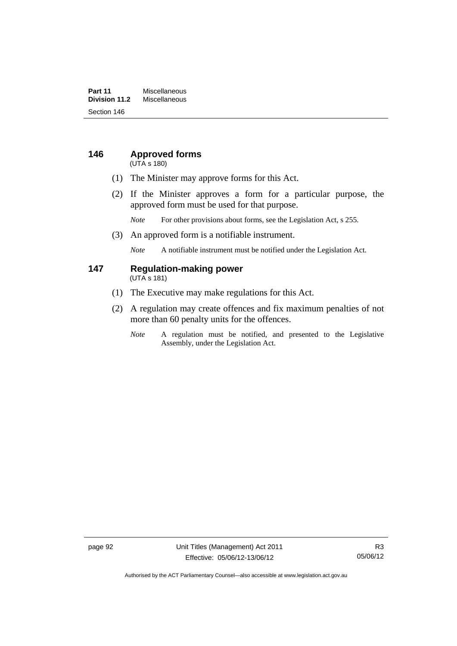### **Part 11** Miscellaneous<br>**Division 11.2** Miscellaneous **Division 11.2** Miscellaneous Section 146

# **146 Approved forms**

(UTA s 180)

- (1) The Minister may approve forms for this Act.
- (2) If the Minister approves a form for a particular purpose, the approved form must be used for that purpose.

*Note* For other provisions about forms, see the Legislation Act, s 255.

(3) An approved form is a notifiable instrument.

*Note* A notifiable instrument must be notified under the Legislation Act.

#### **147 Regulation-making power**  (UTA s 181)

- (1) The Executive may make regulations for this Act.
- (2) A regulation may create offences and fix maximum penalties of not more than 60 penalty units for the offences.
	- *Note* A regulation must be notified, and presented to the Legislative Assembly, under the Legislation Act.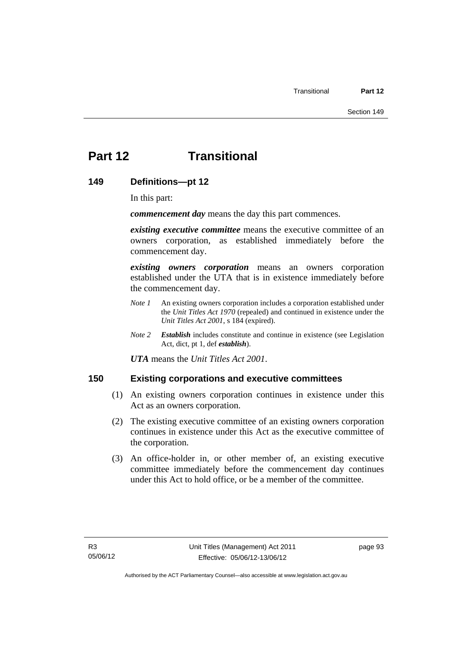# **Part 12 Transitional**

## **149 Definitions—pt 12**

In this part:

*commencement day* means the day this part commences.

*existing executive committee* means the executive committee of an owners corporation, as established immediately before the commencement day.

*existing owners corporation* means an owners corporation established under the UTA that is in existence immediately before the commencement day.

- *Note 1* An existing owners corporation includes a corporation established under the *Unit Titles Act 1970* (repealed) and continued in existence under the *Unit Titles Act 2001*, s 184 (expired).
- *Note 2 Establish* includes constitute and continue in existence (see Legislation Act, dict, pt 1, def *establish*).

*UTA* means the *Unit Titles Act 2001*.

## **150 Existing corporations and executive committees**

- (1) An existing owners corporation continues in existence under this Act as an owners corporation.
- (2) The existing executive committee of an existing owners corporation continues in existence under this Act as the executive committee of the corporation.
- (3) An office-holder in, or other member of, an existing executive committee immediately before the commencement day continues under this Act to hold office, or be a member of the committee.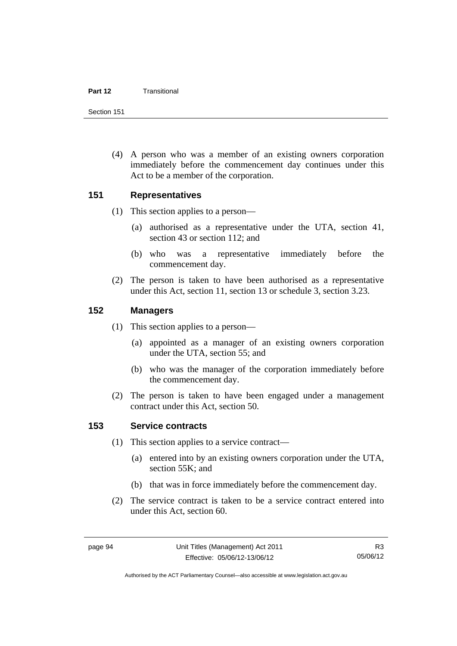#### **Part 12** Transitional

Section 151

 (4) A person who was a member of an existing owners corporation immediately before the commencement day continues under this Act to be a member of the corporation.

## **151 Representatives**

- (1) This section applies to a person—
	- (a) authorised as a representative under the UTA, section 41, section 43 or section 112; and
	- (b) who was a representative immediately before the commencement day.
- (2) The person is taken to have been authorised as a representative under this Act, section 11, section 13 or schedule 3, section 3.23.

## **152 Managers**

- (1) This section applies to a person—
	- (a) appointed as a manager of an existing owners corporation under the UTA, section 55; and
	- (b) who was the manager of the corporation immediately before the commencement day.
- (2) The person is taken to have been engaged under a management contract under this Act, section 50.

# **153 Service contracts**

- (1) This section applies to a service contract—
	- (a) entered into by an existing owners corporation under the UTA, section 55K; and
	- (b) that was in force immediately before the commencement day.
- (2) The service contract is taken to be a service contract entered into under this Act, section 60.

Authorised by the ACT Parliamentary Counsel—also accessible at www.legislation.act.gov.au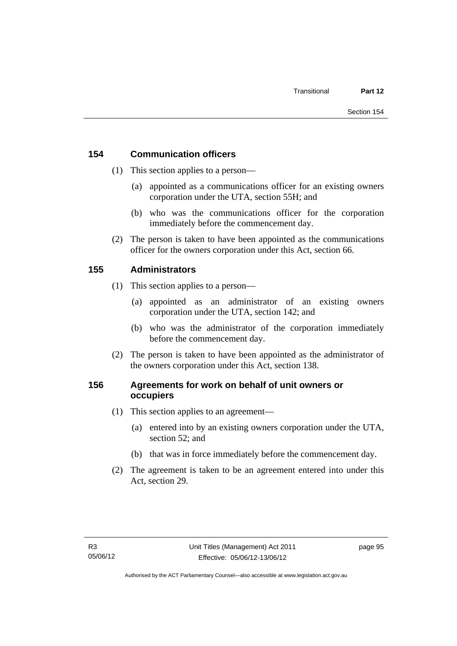# **154 Communication officers**

- (1) This section applies to a person—
	- (a) appointed as a communications officer for an existing owners corporation under the UTA, section 55H; and
	- (b) who was the communications officer for the corporation immediately before the commencement day.
- (2) The person is taken to have been appointed as the communications officer for the owners corporation under this Act, section 66.

# **155 Administrators**

- (1) This section applies to a person—
	- (a) appointed as an administrator of an existing owners corporation under the UTA, section 142; and
	- (b) who was the administrator of the corporation immediately before the commencement day.
- (2) The person is taken to have been appointed as the administrator of the owners corporation under this Act, section 138.

# **156 Agreements for work on behalf of unit owners or occupiers**

- (1) This section applies to an agreement—
	- (a) entered into by an existing owners corporation under the UTA, section 52; and
	- (b) that was in force immediately before the commencement day.
- (2) The agreement is taken to be an agreement entered into under this Act, section 29.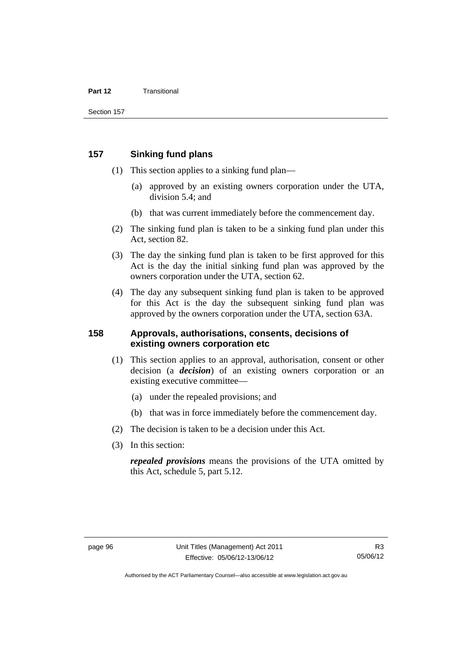#### **Part 12** Transitional

## **157 Sinking fund plans**

- (1) This section applies to a sinking fund plan—
	- (a) approved by an existing owners corporation under the UTA, division 5.4; and
	- (b) that was current immediately before the commencement day.
- (2) The sinking fund plan is taken to be a sinking fund plan under this Act, section 82.
- (3) The day the sinking fund plan is taken to be first approved for this Act is the day the initial sinking fund plan was approved by the owners corporation under the UTA, section 62.
- (4) The day any subsequent sinking fund plan is taken to be approved for this Act is the day the subsequent sinking fund plan was approved by the owners corporation under the UTA, section 63A.

## **158 Approvals, authorisations, consents, decisions of existing owners corporation etc**

- (1) This section applies to an approval, authorisation, consent or other decision (a *decision*) of an existing owners corporation or an existing executive committee—
	- (a) under the repealed provisions; and
	- (b) that was in force immediately before the commencement day.
- (2) The decision is taken to be a decision under this Act.
- (3) In this section:

*repealed provisions* means the provisions of the UTA omitted by this Act, schedule 5, part 5.12.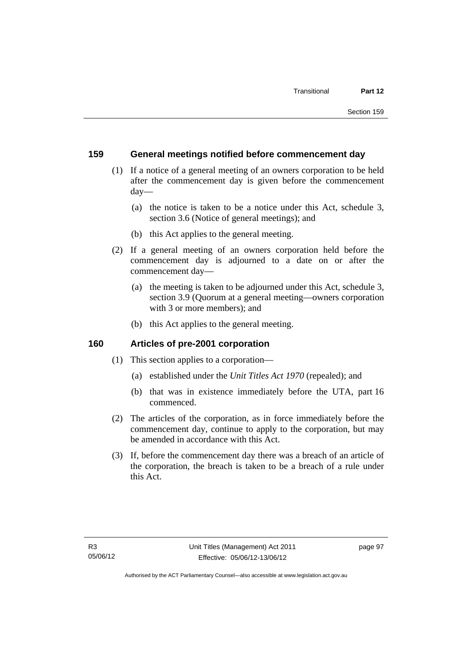## **159 General meetings notified before commencement day**

- (1) If a notice of a general meeting of an owners corporation to be held after the commencement day is given before the commencement day—
	- (a) the notice is taken to be a notice under this Act, schedule 3, section 3.6 (Notice of general meetings); and
	- (b) this Act applies to the general meeting.
- (2) If a general meeting of an owners corporation held before the commencement day is adjourned to a date on or after the commencement day—
	- (a) the meeting is taken to be adjourned under this Act, schedule 3, section 3.9 (Quorum at a general meeting—owners corporation with 3 or more members); and
	- (b) this Act applies to the general meeting.

## **160 Articles of pre-2001 corporation**

- (1) This section applies to a corporation—
	- (a) established under the *Unit Titles Act 1970* (repealed); and
	- (b) that was in existence immediately before the UTA, part 16 commenced.
- (2) The articles of the corporation, as in force immediately before the commencement day, continue to apply to the corporation, but may be amended in accordance with this Act.
- (3) If, before the commencement day there was a breach of an article of the corporation, the breach is taken to be a breach of a rule under this Act.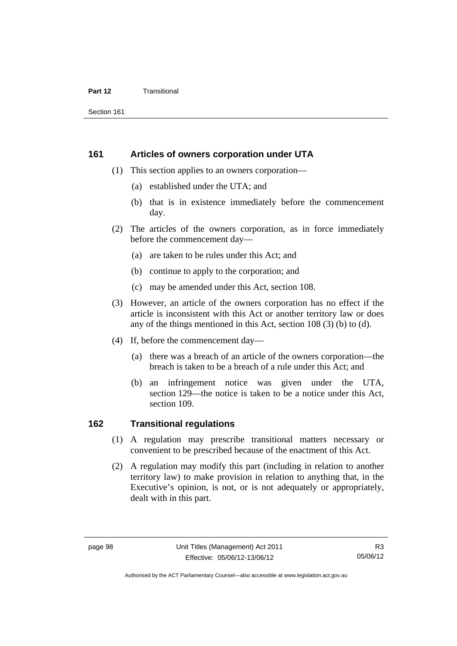#### **Part 12** Transitional

Section 161

### **161 Articles of owners corporation under UTA**

- (1) This section applies to an owners corporation—
	- (a) established under the UTA; and
	- (b) that is in existence immediately before the commencement day.
- (2) The articles of the owners corporation, as in force immediately before the commencement day—
	- (a) are taken to be rules under this Act; and
	- (b) continue to apply to the corporation; and
	- (c) may be amended under this Act, section 108.
- (3) However, an article of the owners corporation has no effect if the article is inconsistent with this Act or another territory law or does any of the things mentioned in this Act, section 108 (3) (b) to (d).
- (4) If, before the commencement day—
	- (a) there was a breach of an article of the owners corporation—the breach is taken to be a breach of a rule under this Act; and
	- (b) an infringement notice was given under the UTA, section 129—the notice is taken to be a notice under this Act, section 109.

## **162 Transitional regulations**

- (1) A regulation may prescribe transitional matters necessary or convenient to be prescribed because of the enactment of this Act.
- (2) A regulation may modify this part (including in relation to another territory law) to make provision in relation to anything that, in the Executive's opinion, is not, or is not adequately or appropriately, dealt with in this part.

Authorised by the ACT Parliamentary Counsel—also accessible at www.legislation.act.gov.au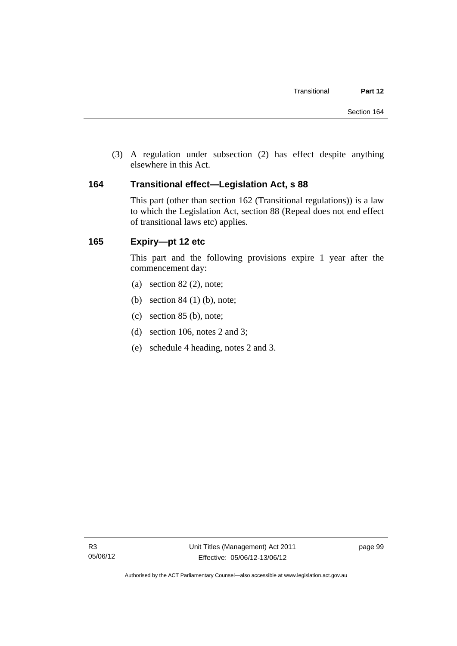(3) A regulation under subsection (2) has effect despite anything elsewhere in this Act.

## **164 Transitional effect—Legislation Act, s 88**

This part (other than section 162 (Transitional regulations)) is a law to which the Legislation Act, section 88 (Repeal does not end effect of transitional laws etc) applies.

# **165 Expiry—pt 12 etc**

This part and the following provisions expire 1 year after the commencement day:

- (a) section  $82(2)$ , note;
- (b) section 84 (1) (b), note;
- (c) section 85 (b), note;
- (d) section 106, notes 2 and 3;
- (e) schedule 4 heading, notes 2 and 3.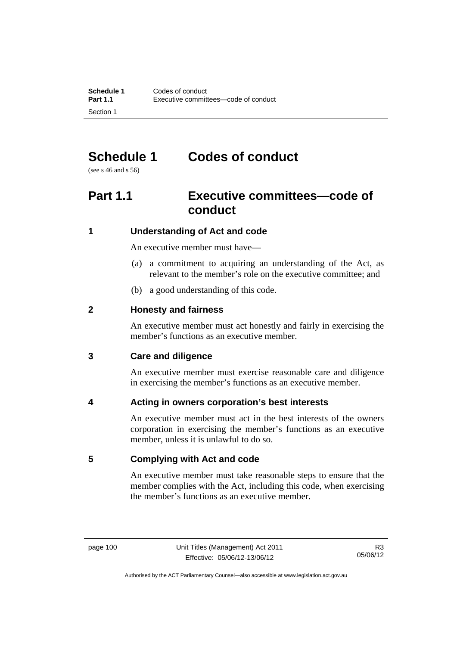# **Schedule 1 Codes of conduct**

(see s 46 and s 56)

# **Part 1.1 Executive committees—code of conduct**

## **1 Understanding of Act and code**

An executive member must have—

- (a) a commitment to acquiring an understanding of the Act, as relevant to the member's role on the executive committee; and
- (b) a good understanding of this code.

## **2 Honesty and fairness**

An executive member must act honestly and fairly in exercising the member's functions as an executive member.

## **3 Care and diligence**

An executive member must exercise reasonable care and diligence in exercising the member's functions as an executive member.

## **4 Acting in owners corporation's best interests**

An executive member must act in the best interests of the owners corporation in exercising the member's functions as an executive member, unless it is unlawful to do so.

## **5 Complying with Act and code**

An executive member must take reasonable steps to ensure that the member complies with the Act, including this code, when exercising the member's functions as an executive member.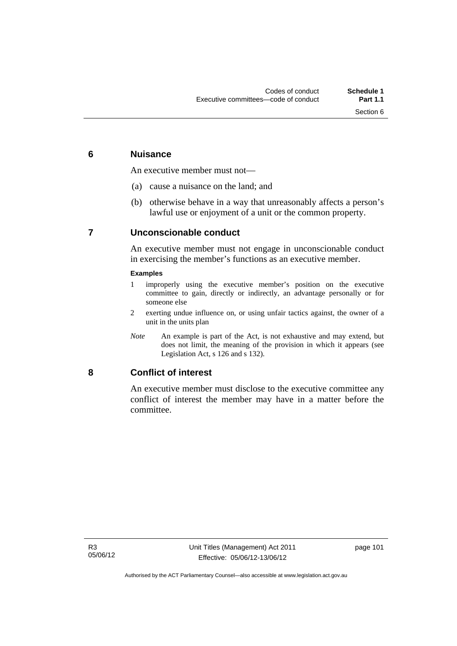## **6 Nuisance**

An executive member must not—

- (a) cause a nuisance on the land; and
- (b) otherwise behave in a way that unreasonably affects a person's lawful use or enjoyment of a unit or the common property.

## **7 Unconscionable conduct**

An executive member must not engage in unconscionable conduct in exercising the member's functions as an executive member.

### **Examples**

- 1 improperly using the executive member's position on the executive committee to gain, directly or indirectly, an advantage personally or for someone else
- 2 exerting undue influence on, or using unfair tactics against, the owner of a unit in the units plan
- *Note* An example is part of the Act, is not exhaustive and may extend, but does not limit, the meaning of the provision in which it appears (see Legislation Act, s 126 and s 132).

## **8 Conflict of interest**

An executive member must disclose to the executive committee any conflict of interest the member may have in a matter before the committee.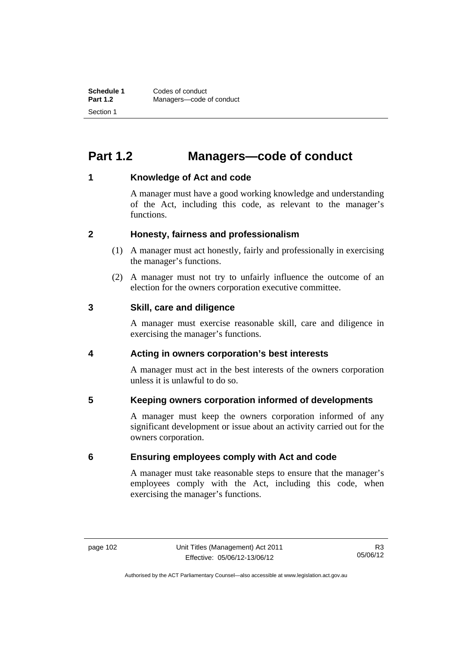# **Part 1.2 Managers—code of conduct**

## **1 Knowledge of Act and code**

A manager must have a good working knowledge and understanding of the Act, including this code, as relevant to the manager's functions.

## **2 Honesty, fairness and professionalism**

- (1) A manager must act honestly, fairly and professionally in exercising the manager's functions.
- (2) A manager must not try to unfairly influence the outcome of an election for the owners corporation executive committee.

## **3 Skill, care and diligence**

A manager must exercise reasonable skill, care and diligence in exercising the manager's functions.

## **4 Acting in owners corporation's best interests**

A manager must act in the best interests of the owners corporation unless it is unlawful to do so.

## **5 Keeping owners corporation informed of developments**

A manager must keep the owners corporation informed of any significant development or issue about an activity carried out for the owners corporation.

## **6 Ensuring employees comply with Act and code**

A manager must take reasonable steps to ensure that the manager's employees comply with the Act, including this code, when exercising the manager's functions.

Authorised by the ACT Parliamentary Counsel—also accessible at www.legislation.act.gov.au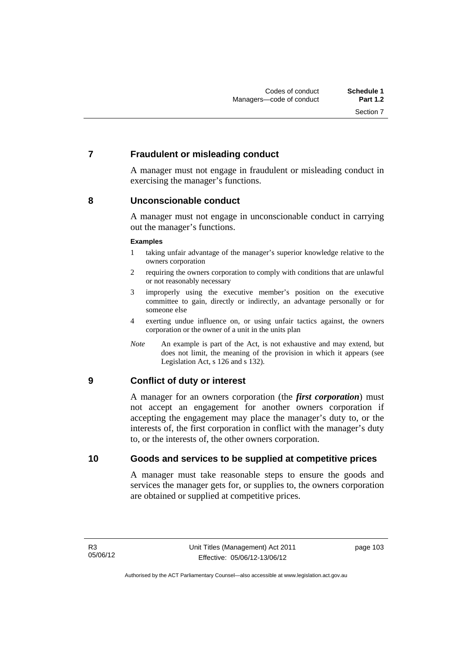## **7 Fraudulent or misleading conduct**

A manager must not engage in fraudulent or misleading conduct in exercising the manager's functions.

## **8 Unconscionable conduct**

A manager must not engage in unconscionable conduct in carrying out the manager's functions.

#### **Examples**

- 1 taking unfair advantage of the manager's superior knowledge relative to the owners corporation
- 2 requiring the owners corporation to comply with conditions that are unlawful or not reasonably necessary
- 3 improperly using the executive member's position on the executive committee to gain, directly or indirectly, an advantage personally or for someone else
- 4 exerting undue influence on, or using unfair tactics against, the owners corporation or the owner of a unit in the units plan
- *Note* An example is part of the Act, is not exhaustive and may extend, but does not limit, the meaning of the provision in which it appears (see Legislation Act, s 126 and s 132).

## **9 Conflict of duty or interest**

A manager for an owners corporation (the *first corporation*) must not accept an engagement for another owners corporation if accepting the engagement may place the manager's duty to, or the interests of, the first corporation in conflict with the manager's duty to, or the interests of, the other owners corporation.

## **10 Goods and services to be supplied at competitive prices**

A manager must take reasonable steps to ensure the goods and services the manager gets for, or supplies to, the owners corporation are obtained or supplied at competitive prices.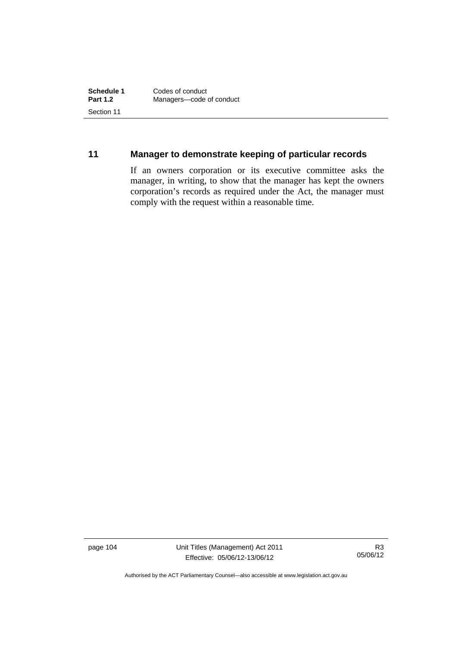## **11 Manager to demonstrate keeping of particular records**

If an owners corporation or its executive committee asks the manager, in writing, to show that the manager has kept the owners corporation's records as required under the Act, the manager must comply with the request within a reasonable time.

page 104 Unit Titles (Management) Act 2011 Effective: 05/06/12-13/06/12

R3 05/06/12

Authorised by the ACT Parliamentary Counsel—also accessible at www.legislation.act.gov.au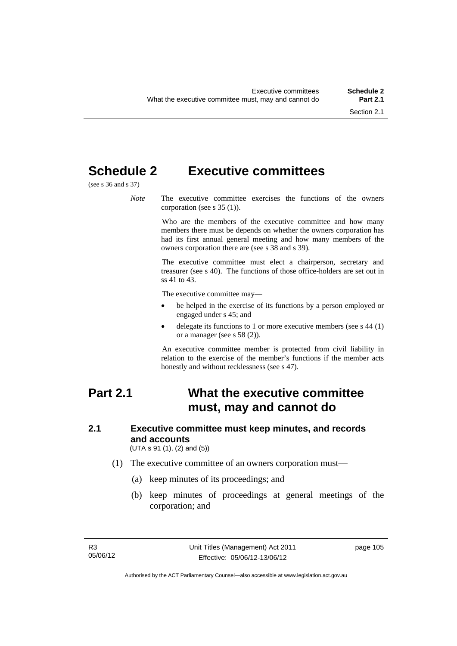# **Schedule 2 Executive committees**

(see s 36 and s 37)

*Note* The executive committee exercises the functions of the owners corporation (see s 35 (1)).

> Who are the members of the executive committee and how many members there must be depends on whether the owners corporation has had its first annual general meeting and how many members of the owners corporation there are (see s 38 and s 39).

> The executive committee must elect a chairperson, secretary and treasurer (see s 40). The functions of those office-holders are set out in ss 41 to 43.

The executive committee may—

- be helped in the exercise of its functions by a person employed or engaged under s 45; and
- delegate its functions to 1 or more executive members (see s 44 (1) or a manager (see s 58 (2)).

An executive committee member is protected from civil liability in relation to the exercise of the member's functions if the member acts honestly and without recklessness (see s 47).

# **Part 2.1 What the executive committee must, may and cannot do**

# **2.1 Executive committee must keep minutes, and records and accounts**

(UTA s 91 (1), (2) and (5))

- (1) The executive committee of an owners corporation must—
	- (a) keep minutes of its proceedings; and
	- (b) keep minutes of proceedings at general meetings of the corporation; and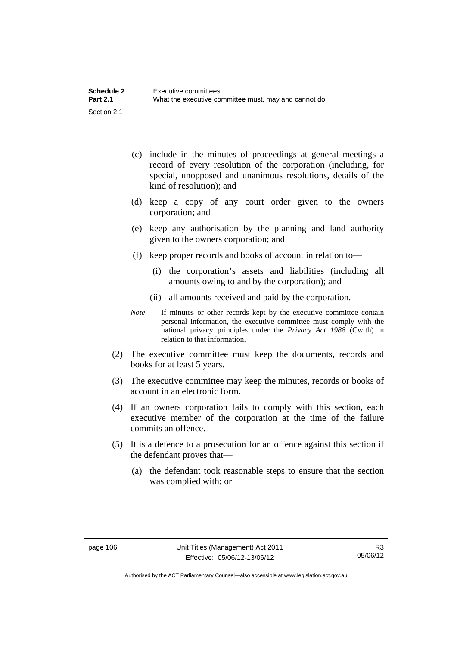| <b>Schedule 2</b> | Executive committees                                 |
|-------------------|------------------------------------------------------|
| <b>Part 2.1</b>   | What the executive committee must, may and cannot do |
| Section 2.1       |                                                      |

- (c) include in the minutes of proceedings at general meetings a record of every resolution of the corporation (including, for special, unopposed and unanimous resolutions, details of the kind of resolution); and
- (d) keep a copy of any court order given to the owners corporation; and
- (e) keep any authorisation by the planning and land authority given to the owners corporation; and
- (f) keep proper records and books of account in relation to—
	- (i) the corporation's assets and liabilities (including all amounts owing to and by the corporation); and
	- (ii) all amounts received and paid by the corporation.
- *Note* If minutes or other records kept by the executive committee contain personal information, the executive committee must comply with the national privacy principles under the *Privacy Act 1988* (Cwlth) in relation to that information.
- (2) The executive committee must keep the documents, records and books for at least 5 years.
- (3) The executive committee may keep the minutes, records or books of account in an electronic form.
- (4) If an owners corporation fails to comply with this section, each executive member of the corporation at the time of the failure commits an offence.
- (5) It is a defence to a prosecution for an offence against this section if the defendant proves that—
	- (a) the defendant took reasonable steps to ensure that the section was complied with; or

Authorised by the ACT Parliamentary Counsel—also accessible at www.legislation.act.gov.au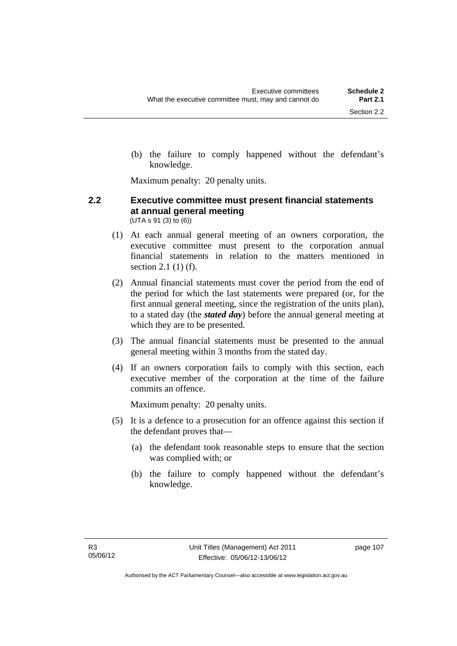(b) the failure to comply happened without the defendant's knowledge.

Maximum penalty: 20 penalty units.

### **2.2 Executive committee must present financial statements at annual general meeting**  (UTA s 91 (3) to (6))

- (1) At each annual general meeting of an owners corporation, the executive committee must present to the corporation annual financial statements in relation to the matters mentioned in section 2.1 (1) (f).
- (2) Annual financial statements must cover the period from the end of the period for which the last statements were prepared (or, for the first annual general meeting, since the registration of the units plan), to a stated day (the *stated day*) before the annual general meeting at which they are to be presented.
- (3) The annual financial statements must be presented to the annual general meeting within 3 months from the stated day.
- (4) If an owners corporation fails to comply with this section, each executive member of the corporation at the time of the failure commits an offence.

Maximum penalty: 20 penalty units.

- (5) It is a defence to a prosecution for an offence against this section if the defendant proves that—
	- (a) the defendant took reasonable steps to ensure that the section was complied with; or
	- (b) the failure to comply happened without the defendant's knowledge.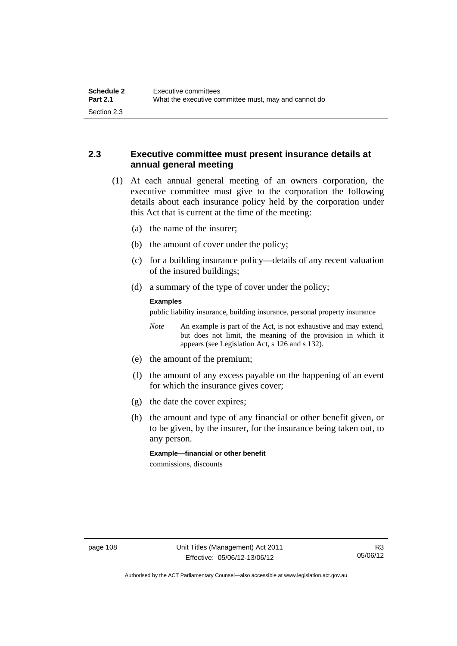## **2.3 Executive committee must present insurance details at annual general meeting**

- (1) At each annual general meeting of an owners corporation, the executive committee must give to the corporation the following details about each insurance policy held by the corporation under this Act that is current at the time of the meeting:
	- (a) the name of the insurer;
	- (b) the amount of cover under the policy;
	- (c) for a building insurance policy—details of any recent valuation of the insured buildings;
	- (d) a summary of the type of cover under the policy;

#### **Examples**

public liability insurance, building insurance, personal property insurance

*Note* An example is part of the Act, is not exhaustive and may extend, but does not limit, the meaning of the provision in which it appears (see Legislation Act, s 126 and s 132).

- (e) the amount of the premium;
- (f) the amount of any excess payable on the happening of an event for which the insurance gives cover;
- (g) the date the cover expires;
- (h) the amount and type of any financial or other benefit given, or to be given, by the insurer, for the insurance being taken out, to any person.

**Example—financial or other benefit** 

commissions, discounts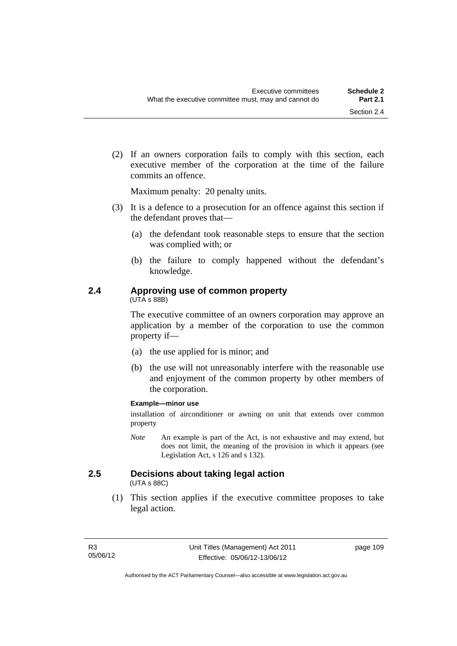(2) If an owners corporation fails to comply with this section, each executive member of the corporation at the time of the failure commits an offence.

Maximum penalty: 20 penalty units.

- (3) It is a defence to a prosecution for an offence against this section if the defendant proves that—
	- (a) the defendant took reasonable steps to ensure that the section was complied with; or
	- (b) the failure to comply happened without the defendant's knowledge.

# **2.4 Approving use of common property**

(UTA s 88B)

The executive committee of an owners corporation may approve an application by a member of the corporation to use the common property if—

- (a) the use applied for is minor; and
- (b) the use will not unreasonably interfere with the reasonable use and enjoyment of the common property by other members of the corporation.

### **Example—minor use**

installation of airconditioner or awning on unit that extends over common property

*Note* An example is part of the Act, is not exhaustive and may extend, but does not limit, the meaning of the provision in which it appears (see Legislation Act, s 126 and s 132).

# **2.5 Decisions about taking legal action**

(UTA s 88C)

 (1) This section applies if the executive committee proposes to take legal action.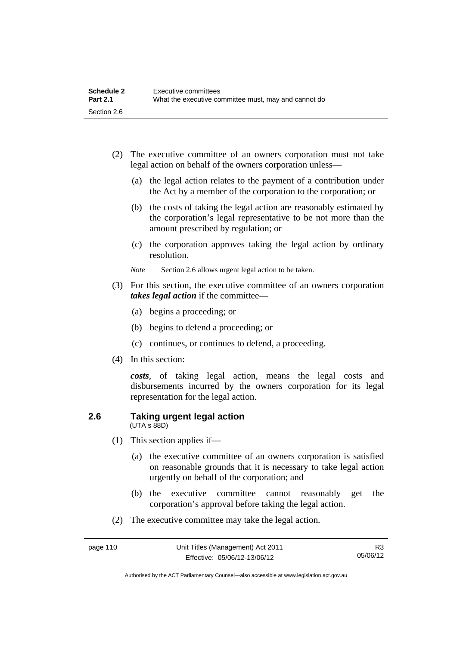| <b>Schedule 2</b> | Executive committees                                 |
|-------------------|------------------------------------------------------|
| <b>Part 2.1</b>   | What the executive committee must, may and cannot do |
| Section 2.6       |                                                      |

- (2) The executive committee of an owners corporation must not take legal action on behalf of the owners corporation unless—
	- (a) the legal action relates to the payment of a contribution under the Act by a member of the corporation to the corporation; or
	- (b) the costs of taking the legal action are reasonably estimated by the corporation's legal representative to be not more than the amount prescribed by regulation; or
	- (c) the corporation approves taking the legal action by ordinary resolution.
	- *Note* Section 2.6 allows urgent legal action to be taken.
- (3) For this section, the executive committee of an owners corporation *takes legal action* if the committee—
	- (a) begins a proceeding; or
	- (b) begins to defend a proceeding; or
	- (c) continues, or continues to defend, a proceeding.
- (4) In this section:

*costs*, of taking legal action, means the legal costs and disbursements incurred by the owners corporation for its legal representation for the legal action.

#### **2.6 Taking urgent legal action**  (UTA s 88D)

- (1) This section applies if—
	- (a) the executive committee of an owners corporation is satisfied on reasonable grounds that it is necessary to take legal action urgently on behalf of the corporation; and
	- (b) the executive committee cannot reasonably get the corporation's approval before taking the legal action.
- (2) The executive committee may take the legal action.

Authorised by the ACT Parliamentary Counsel—also accessible at www.legislation.act.gov.au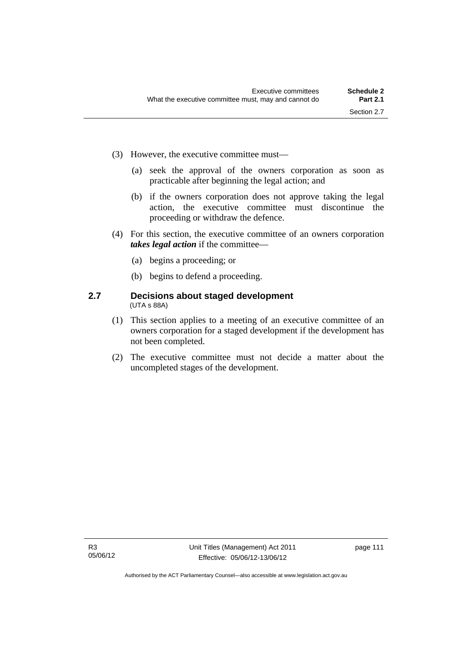- (3) However, the executive committee must—
	- (a) seek the approval of the owners corporation as soon as practicable after beginning the legal action; and
	- (b) if the owners corporation does not approve taking the legal action, the executive committee must discontinue the proceeding or withdraw the defence.
- (4) For this section, the executive committee of an owners corporation *takes legal action* if the committee—
	- (a) begins a proceeding; or
	- (b) begins to defend a proceeding.

### **2.7 Decisions about staged development**  (UTA s 88A)

- (1) This section applies to a meeting of an executive committee of an owners corporation for a staged development if the development has not been completed.
- (2) The executive committee must not decide a matter about the uncompleted stages of the development.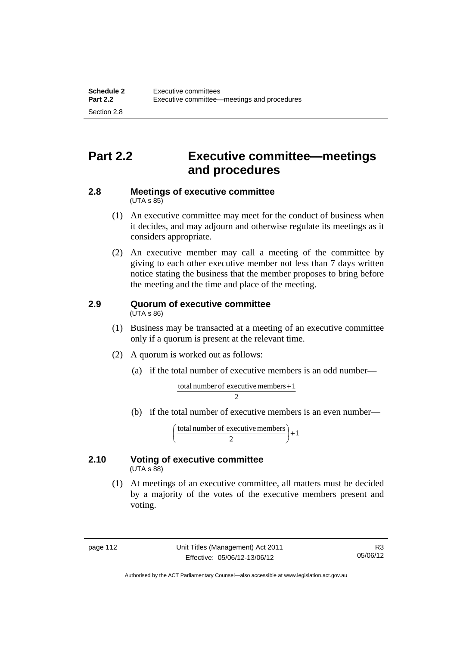# **Part 2.2 Executive committee—meetings and procedures**

#### **2.8 Meetings of executive committee**   $(UTA \, s \, 85)$

- (1) An executive committee may meet for the conduct of business when it decides, and may adjourn and otherwise regulate its meetings as it considers appropriate.
- (2) An executive member may call a meeting of the committee by giving to each other executive member not less than 7 days written notice stating the business that the member proposes to bring before the meeting and the time and place of the meeting.

#### **2.9 Quorum of executive committee**  (UTA s 86)

- (1) Business may be transacted at a meeting of an executive committee only if a quorum is present at the relevant time.
- (2) A quorum is worked out as follows:
	- (a) if the total number of executive members is an odd number—

$$
\frac{\text{total number of executive members} + 1}{2}
$$

(b) if the total number of executive members is an even number—

total number of executive members  $\begin{pmatrix} 2 \end{pmatrix} + 1$ )  $\left(\frac{\text{total number of executive members}}{2}\right)$ l ſ

### **2.10 Voting of executive committee**   $(UTA \s{5}88)$

 (1) At meetings of an executive committee, all matters must be decided by a majority of the votes of the executive members present and voting.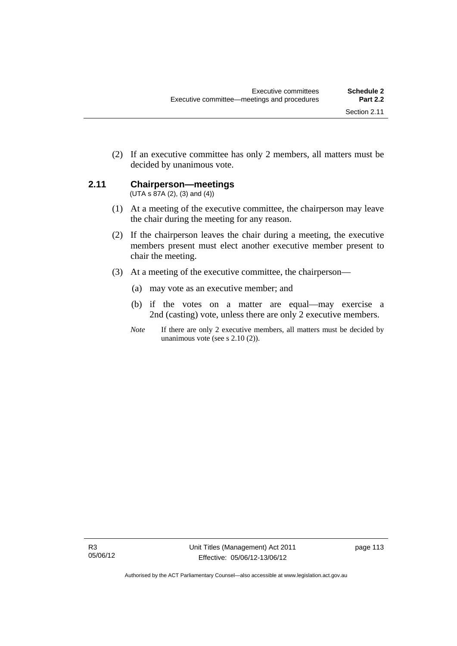(2) If an executive committee has only 2 members, all matters must be decided by unanimous vote.

# **2.11 Chairperson—meetings**

 $(UTA s 87A (2), (3) and (4))$ 

- (1) At a meeting of the executive committee, the chairperson may leave the chair during the meeting for any reason.
- (2) If the chairperson leaves the chair during a meeting, the executive members present must elect another executive member present to chair the meeting.
- (3) At a meeting of the executive committee, the chairperson—
	- (a) may vote as an executive member; and
	- (b) if the votes on a matter are equal—may exercise a 2nd (casting) vote, unless there are only 2 executive members.
	- *Note* If there are only 2 executive members, all matters must be decided by unanimous vote (see s 2.10 (2)).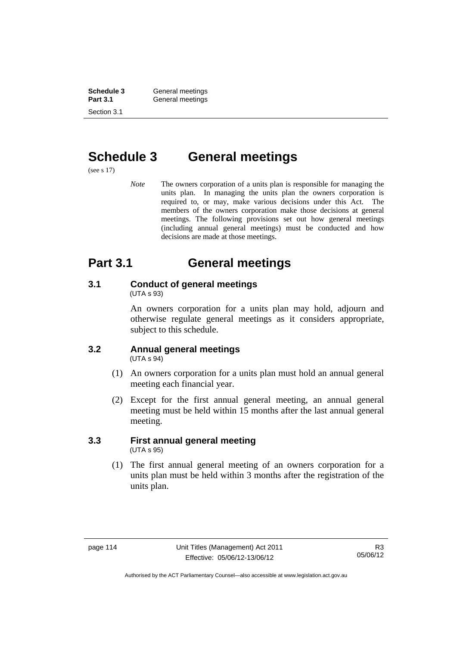**Schedule 3 General meetings**<br> **Part 3.1 General meetings** General meetings Section 3.1

# **Schedule 3 General meetings**

(see s 17)

*Note* The owners corporation of a units plan is responsible for managing the units plan. In managing the units plan the owners corporation is required to, or may, make various decisions under this Act. The members of the owners corporation make those decisions at general meetings. The following provisions set out how general meetings (including annual general meetings) must be conducted and how decisions are made at those meetings.

# **Part 3.1 General meetings**

# **3.1 Conduct of general meetings**

(UTA s 93)

An owners corporation for a units plan may hold, adjourn and otherwise regulate general meetings as it considers appropriate, subject to this schedule.

#### **3.2 Annual general meetings**  (UTA s 94)

- (1) An owners corporation for a units plan must hold an annual general meeting each financial year.
- (2) Except for the first annual general meeting, an annual general meeting must be held within 15 months after the last annual general meeting.

### **3.3 First annual general meeting**  (UTA s 95)

 (1) The first annual general meeting of an owners corporation for a units plan must be held within 3 months after the registration of the units plan.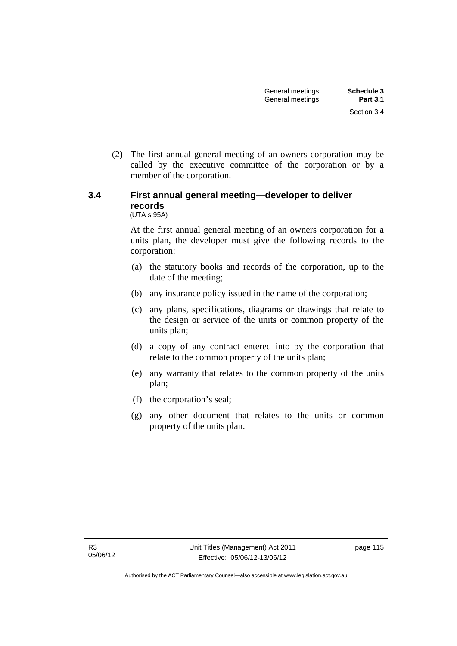(2) The first annual general meeting of an owners corporation may be called by the executive committee of the corporation or by a member of the corporation.

# **3.4 First annual general meeting—developer to deliver records**

(UTA s 95A)

At the first annual general meeting of an owners corporation for a units plan, the developer must give the following records to the corporation:

- (a) the statutory books and records of the corporation, up to the date of the meeting;
- (b) any insurance policy issued in the name of the corporation;
- (c) any plans, specifications, diagrams or drawings that relate to the design or service of the units or common property of the units plan;
- (d) a copy of any contract entered into by the corporation that relate to the common property of the units plan;
- (e) any warranty that relates to the common property of the units plan;
- (f) the corporation's seal;
- (g) any other document that relates to the units or common property of the units plan.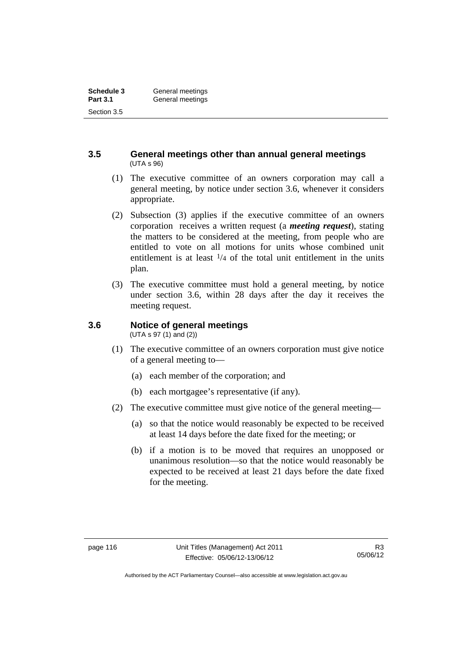### **3.5 General meetings other than annual general meetings**  (UTA s 96)

- (1) The executive committee of an owners corporation may call a general meeting, by notice under section 3.6, whenever it considers appropriate.
- (2) Subsection (3) applies if the executive committee of an owners corporation receives a written request (a *meeting request*), stating the matters to be considered at the meeting, from people who are entitled to vote on all motions for units whose combined unit entitlement is at least  $\frac{1}{4}$  of the total unit entitlement in the units plan.
- (3) The executive committee must hold a general meeting, by notice under section 3.6, within 28 days after the day it receives the meeting request.

## **3.6 Notice of general meetings**

(UTA s 97 (1) and (2))

- (1) The executive committee of an owners corporation must give notice of a general meeting to—
	- (a) each member of the corporation; and
	- (b) each mortgagee's representative (if any).
- (2) The executive committee must give notice of the general meeting—
	- (a) so that the notice would reasonably be expected to be received at least 14 days before the date fixed for the meeting; or
	- (b) if a motion is to be moved that requires an unopposed or unanimous resolution—so that the notice would reasonably be expected to be received at least 21 days before the date fixed for the meeting.

Authorised by the ACT Parliamentary Counsel—also accessible at www.legislation.act.gov.au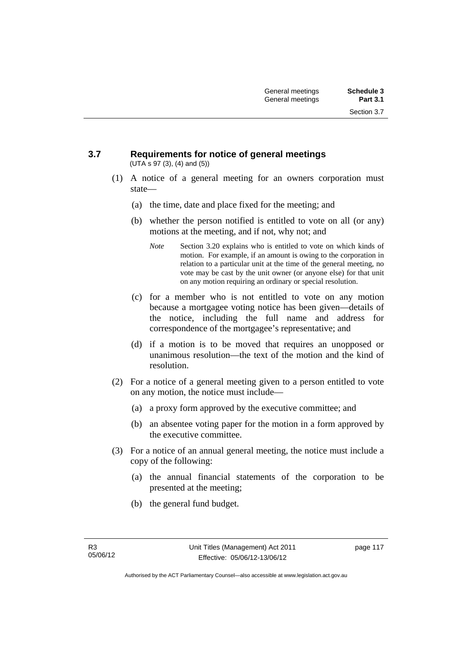Section 3.7

#### **3.7 Requirements for notice of general meetings**  (UTA s 97 (3), (4) and (5))

- (1) A notice of a general meeting for an owners corporation must state—
	- (a) the time, date and place fixed for the meeting; and
	- (b) whether the person notified is entitled to vote on all (or any) motions at the meeting, and if not, why not; and
		- *Note* Section 3.20 explains who is entitled to vote on which kinds of motion. For example, if an amount is owing to the corporation in relation to a particular unit at the time of the general meeting, no vote may be cast by the unit owner (or anyone else) for that unit on any motion requiring an ordinary or special resolution.
	- (c) for a member who is not entitled to vote on any motion because a mortgagee voting notice has been given—details of the notice, including the full name and address for correspondence of the mortgagee's representative; and
	- (d) if a motion is to be moved that requires an unopposed or unanimous resolution—the text of the motion and the kind of resolution.
- (2) For a notice of a general meeting given to a person entitled to vote on any motion, the notice must include—
	- (a) a proxy form approved by the executive committee; and
	- (b) an absentee voting paper for the motion in a form approved by the executive committee.
- (3) For a notice of an annual general meeting, the notice must include a copy of the following:
	- (a) the annual financial statements of the corporation to be presented at the meeting;
	- (b) the general fund budget.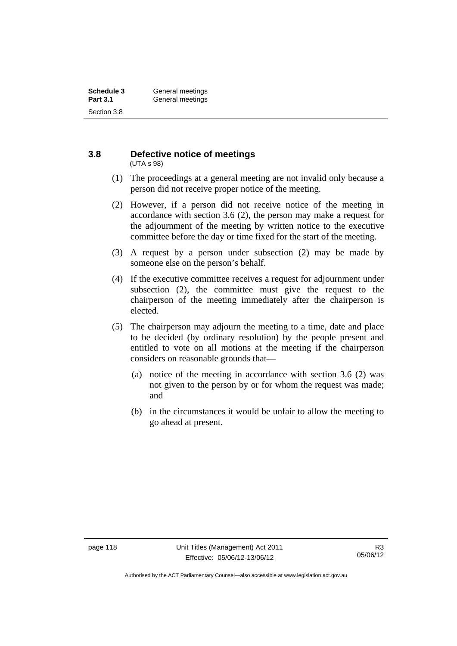#### **3.8 Defective notice of meetings**  (UTA s 98)

- (1) The proceedings at a general meeting are not invalid only because a person did not receive proper notice of the meeting.
- (2) However, if a person did not receive notice of the meeting in accordance with section 3.6 (2), the person may make a request for the adjournment of the meeting by written notice to the executive committee before the day or time fixed for the start of the meeting.
- (3) A request by a person under subsection (2) may be made by someone else on the person's behalf.
- (4) If the executive committee receives a request for adjournment under subsection (2), the committee must give the request to the chairperson of the meeting immediately after the chairperson is elected.
- (5) The chairperson may adjourn the meeting to a time, date and place to be decided (by ordinary resolution) by the people present and entitled to vote on all motions at the meeting if the chairperson considers on reasonable grounds that—
	- (a) notice of the meeting in accordance with section 3.6 (2) was not given to the person by or for whom the request was made; and
	- (b) in the circumstances it would be unfair to allow the meeting to go ahead at present.

Authorised by the ACT Parliamentary Counsel—also accessible at www.legislation.act.gov.au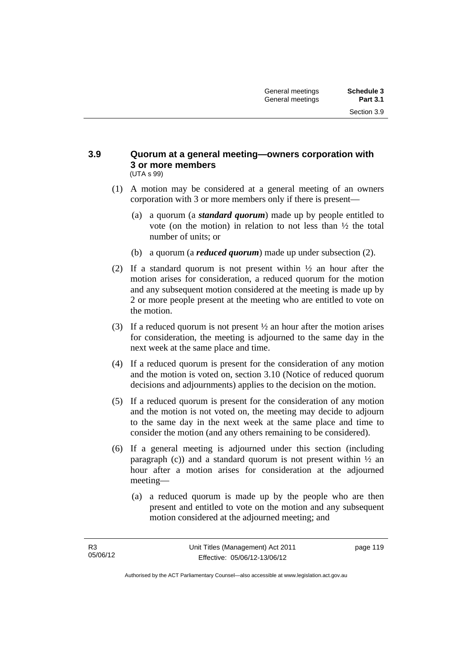#### **3.9 Quorum at a general meeting—owners corporation with 3 or more members**  (UTA s 99)

- (1) A motion may be considered at a general meeting of an owners corporation with 3 or more members only if there is present—
	- (a) a quorum (a *standard quorum*) made up by people entitled to vote (on the motion) in relation to not less than ½ the total number of units; or
	- (b) a quorum (a *reduced quorum*) made up under subsection (2).
- (2) If a standard quorum is not present within  $\frac{1}{2}$  an hour after the motion arises for consideration, a reduced quorum for the motion and any subsequent motion considered at the meeting is made up by 2 or more people present at the meeting who are entitled to vote on the motion.
- (3) If a reduced quorum is not present ½ an hour after the motion arises for consideration, the meeting is adjourned to the same day in the next week at the same place and time.
- (4) If a reduced quorum is present for the consideration of any motion and the motion is voted on, section 3.10 (Notice of reduced quorum decisions and adjournments) applies to the decision on the motion.
- (5) If a reduced quorum is present for the consideration of any motion and the motion is not voted on, the meeting may decide to adjourn to the same day in the next week at the same place and time to consider the motion (and any others remaining to be considered).
- (6) If a general meeting is adjourned under this section (including paragraph (c)) and a standard quorum is not present within  $\frac{1}{2}$  and hour after a motion arises for consideration at the adjourned meeting—
	- (a) a reduced quorum is made up by the people who are then present and entitled to vote on the motion and any subsequent motion considered at the adjourned meeting; and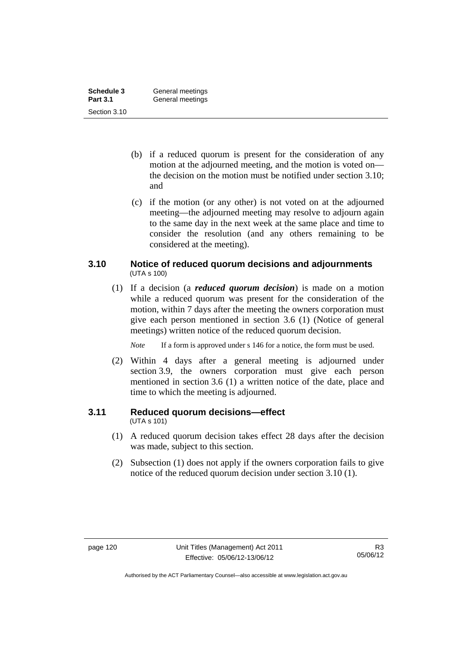| Schedule 3      | General meetings |
|-----------------|------------------|
| <b>Part 3.1</b> | General meetings |
| Section 3.10    |                  |

- (b) if a reduced quorum is present for the consideration of any motion at the adjourned meeting, and the motion is voted on the decision on the motion must be notified under section 3.10; and
- (c) if the motion (or any other) is not voted on at the adjourned meeting—the adjourned meeting may resolve to adjourn again to the same day in the next week at the same place and time to consider the resolution (and any others remaining to be considered at the meeting).

## **3.10 Notice of reduced quorum decisions and adjournments**  (UTA s 100)

 (1) If a decision (a *reduced quorum decision*) is made on a motion while a reduced quorum was present for the consideration of the motion, within 7 days after the meeting the owners corporation must give each person mentioned in section 3.6 (1) (Notice of general meetings) written notice of the reduced quorum decision.

*Note* If a form is approved under s 146 for a notice, the form must be used.

 (2) Within 4 days after a general meeting is adjourned under section 3.9, the owners corporation must give each person mentioned in section 3.6 (1) a written notice of the date, place and time to which the meeting is adjourned.

# **3.11 Reduced quorum decisions—effect**

(UTA s 101)

- (1) A reduced quorum decision takes effect 28 days after the decision was made, subject to this section.
- (2) Subsection (1) does not apply if the owners corporation fails to give notice of the reduced quorum decision under section 3.10 (1).

Authorised by the ACT Parliamentary Counsel—also accessible at www.legislation.act.gov.au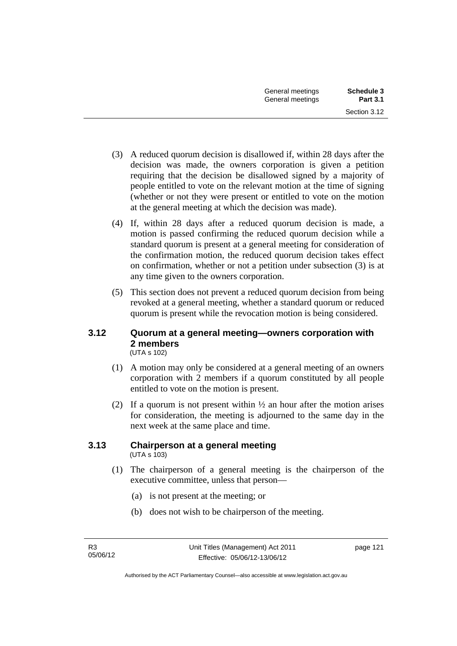- (3) A reduced quorum decision is disallowed if, within 28 days after the decision was made, the owners corporation is given a petition requiring that the decision be disallowed signed by a majority of people entitled to vote on the relevant motion at the time of signing (whether or not they were present or entitled to vote on the motion at the general meeting at which the decision was made).
- (4) If, within 28 days after a reduced quorum decision is made, a motion is passed confirming the reduced quorum decision while a standard quorum is present at a general meeting for consideration of the confirmation motion, the reduced quorum decision takes effect on confirmation, whether or not a petition under subsection (3) is at any time given to the owners corporation.
- (5) This section does not prevent a reduced quorum decision from being revoked at a general meeting, whether a standard quorum or reduced quorum is present while the revocation motion is being considered.

### **3.12 Quorum at a general meeting—owners corporation with 2 members**  (UTA s 102)

- (1) A motion may only be considered at a general meeting of an owners corporation with 2 members if a quorum constituted by all people entitled to vote on the motion is present.
- (2) If a quorum is not present within  $\frac{1}{2}$  an hour after the motion arises for consideration, the meeting is adjourned to the same day in the next week at the same place and time.

### **3.13 Chairperson at a general meeting**  (UTA s 103)

- (1) The chairperson of a general meeting is the chairperson of the executive committee, unless that person—
	- (a) is not present at the meeting; or
	- (b) does not wish to be chairperson of the meeting.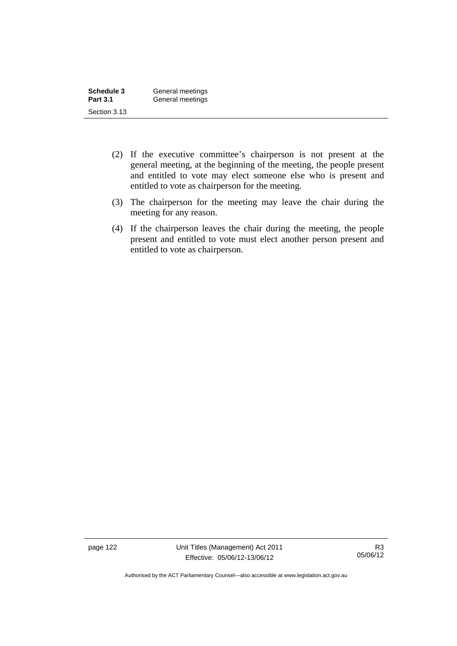| Schedule 3      | General meetings |
|-----------------|------------------|
| <b>Part 3.1</b> | General meetings |
| Section 3.13    |                  |

- (2) If the executive committee's chairperson is not present at the general meeting, at the beginning of the meeting, the people present and entitled to vote may elect someone else who is present and entitled to vote as chairperson for the meeting.
- (3) The chairperson for the meeting may leave the chair during the meeting for any reason.
- (4) If the chairperson leaves the chair during the meeting, the people present and entitled to vote must elect another person present and entitled to vote as chairperson.

page 122 Unit Titles (Management) Act 2011 Effective: 05/06/12-13/06/12

Authorised by the ACT Parliamentary Counsel—also accessible at www.legislation.act.gov.au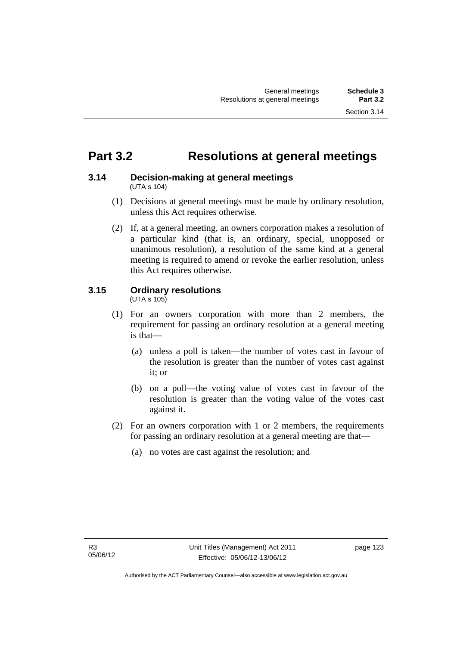# **Part 3.2 Resolutions at general meetings**

### **3.14 Decision-making at general meetings**  (UTA s 104)

- (1) Decisions at general meetings must be made by ordinary resolution, unless this Act requires otherwise.
- (2) If, at a general meeting, an owners corporation makes a resolution of a particular kind (that is, an ordinary, special, unopposed or unanimous resolution), a resolution of the same kind at a general meeting is required to amend or revoke the earlier resolution, unless this Act requires otherwise.

# **3.15 Ordinary resolutions**

(UTA s 105)

- (1) For an owners corporation with more than 2 members, the requirement for passing an ordinary resolution at a general meeting is that—
	- (a) unless a poll is taken—the number of votes cast in favour of the resolution is greater than the number of votes cast against it; or
	- (b) on a poll—the voting value of votes cast in favour of the resolution is greater than the voting value of the votes cast against it.
- (2) For an owners corporation with 1 or 2 members, the requirements for passing an ordinary resolution at a general meeting are that—
	- (a) no votes are cast against the resolution; and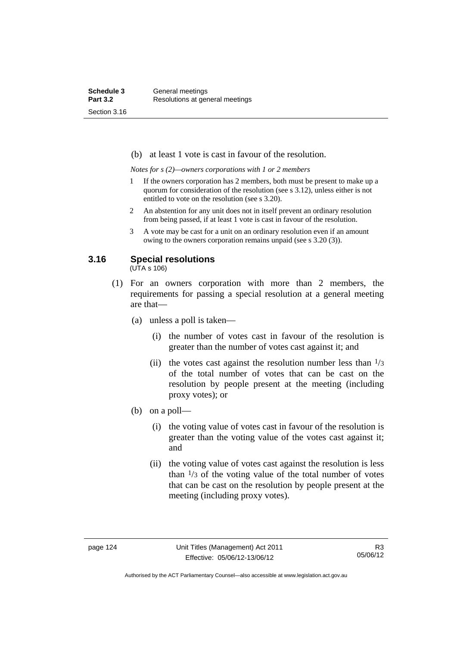(b) at least 1 vote is cast in favour of the resolution.

*Notes for s (2)—owners corporations with 1 or 2 members* 

- 1 If the owners corporation has 2 members, both must be present to make up a quorum for consideration of the resolution (see s 3.12), unless either is not entitled to vote on the resolution (see s 3.20).
- 2 An abstention for any unit does not in itself prevent an ordinary resolution from being passed, if at least 1 vote is cast in favour of the resolution.
- 3 A vote may be cast for a unit on an ordinary resolution even if an amount owing to the owners corporation remains unpaid (see s 3.20 (3)).

## **3.16 Special resolutions**

(UTA s 106)

- (1) For an owners corporation with more than 2 members, the requirements for passing a special resolution at a general meeting are that—
	- (a) unless a poll is taken—
		- (i) the number of votes cast in favour of the resolution is greater than the number of votes cast against it; and
		- (ii) the votes cast against the resolution number less than  $\frac{1}{3}$ of the total number of votes that can be cast on the resolution by people present at the meeting (including proxy votes); or
	- (b) on a poll—
		- (i) the voting value of votes cast in favour of the resolution is greater than the voting value of the votes cast against it; and
		- (ii) the voting value of votes cast against the resolution is less than  $\frac{1}{3}$  of the voting value of the total number of votes that can be cast on the resolution by people present at the meeting (including proxy votes).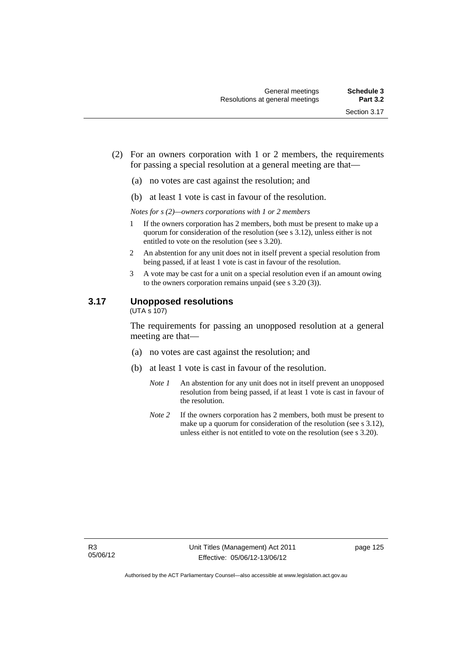- (2) For an owners corporation with 1 or 2 members, the requirements for passing a special resolution at a general meeting are that—
	- (a) no votes are cast against the resolution; and
	- (b) at least 1 vote is cast in favour of the resolution.

*Notes for s (2)—owners corporations with 1 or 2 members* 

- 1 If the owners corporation has 2 members, both must be present to make up a quorum for consideration of the resolution (see s 3.12), unless either is not entitled to vote on the resolution (see s 3.20).
- 2 An abstention for any unit does not in itself prevent a special resolution from being passed, if at least 1 vote is cast in favour of the resolution.
- 3 A vote may be cast for a unit on a special resolution even if an amount owing to the owners corporation remains unpaid (see s 3.20 (3)).

### **3.17 Unopposed resolutions**

 $(UTA \overline{s} 107)$ 

The requirements for passing an unopposed resolution at a general meeting are that—

- (a) no votes are cast against the resolution; and
- (b) at least 1 vote is cast in favour of the resolution.
	- *Note 1* An abstention for any unit does not in itself prevent an unopposed resolution from being passed, if at least 1 vote is cast in favour of the resolution.
	- *Note* 2 If the owners corporation has 2 members, both must be present to make up a quorum for consideration of the resolution (see s 3.12), unless either is not entitled to vote on the resolution (see s 3.20).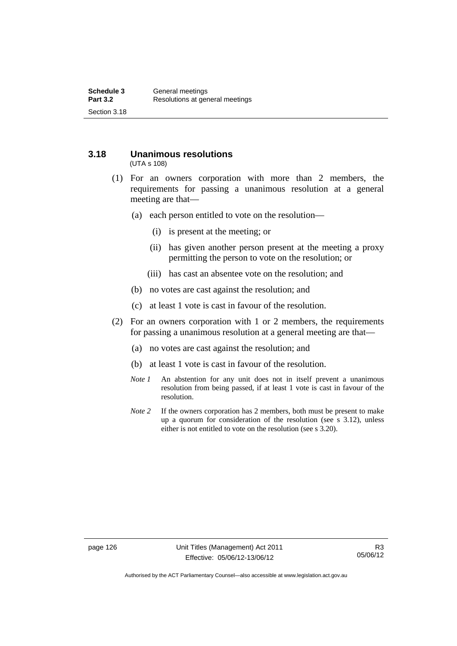# **3.18 Unanimous resolutions**

(UTA s 108)

- (1) For an owners corporation with more than 2 members, the requirements for passing a unanimous resolution at a general meeting are that—
	- (a) each person entitled to vote on the resolution—
		- (i) is present at the meeting; or
		- (ii) has given another person present at the meeting a proxy permitting the person to vote on the resolution; or
		- (iii) has cast an absentee vote on the resolution; and
	- (b) no votes are cast against the resolution; and
	- (c) at least 1 vote is cast in favour of the resolution.
- (2) For an owners corporation with 1 or 2 members, the requirements for passing a unanimous resolution at a general meeting are that—
	- (a) no votes are cast against the resolution; and
	- (b) at least 1 vote is cast in favour of the resolution.
	- *Note 1* An abstention for any unit does not in itself prevent a unanimous resolution from being passed, if at least 1 vote is cast in favour of the resolution.
	- *Note* 2 If the owners corporation has 2 members, both must be present to make up a quorum for consideration of the resolution (see s 3.12), unless either is not entitled to vote on the resolution (see s 3.20).

Authorised by the ACT Parliamentary Counsel—also accessible at www.legislation.act.gov.au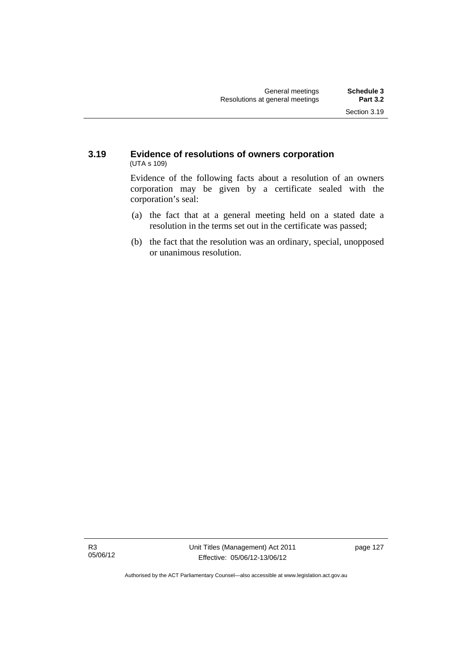### **3.19 Evidence of resolutions of owners corporation**  (UTA s 109)

Evidence of the following facts about a resolution of an owners corporation may be given by a certificate sealed with the corporation's seal:

- (a) the fact that at a general meeting held on a stated date a resolution in the terms set out in the certificate was passed;
- (b) the fact that the resolution was an ordinary, special, unopposed or unanimous resolution.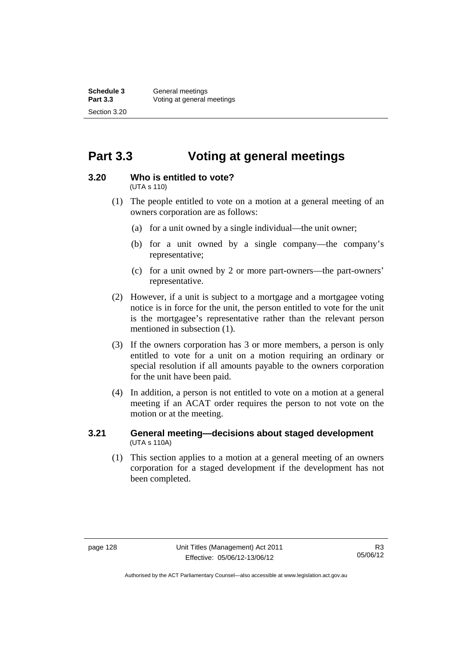# **Part 3.3 Voting at general meetings**

### **3.20 Who is entitled to vote?**

(UTA s 110)

- (1) The people entitled to vote on a motion at a general meeting of an owners corporation are as follows:
	- (a) for a unit owned by a single individual—the unit owner;
	- (b) for a unit owned by a single company—the company's representative;
	- (c) for a unit owned by 2 or more part-owners—the part-owners' representative.
- (2) However, if a unit is subject to a mortgage and a mortgagee voting notice is in force for the unit, the person entitled to vote for the unit is the mortgagee's representative rather than the relevant person mentioned in subsection (1).
- (3) If the owners corporation has 3 or more members, a person is only entitled to vote for a unit on a motion requiring an ordinary or special resolution if all amounts payable to the owners corporation for the unit have been paid.
- (4) In addition, a person is not entitled to vote on a motion at a general meeting if an ACAT order requires the person to not vote on the motion or at the meeting.

### **3.21 General meeting—decisions about staged development**  (UTA s 110A)

 (1) This section applies to a motion at a general meeting of an owners corporation for a staged development if the development has not been completed.

Authorised by the ACT Parliamentary Counsel—also accessible at www.legislation.act.gov.au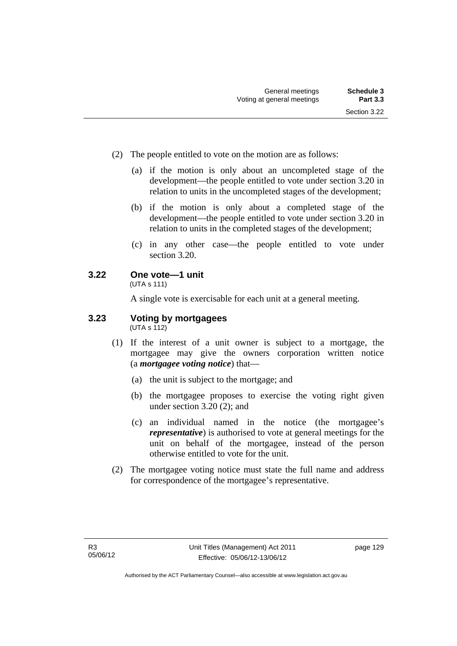- (2) The people entitled to vote on the motion are as follows:
	- (a) if the motion is only about an uncompleted stage of the development—the people entitled to vote under section 3.20 in relation to units in the uncompleted stages of the development;
	- (b) if the motion is only about a completed stage of the development—the people entitled to vote under section 3.20 in relation to units in the completed stages of the development;
	- (c) in any other case—the people entitled to vote under section 3.20.

# **3.22 One vote—1 unit**

(UTA s 111)

A single vote is exercisable for each unit at a general meeting.

#### **3.23 Voting by mortgagees**   $(UTA \s{5}112)$

- (1) If the interest of a unit owner is subject to a mortgage, the mortgagee may give the owners corporation written notice (a *mortgagee voting notice*) that—
	- (a) the unit is subject to the mortgage; and
	- (b) the mortgagee proposes to exercise the voting right given under section 3.20 (2); and
	- (c) an individual named in the notice (the mortgagee's *representative*) is authorised to vote at general meetings for the unit on behalf of the mortgagee, instead of the person otherwise entitled to vote for the unit.
- (2) The mortgagee voting notice must state the full name and address for correspondence of the mortgagee's representative.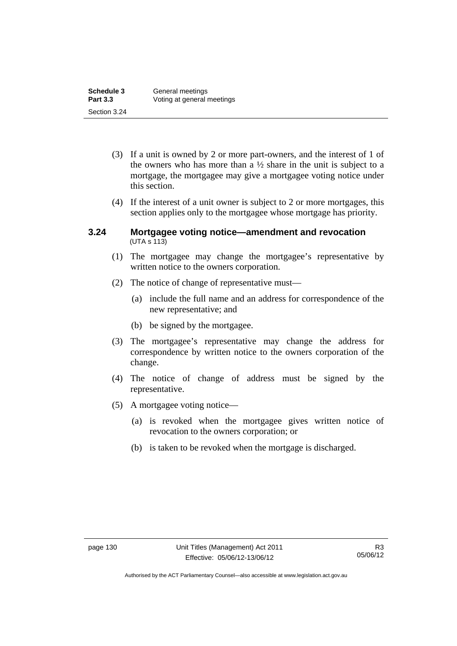| Schedule 3      | General meetings           |
|-----------------|----------------------------|
| <b>Part 3.3</b> | Voting at general meetings |
| Section 3.24    |                            |

- (3) If a unit is owned by 2 or more part-owners, and the interest of 1 of the owners who has more than a  $\frac{1}{2}$  share in the unit is subject to a mortgage, the mortgagee may give a mortgagee voting notice under this section.
- (4) If the interest of a unit owner is subject to 2 or more mortgages, this section applies only to the mortgagee whose mortgage has priority.

### **3.24 Mortgagee voting notice—amendment and revocation**   $(UTA S 113)$

- (1) The mortgagee may change the mortgagee's representative by written notice to the owners corporation.
- (2) The notice of change of representative must—
	- (a) include the full name and an address for correspondence of the new representative; and
	- (b) be signed by the mortgagee.
- (3) The mortgagee's representative may change the address for correspondence by written notice to the owners corporation of the change.
- (4) The notice of change of address must be signed by the representative.
- (5) A mortgagee voting notice—
	- (a) is revoked when the mortgagee gives written notice of revocation to the owners corporation; or
	- (b) is taken to be revoked when the mortgage is discharged.

Authorised by the ACT Parliamentary Counsel—also accessible at www.legislation.act.gov.au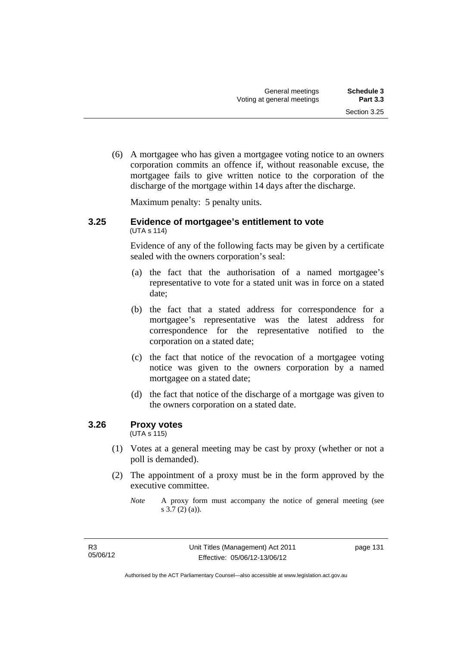(6) A mortgagee who has given a mortgagee voting notice to an owners corporation commits an offence if, without reasonable excuse, the mortgagee fails to give written notice to the corporation of the discharge of the mortgage within 14 days after the discharge.

Maximum penalty: 5 penalty units.

### **3.25 Evidence of mortgagee's entitlement to vote**  (UTA s 114)

Evidence of any of the following facts may be given by a certificate sealed with the owners corporation's seal:

- (a) the fact that the authorisation of a named mortgagee's representative to vote for a stated unit was in force on a stated date;
- (b) the fact that a stated address for correspondence for a mortgagee's representative was the latest address for correspondence for the representative notified to the corporation on a stated date;
- (c) the fact that notice of the revocation of a mortgagee voting notice was given to the owners corporation by a named mortgagee on a stated date;
- (d) the fact that notice of the discharge of a mortgage was given to the owners corporation on a stated date.

## **3.26 Proxy votes**

(UTA s 115)

- (1) Votes at a general meeting may be cast by proxy (whether or not a poll is demanded).
- (2) The appointment of a proxy must be in the form approved by the executive committee.

*Note* A proxy form must accompany the notice of general meeting (see s 3.7 (2) (a)).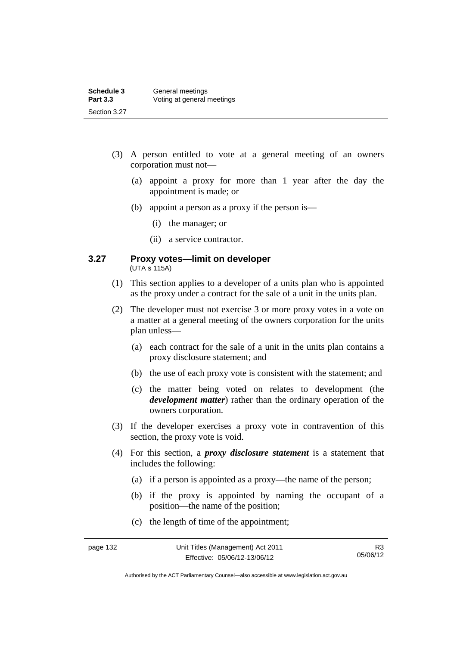| Schedule 3      | General meetings           |
|-----------------|----------------------------|
| <b>Part 3.3</b> | Voting at general meetings |
| Section 3.27    |                            |

- (3) A person entitled to vote at a general meeting of an owners corporation must not—
	- (a) appoint a proxy for more than 1 year after the day the appointment is made; or
	- (b) appoint a person as a proxy if the person is—
		- (i) the manager; or
		- (ii) a service contractor.

#### **3.27 Proxy votes—limit on developer**  (UTA s 115A)

- (1) This section applies to a developer of a units plan who is appointed as the proxy under a contract for the sale of a unit in the units plan.
- (2) The developer must not exercise 3 or more proxy votes in a vote on a matter at a general meeting of the owners corporation for the units plan unless—
	- (a) each contract for the sale of a unit in the units plan contains a proxy disclosure statement; and
	- (b) the use of each proxy vote is consistent with the statement; and
	- (c) the matter being voted on relates to development (the *development matter*) rather than the ordinary operation of the owners corporation.
- (3) If the developer exercises a proxy vote in contravention of this section, the proxy vote is void.
- (4) For this section, a *proxy disclosure statement* is a statement that includes the following:
	- (a) if a person is appointed as a proxy—the name of the person;
	- (b) if the proxy is appointed by naming the occupant of a position—the name of the position;
	- (c) the length of time of the appointment;

Authorised by the ACT Parliamentary Counsel—also accessible at www.legislation.act.gov.au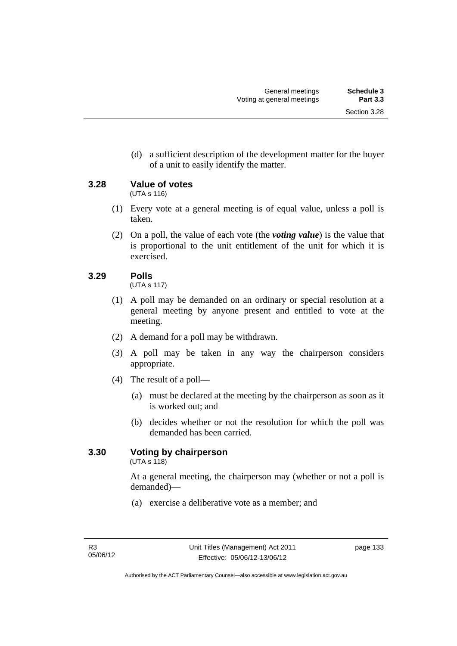(d) a sufficient description of the development matter for the buyer of a unit to easily identify the matter.

**3.28 Value of votes** 

(UTA s 116)

- (1) Every vote at a general meeting is of equal value, unless a poll is taken.
- (2) On a poll, the value of each vote (the *voting value*) is the value that is proportional to the unit entitlement of the unit for which it is exercised.

# **3.29 Polls**

(UTA s 117)

- (1) A poll may be demanded on an ordinary or special resolution at a general meeting by anyone present and entitled to vote at the meeting.
- (2) A demand for a poll may be withdrawn.
- (3) A poll may be taken in any way the chairperson considers appropriate.
- (4) The result of a poll—
	- (a) must be declared at the meeting by the chairperson as soon as it is worked out; and
	- (b) decides whether or not the resolution for which the poll was demanded has been carried.

# **3.30 Voting by chairperson**

 $(UTA s 118)$ 

At a general meeting, the chairperson may (whether or not a poll is demanded)—

(a) exercise a deliberative vote as a member; and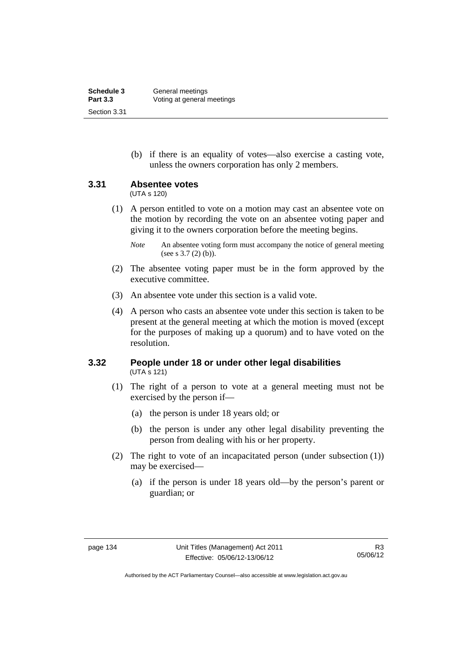| Schedule 3      | General meetings           |
|-----------------|----------------------------|
| <b>Part 3.3</b> | Voting at general meetings |
| Section 3.31    |                            |

 (b) if there is an equality of votes—also exercise a casting vote, unless the owners corporation has only 2 members.

### **3.31 Absentee votes**

(UTA s 120)

 (1) A person entitled to vote on a motion may cast an absentee vote on the motion by recording the vote on an absentee voting paper and giving it to the owners corporation before the meeting begins.

- (2) The absentee voting paper must be in the form approved by the executive committee.
- (3) An absentee vote under this section is a valid vote.
- (4) A person who casts an absentee vote under this section is taken to be present at the general meeting at which the motion is moved (except for the purposes of making up a quorum) and to have voted on the resolution.

### **3.32 People under 18 or under other legal disabilities**  (UTA s 121)

- (1) The right of a person to vote at a general meeting must not be exercised by the person if—
	- (a) the person is under 18 years old; or
	- (b) the person is under any other legal disability preventing the person from dealing with his or her property.
- (2) The right to vote of an incapacitated person (under subsection (1)) may be exercised—
	- (a) if the person is under 18 years old—by the person's parent or guardian; or

*Note* An absentee voting form must accompany the notice of general meeting (see s 3.7 (2) (b)).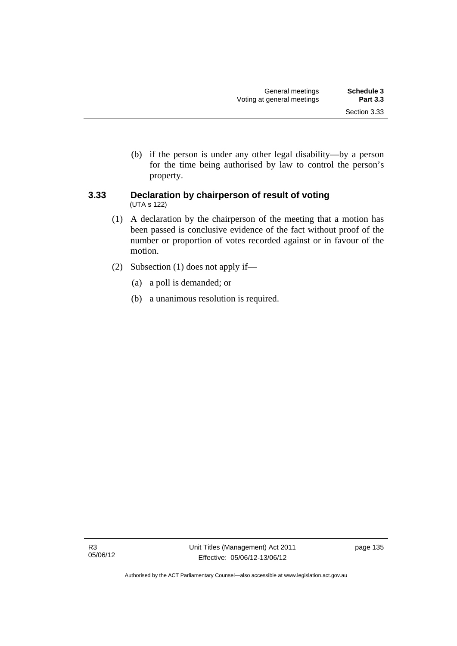(b) if the person is under any other legal disability—by a person for the time being authorised by law to control the person's property.

## **3.33 Declaration by chairperson of result of voting**  (UTA s 122)

- (1) A declaration by the chairperson of the meeting that a motion has been passed is conclusive evidence of the fact without proof of the number or proportion of votes recorded against or in favour of the motion.
- (2) Subsection (1) does not apply if—
	- (a) a poll is demanded; or
	- (b) a unanimous resolution is required.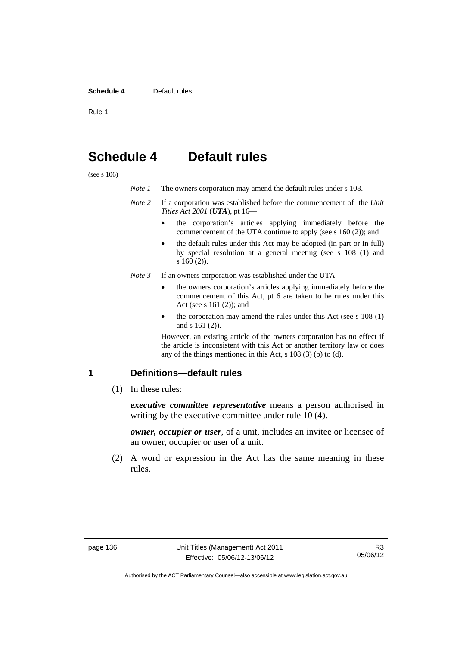#### **Schedule 4** Default rules

Rule 1

# **Schedule 4 Default rules**

(see s 106)

| Note 1 |  |  | The owners corporation may amend the default rules under s 108. |
|--------|--|--|-----------------------------------------------------------------|
|--------|--|--|-----------------------------------------------------------------|

- *Note 2* If a corporation was established before the commencement of the *Unit Titles Act 2001* (*UTA*), pt 16
	- the corporation's articles applying immediately before the commencement of the UTA continue to apply (see s 160 (2)); and
	- the default rules under this Act may be adopted (in part or in full) by special resolution at a general meeting (see s 108 (1) and s 160 (2)).
- *Note 3* If an owners corporation was established under the UTA
	- the owners corporation's articles applying immediately before the commencement of this Act, pt 6 are taken to be rules under this Act (see s 161 (2)); and
	- the corporation may amend the rules under this Act (see s 108 (1) and s 161 (2)).

However, an existing article of the owners corporation has no effect if the article is inconsistent with this Act or another territory law or does any of the things mentioned in this Act, s 108 (3) (b) to (d).

### **1 Definitions—default rules**

(1) In these rules:

*executive committee representative* means a person authorised in writing by the executive committee under rule 10 (4).

*owner, occupier or user*, of a unit, includes an invitee or licensee of an owner, occupier or user of a unit.

 (2) A word or expression in the Act has the same meaning in these rules.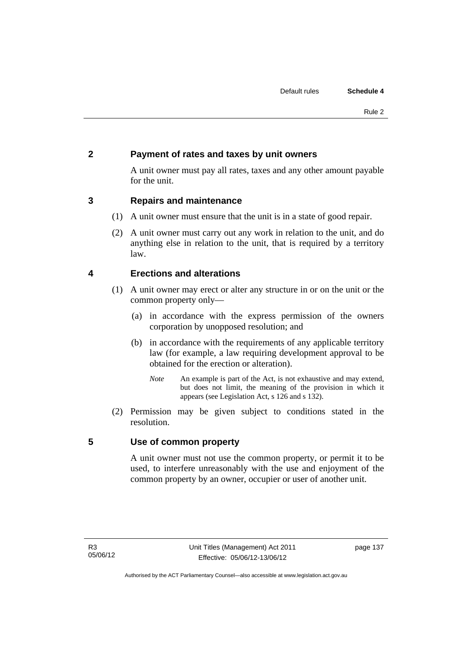# **2 Payment of rates and taxes by unit owners**

A unit owner must pay all rates, taxes and any other amount payable for the unit.

# **3 Repairs and maintenance**

- (1) A unit owner must ensure that the unit is in a state of good repair.
- (2) A unit owner must carry out any work in relation to the unit, and do anything else in relation to the unit, that is required by a territory law.

# **4 Erections and alterations**

- (1) A unit owner may erect or alter any structure in or on the unit or the common property only—
	- (a) in accordance with the express permission of the owners corporation by unopposed resolution; and
	- (b) in accordance with the requirements of any applicable territory law (for example, a law requiring development approval to be obtained for the erection or alteration).
		- *Note* An example is part of the Act, is not exhaustive and may extend, but does not limit, the meaning of the provision in which it appears (see Legislation Act, s 126 and s 132).
- (2) Permission may be given subject to conditions stated in the resolution.

# **5 Use of common property**

A unit owner must not use the common property, or permit it to be used, to interfere unreasonably with the use and enjoyment of the common property by an owner, occupier or user of another unit.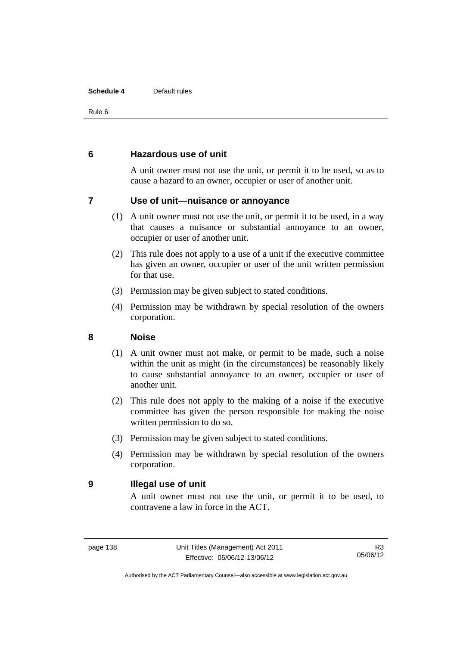### **Schedule 4** Default rules

Rule 6

## **6 Hazardous use of unit**

A unit owner must not use the unit, or permit it to be used, so as to cause a hazard to an owner, occupier or user of another unit.

## **7 Use of unit—nuisance or annoyance**

- (1) A unit owner must not use the unit, or permit it to be used, in a way that causes a nuisance or substantial annoyance to an owner, occupier or user of another unit.
- (2) This rule does not apply to a use of a unit if the executive committee has given an owner, occupier or user of the unit written permission for that use.
- (3) Permission may be given subject to stated conditions.
- (4) Permission may be withdrawn by special resolution of the owners corporation.

## **8 Noise**

- (1) A unit owner must not make, or permit to be made, such a noise within the unit as might (in the circumstances) be reasonably likely to cause substantial annoyance to an owner, occupier or user of another unit.
- (2) This rule does not apply to the making of a noise if the executive committee has given the person responsible for making the noise written permission to do so.
- (3) Permission may be given subject to stated conditions.
- (4) Permission may be withdrawn by special resolution of the owners corporation.

## **9 Illegal use of unit**

A unit owner must not use the unit, or permit it to be used, to contravene a law in force in the ACT.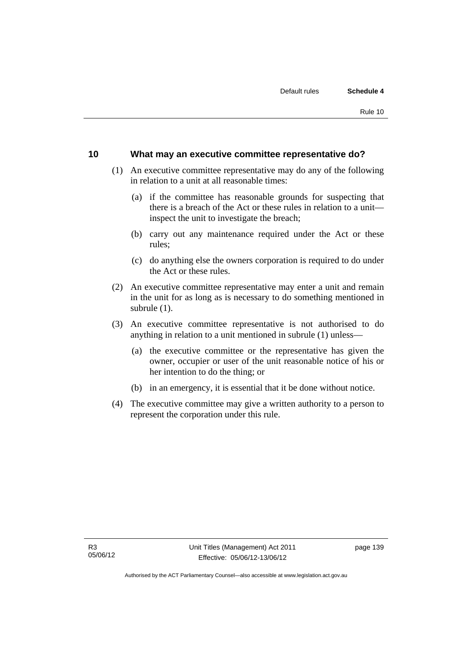### **10 What may an executive committee representative do?**

- (1) An executive committee representative may do any of the following in relation to a unit at all reasonable times:
	- (a) if the committee has reasonable grounds for suspecting that there is a breach of the Act or these rules in relation to a unit inspect the unit to investigate the breach;
	- (b) carry out any maintenance required under the Act or these rules;
	- (c) do anything else the owners corporation is required to do under the Act or these rules.
- (2) An executive committee representative may enter a unit and remain in the unit for as long as is necessary to do something mentioned in subrule (1).
- (3) An executive committee representative is not authorised to do anything in relation to a unit mentioned in subrule (1) unless—
	- (a) the executive committee or the representative has given the owner, occupier or user of the unit reasonable notice of his or her intention to do the thing; or
	- (b) in an emergency, it is essential that it be done without notice.
- (4) The executive committee may give a written authority to a person to represent the corporation under this rule.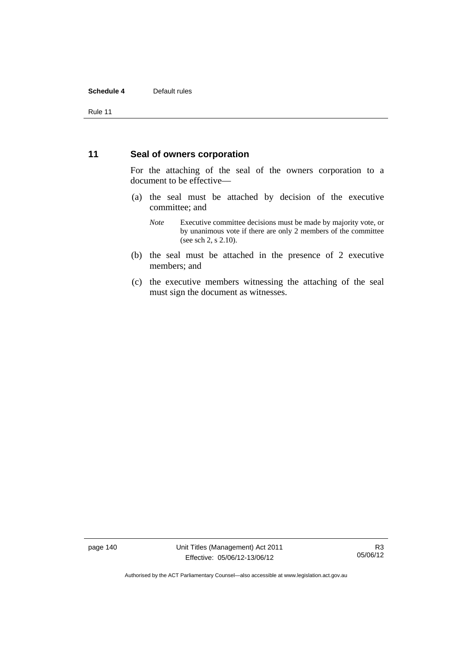### **Schedule 4** Default rules

Rule 11

### **11 Seal of owners corporation**

For the attaching of the seal of the owners corporation to a document to be effective—

- (a) the seal must be attached by decision of the executive committee; and
	- *Note* Executive committee decisions must be made by majority vote, or by unanimous vote if there are only 2 members of the committee (see sch 2, s 2.10).
- (b) the seal must be attached in the presence of 2 executive members; and
- (c) the executive members witnessing the attaching of the seal must sign the document as witnesses.

page 140 Unit Titles (Management) Act 2011 Effective: 05/06/12-13/06/12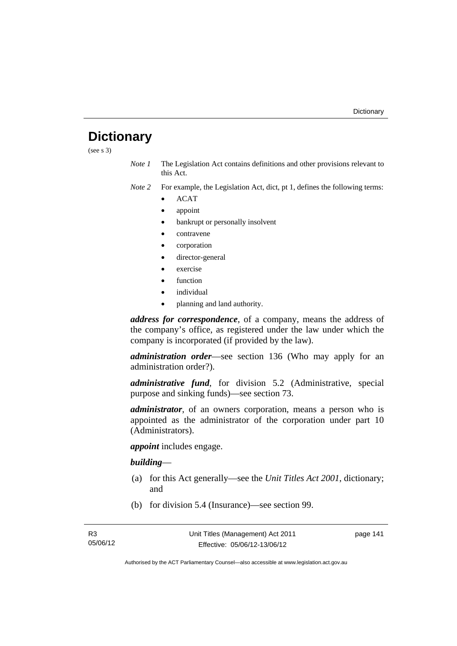# **Dictionary**

(see s 3)

- *Note 1* The Legislation Act contains definitions and other provisions relevant to this Act.
- *Note 2* For example, the Legislation Act, dict, pt 1, defines the following terms:
	- ACAT
	- appoint
	- bankrupt or personally insolvent
	- contravene
	- corporation
	- director-general
	- exercise
	- function
	- individual
	- planning and land authority.

*address for correspondence*, of a company, means the address of the company's office, as registered under the law under which the company is incorporated (if provided by the law).

*administration order*—see section 136 (Who may apply for an administration order?).

*administrative fund*, for division 5.2 (Administrative, special purpose and sinking funds)—see section 73.

*administrator*, of an owners corporation, means a person who is appointed as the administrator of the corporation under part 10 (Administrators).

*appoint* includes engage.

### *building*—

- (a) for this Act generally—see the *Unit Titles Act 2001*, dictionary; and
- (b) for division 5.4 (Insurance)—see section 99.

page 141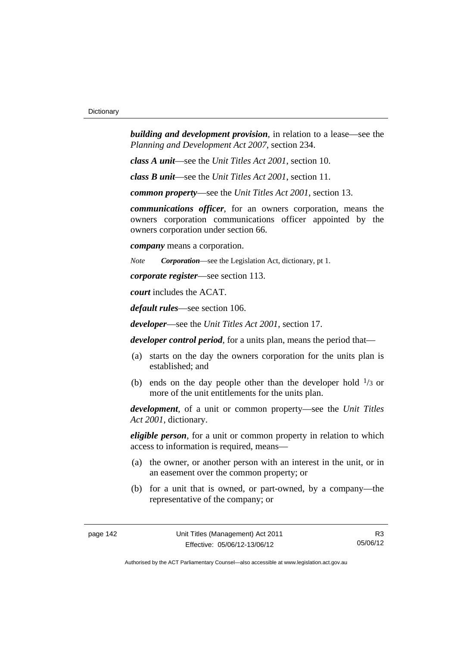*building and development provision*, in relation to a lease—see the *Planning and Development Act 2007*, section 234.

*class A unit*—see the *Unit Titles Act 2001*, section 10.

*class B unit*—see the *Unit Titles Act 2001*, section 11.

*common property*—see the *Unit Titles Act 2001*, section 13.

*communications officer*, for an owners corporation, means the owners corporation communications officer appointed by the owners corporation under section 66.

*company* means a corporation.

*Note Corporation*—see the Legislation Act, dictionary, pt 1.

*corporate register*—see section 113.

*court* includes the ACAT.

*default rules*—see section 106.

*developer*—see the *Unit Titles Act 2001*, section 17.

*developer control period*, for a units plan, means the period that—

- (a) starts on the day the owners corporation for the units plan is established; and
- (b) ends on the day people other than the developer hold  $\frac{1}{3}$  or more of the unit entitlements for the units plan.

*development*, of a unit or common property—see the *Unit Titles Act 2001*, dictionary.

*eligible person*, for a unit or common property in relation to which access to information is required, means—

- (a) the owner, or another person with an interest in the unit, or in an easement over the common property; or
- (b) for a unit that is owned, or part-owned, by a company—the representative of the company; or

R3 05/06/12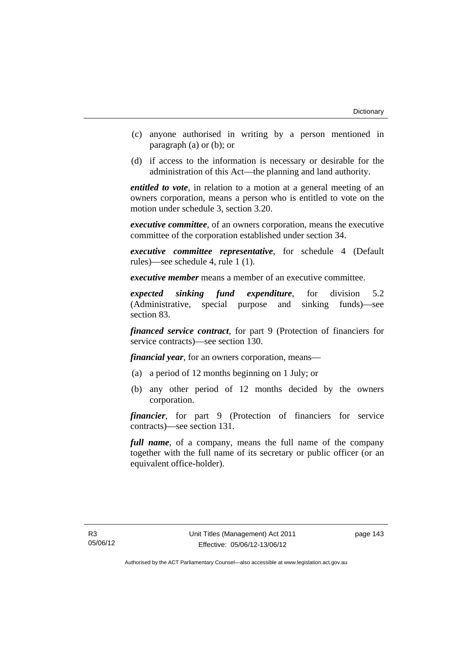- (c) anyone authorised in writing by a person mentioned in paragraph (a) or (b); or
- (d) if access to the information is necessary or desirable for the administration of this Act—the planning and land authority.

*entitled to vote*, in relation to a motion at a general meeting of an owners corporation, means a person who is entitled to vote on the motion under schedule 3, section 3.20.

*executive committee*, of an owners corporation, means the executive committee of the corporation established under section 34.

*executive committee representative*, for schedule 4 (Default rules)—see schedule 4, rule 1 (1).

*executive member* means a member of an executive committee.

*expected sinking fund expenditure*, for division 5.2 (Administrative, special purpose and sinking funds)—see section 83.

*financed service contract*, for part 9 (Protection of financiers for service contracts)—see section 130.

*financial year*, for an owners corporation, means—

- (a) a period of 12 months beginning on 1 July; or
- (b) any other period of 12 months decided by the owners corporation.

*financier*, for part 9 (Protection of financiers for service contracts)—see section 131.

*full name*, of a company, means the full name of the company together with the full name of its secretary or public officer (or an equivalent office-holder).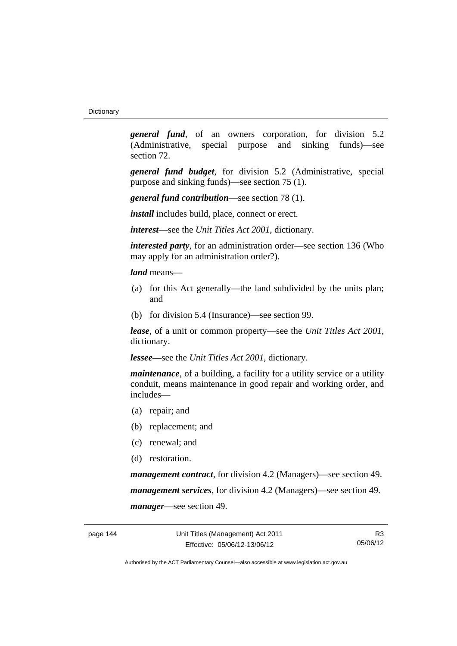*general fund*, of an owners corporation, for division 5.2 (Administrative, special purpose and sinking funds)—see section 72.

*general fund budget*, for division 5.2 (Administrative, special purpose and sinking funds)—see section 75 (1).

*general fund contribution*—see section 78 (1).

*install* includes build, place, connect or erect.

*interest*—see the *Unit Titles Act 2001*, dictionary.

*interested party*, for an administration order—see section 136 (Who may apply for an administration order?).

*land* means—

- (a) for this Act generally—the land subdivided by the units plan; and
- (b) for division 5.4 (Insurance)—see section 99.

*lease*, of a unit or common property—see the *Unit Titles Act 2001*, dictionary.

*lessee—*see the *Unit Titles Act 2001*, dictionary.

*maintenance*, of a building, a facility for a utility service or a utility conduit, means maintenance in good repair and working order, and includes—

- (a) repair; and
- (b) replacement; and
- (c) renewal; and
- (d) restoration.

*management contract*, for division 4.2 (Managers)—see section 49. *management services*, for division 4.2 (Managers)—see section 49. *manager*—see section 49.

R3 05/06/12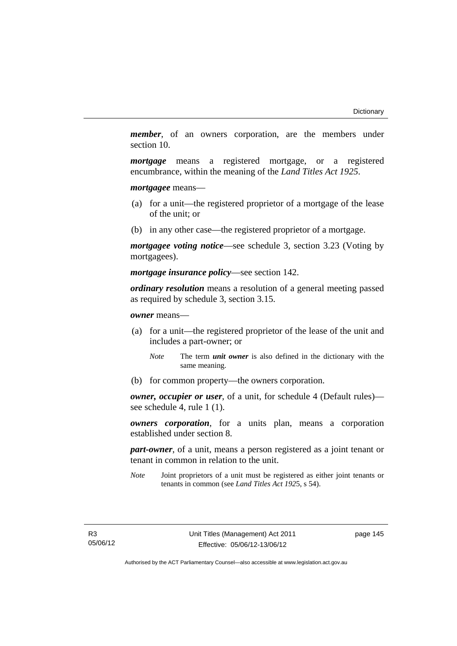*member*, of an owners corporation, are the members under section 10.

*mortgage* means a registered mortgage, or a registered encumbrance, within the meaning of the *Land Titles Act 1925*.

*mortgagee* means—

- (a) for a unit—the registered proprietor of a mortgage of the lease of the unit; or
- (b) in any other case—the registered proprietor of a mortgage.

*mortgagee voting notice*—see schedule 3, section 3.23 (Voting by mortgagees).

*mortgage insurance policy*—see section 142.

*ordinary resolution* means a resolution of a general meeting passed as required by schedule 3, section 3.15.

*owner* means—

- (a) for a unit—the registered proprietor of the lease of the unit and includes a part-owner; or
	- *Note* The term *unit owner* is also defined in the dictionary with the same meaning.
- (b) for common property—the owners corporation.

*owner, occupier or user*, of a unit, for schedule 4 (Default rules) see schedule 4, rule 1 (1).

*owners corporation*, for a units plan, means a corporation established under section 8.

*part-owner*, of a unit, means a person registered as a joint tenant or tenant in common in relation to the unit.

*Note* Joint proprietors of a unit must be registered as either joint tenants or tenants in common (see *Land Titles Act 192*5, s 54).

page 145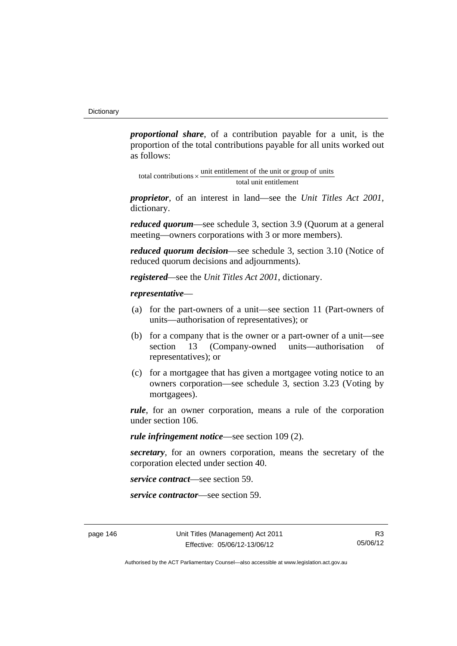*proportional share*, of a contribution payable for a unit, is the proportion of the total contributions payable for all units worked out as follows:

total unit entitlement total contributions  $\times$  unit entitlement of the unit or group of units

*proprietor*, of an interest in land—see the *Unit Titles Act 2001*, dictionary.

*reduced quorum*—see schedule 3, section 3.9 (Quorum at a general meeting—owners corporations with 3 or more members).

*reduced quorum decision*—see schedule 3, section 3.10 (Notice of reduced quorum decisions and adjournments).

*registered—*see the *Unit Titles Act 2001*, dictionary.

### *representative*—

- (a) for the part-owners of a unit—see section 11 (Part-owners of units—authorisation of representatives); or
- (b) for a company that is the owner or a part-owner of a unit—see section 13 (Company-owned units—authorisation of representatives); or
- (c) for a mortgagee that has given a mortgagee voting notice to an owners corporation—see schedule 3, section 3.23 (Voting by mortgagees).

*rule*, for an owner corporation, means a rule of the corporation under section 106.

*rule infringement notice*—see section 109 (2).

*secretary*, for an owners corporation, means the secretary of the corporation elected under section 40.

*service contract*—see section 59.

*service contractor*—see section 59.

R3 05/06/12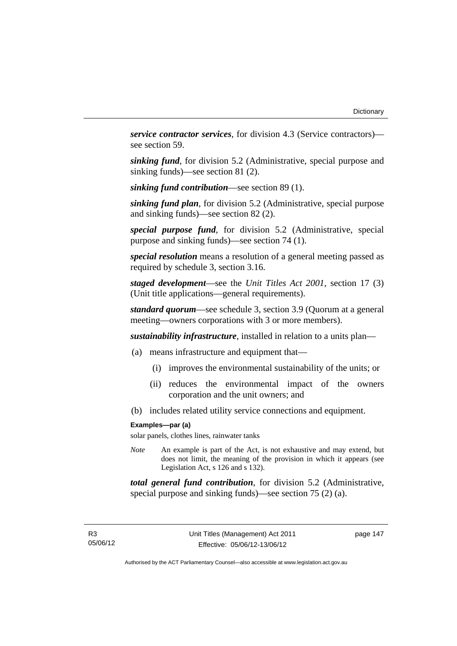*service contractor services*, for division 4.3 (Service contractors) see section 59.

*sinking fund*, for division 5.2 (Administrative, special purpose and sinking funds)—see section 81 (2).

*sinking fund contribution*—see section 89 (1).

*sinking fund plan*, for division 5.2 (Administrative, special purpose and sinking funds)—see section 82 (2).

*special purpose fund*, for division 5.2 (Administrative, special purpose and sinking funds)—see section 74 (1).

*special resolution* means a resolution of a general meeting passed as required by schedule 3, section 3.16.

*staged development*—see the *Unit Titles Act 2001*, section 17 (3) (Unit title applications—general requirements).

*standard quorum*—see schedule 3, section 3.9 (Quorum at a general meeting—owners corporations with 3 or more members).

*sustainability infrastructure*, installed in relation to a units plan—

- (a) means infrastructure and equipment that—
	- (i) improves the environmental sustainability of the units; or
	- (ii) reduces the environmental impact of the owners corporation and the unit owners; and
- (b) includes related utility service connections and equipment.

#### **Examples—par (a)**

solar panels, clothes lines, rainwater tanks

*Note* An example is part of the Act, is not exhaustive and may extend, but does not limit, the meaning of the provision in which it appears (see Legislation Act, s 126 and s 132).

*total general fund contribution*, for division 5.2 (Administrative, special purpose and sinking funds)—see section 75 (2) (a).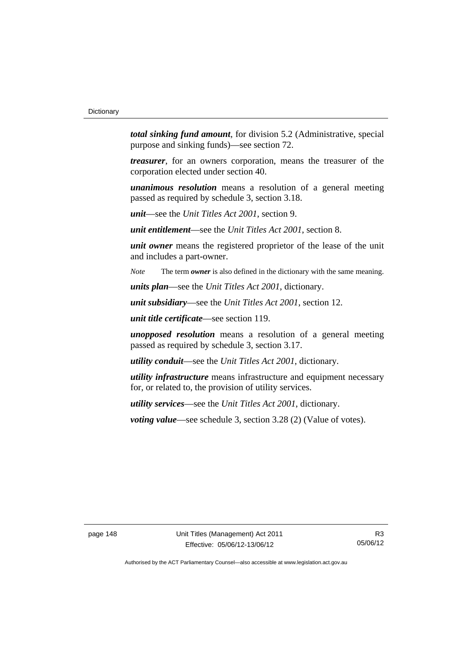*total sinking fund amount*, for division 5.2 (Administrative, special purpose and sinking funds)—see section 72.

*treasurer*, for an owners corporation, means the treasurer of the corporation elected under section 40.

*unanimous resolution* means a resolution of a general meeting passed as required by schedule 3, section 3.18.

*unit*—see the *Unit Titles Act 2001*, section 9.

*unit entitlement*—see the *Unit Titles Act 2001*, section 8.

*unit owner* means the registered proprietor of the lease of the unit and includes a part-owner.

*Note* The term *owner* is also defined in the dictionary with the same meaning.

*units plan*—see the *Unit Titles Act 2001*, dictionary.

*unit subsidiary*—see the *Unit Titles Act 2001*, section 12.

*unit title certificate*—see section 119.

*unopposed resolution* means a resolution of a general meeting passed as required by schedule 3, section 3.17.

*utility conduit*—see the *Unit Titles Act 2001*, dictionary.

*utility infrastructure* means infrastructure and equipment necessary for, or related to, the provision of utility services.

*utility services*—see the *Unit Titles Act 2001*, dictionary.

*voting value—see schedule 3, section 3.28 (2) (Value of votes).*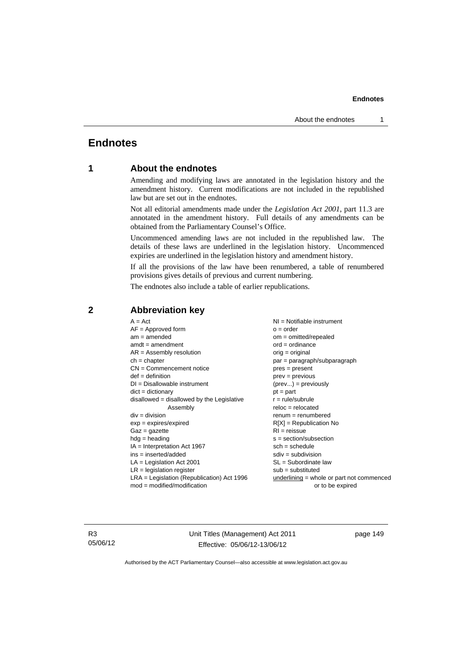# **Endnotes**

## **1 About the endnotes**

Amending and modifying laws are annotated in the legislation history and the amendment history. Current modifications are not included in the republished law but are set out in the endnotes.

Not all editorial amendments made under the *Legislation Act 2001*, part 11.3 are annotated in the amendment history. Full details of any amendments can be obtained from the Parliamentary Counsel's Office.

Uncommenced amending laws are not included in the republished law. The details of these laws are underlined in the legislation history. Uncommenced expiries are underlined in the legislation history and amendment history.

If all the provisions of the law have been renumbered, a table of renumbered provisions gives details of previous and current numbering.

The endnotes also include a table of earlier republications.

| $A = Act$                                    | $NI = Notifiable$ instrument                |
|----------------------------------------------|---------------------------------------------|
| $AF =$ Approved form                         | $o = order$                                 |
| $am = amended$                               | $om = omitted/repealed$                     |
| $amdt = amendment$                           | $ord = ordinance$                           |
| $AR = Assembly resolution$                   | $orig = original$                           |
| $ch = chapter$                               | par = paragraph/subparagraph                |
| $CN =$ Commencement notice                   | $pres = present$                            |
| $def = definition$                           | $prev = previous$                           |
| $DI = Disallowable instrument$               | $(\text{prev}) = \text{previously}$         |
| $dict = dictionary$                          | $pt = part$                                 |
| disallowed = disallowed by the Legislative   | $r = rule/subrule$                          |
| Assembly                                     | $reloc = relocated$                         |
| $div = division$                             | $renum = renumbered$                        |
| $exp = expires/expired$                      | $R[X]$ = Republication No                   |
| $Gaz = gazette$                              | $RI = reissue$                              |
| $hdg = heading$                              | $s = section/subsection$                    |
| $IA = Interpretation Act 1967$               | $sch = schedule$                            |
| $ins = inserted/added$                       | $sdiv = subdivision$                        |
| $LA =$ Legislation Act 2001                  | $SL = Subordinate$ law                      |
| $LR =$ legislation register                  | $sub =$ substituted                         |
| $LRA =$ Legislation (Republication) Act 1996 | $underlining = whole or part not commenced$ |
| $mod = modified/modification$                | or to be expired                            |
|                                              |                                             |

### **2 Abbreviation key**

R3 05/06/12 Unit Titles (Management) Act 2011 Effective: 05/06/12-13/06/12

page 149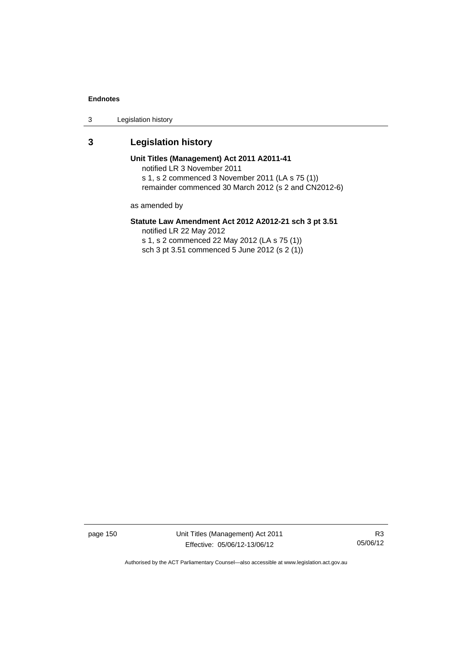3 Legislation history

# **3 Legislation history**

**Unit Titles (Management) Act 2011 A2011-41**  notified LR 3 November 2011 s 1, s 2 commenced 3 November 2011 (LA s 75 (1)) remainder commenced 30 March 2012 (s 2 and CN2012-6)

as amended by

## **Statute Law Amendment Act 2012 A2012-21 sch 3 pt 3.51**

notified LR 22 May 2012

s 1, s 2 commenced 22 May 2012 (LA s 75 (1)) sch 3 pt 3.51 commenced 5 June 2012 (s 2 (1))

page 150 Unit Titles (Management) Act 2011 Effective: 05/06/12-13/06/12

R3 05/06/12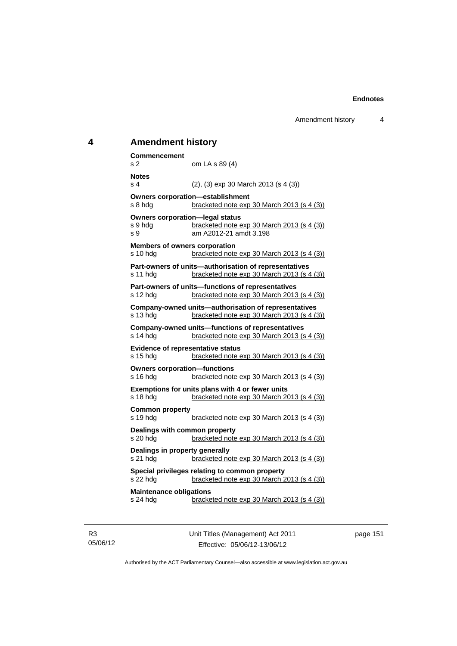# **4 Amendment history**

| Commencement<br>s 2                                                                                         | om LA s 89 (4)                                                                                        |  |
|-------------------------------------------------------------------------------------------------------------|-------------------------------------------------------------------------------------------------------|--|
| <b>Notes</b><br>s <sub>4</sub>                                                                              | $(2)$ , $(3)$ exp 30 March 2013 (s 4 $(3)$ )                                                          |  |
| s 8 hdg                                                                                                     | <b>Owners corporation-establishment</b><br>bracketed note exp 30 March 2013 (s 4 (3))                 |  |
| <b>Owners corporation-legal status</b><br>s 9 hdg<br>s 9                                                    | bracketed note exp 30 March 2013 (s 4 (3))<br>am A2012-21 amdt 3.198                                  |  |
| <b>Members of owners corporation</b><br>s 10 hdg                                                            | bracketed note exp 30 March 2013 (s 4 (3))                                                            |  |
| s 11 hdg                                                                                                    | Part-owners of units-authorisation of representatives<br>bracketed note exp 30 March 2013 (s 4 (3))   |  |
| Part-owners of units-functions of representatives<br>bracketed note exp 30 March 2013 (s 4 (3))<br>s 12 hdg |                                                                                                       |  |
| s 13 hdg                                                                                                    | Company-owned units-authorisation of representatives<br>bracketed note exp 30 March 2013 (s 4 (3))    |  |
| s 14 hdg                                                                                                    | <b>Company-owned units-functions of representatives</b><br>bracketed note exp 30 March 2013 (s 4 (3)) |  |
| <b>Evidence of representative status</b><br>s 15 hdg                                                        | bracketed note exp 30 March 2013 (s 4 (3))                                                            |  |
| <b>Owners corporation-functions</b><br>s 16 hdg                                                             | bracketed note exp 30 March 2013 (s 4 (3))                                                            |  |
| s 18 hda                                                                                                    | Exemptions for units plans with 4 or fewer units<br>bracketed note exp 30 March 2013 (s 4 (3))        |  |
| <b>Common property</b><br>s 19 hdg                                                                          | bracketed note exp 30 March 2013 (s 4 (3))                                                            |  |
| Dealings with common property<br>s 20 hdg                                                                   | bracketed note exp 30 March 2013 (s 4 (3))                                                            |  |
| Dealings in property generally<br>s 21 hdg                                                                  | bracketed note exp 30 March 2013 (s 4 (3))                                                            |  |
| s 22 hdg                                                                                                    | Special privileges relating to common property<br>bracketed note exp 30 March 2013 (s 4 (3))          |  |
| <b>Maintenance obligations</b><br>s 24 hdg                                                                  | bracketed note exp 30 March 2013 (s 4 (3))                                                            |  |

R3 05/06/12 Unit Titles (Management) Act 2011 Effective: 05/06/12-13/06/12

page 151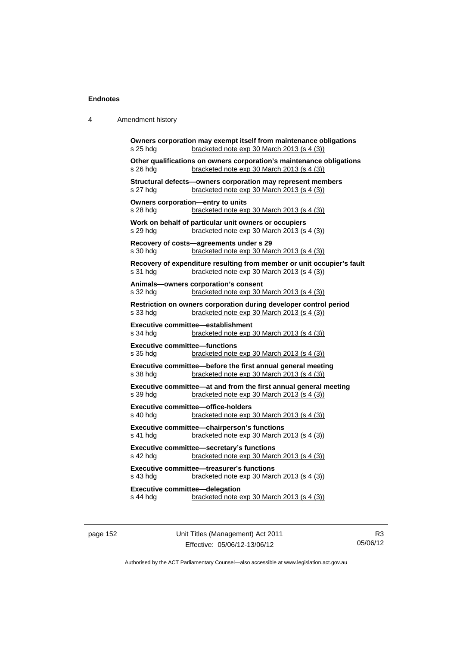4 Amendment history

|          | Other qualifications on owners corporation's maintenance obligations                                                 |
|----------|----------------------------------------------------------------------------------------------------------------------|
| s 26 hdg | bracketed note exp 30 March 2013 (s 4 (3))                                                                           |
| s 27 hdg | Structural defects-owners corporation may represent members<br>bracketed note exp 30 March 2013 (s 4 (3))            |
| s 28 hdg | Owners corporation-entry to units<br>bracketed note exp 30 March 2013 (s 4 (3))                                      |
| s 29 hdg | Work on behalf of particular unit owners or occupiers<br>bracketed note exp 30 March 2013 (s 4 (3))                  |
|          | Recovery of costs-agreements under s 29                                                                              |
| s 30 hdg | bracketed note exp 30 March 2013 (s 4 (3))                                                                           |
| s 31 hdg | Recovery of expenditure resulting from member or unit occupier's fault<br>bracketed note exp 30 March 2013 (s 4 (3)) |
|          | Animals-owners corporation's consent                                                                                 |
| s 32 hdg | bracketed note exp 30 March 2013 (s 4 (3))                                                                           |
| s 33 hdg | Restriction on owners corporation during developer control period<br>bracketed note exp 30 March 2013 (s 4 (3))      |
| s 34 hdg | <b>Executive committee-establishment</b><br>bracketed note exp 30 March 2013 (s 4 (3))                               |
| s 35 hda | <b>Executive committee-functions</b><br>bracketed note exp 30 March 2013 (s 4 (3))                                   |
| s 38 hdg | Executive committee-before the first annual general meeting<br>bracketed note exp 30 March 2013 (s 4 (3))            |
| s 39 hdg | Executive committee-at and from the first annual general meeting<br>bracketed note exp 30 March 2013 (s 4 (3))       |
| s 40 hdg | <b>Executive committee-office-holders</b><br>bracketed note exp 30 March 2013 (s 4 (3))                              |
|          | Executive committee-chairperson's functions                                                                          |
| s 41 hdg | bracketed note exp 30 March 2013 (s 4 (3))                                                                           |
| s 42 hdg | Executive committee-secretary's functions<br>bracketed note exp 30 March 2013 (s 4 (3))                              |
|          | <b>Executive committee-treasurer's functions</b>                                                                     |
| s 43 hdg | bracketed note exp 30 March 2013 (s 4 (3))                                                                           |
|          | <b>Executive committee-delegation</b>                                                                                |
| s 44 hdg | bracketed note exp 30 March 2013 (s 4 (3))                                                                           |

page 152 Unit Titles (Management) Act 2011 Effective: 05/06/12-13/06/12

R3 05/06/12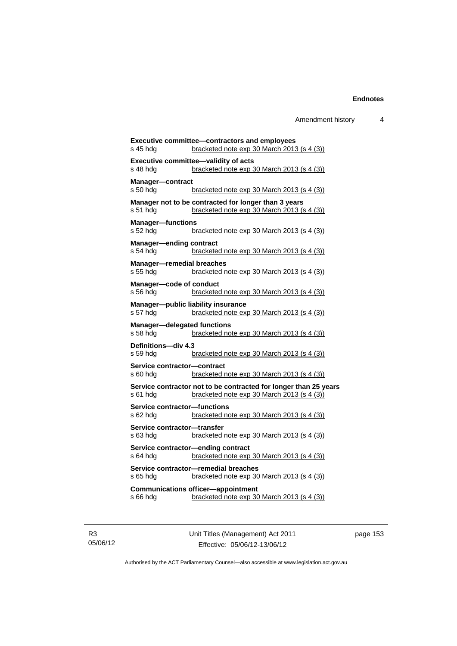| s 45 hdg                                       | <b>Executive committee-contractors and employees</b><br>bracketed note exp 30 March 2013 (s 4 (3))             |
|------------------------------------------------|----------------------------------------------------------------------------------------------------------------|
|                                                |                                                                                                                |
| s 48 hdg                                       | <b>Executive committee-validity of acts</b><br>bracketed note exp 30 March 2013 (s 4 (3))                      |
|                                                |                                                                                                                |
| Manager-contract<br>s 50 hdg                   | <u>bracketed note exp 30 March 2013 (s 4 (3)</u>                                                               |
|                                                |                                                                                                                |
| s 51 hdg                                       | Manager not to be contracted for longer than 3 years<br>bracketed note exp 30 March 2013 (s 4 (3))             |
|                                                |                                                                                                                |
| <b>Manager-functions</b><br>s 52 hdg           | bracketed note exp 30 March 2013 (s 4 (3))                                                                     |
|                                                |                                                                                                                |
| <b>Manager-ending contract</b><br>s 54 hdg     | bracketed note exp 30 March 2013 (s 4 (3))                                                                     |
|                                                |                                                                                                                |
| <b>Manager-remedial breaches</b><br>s 55 hdg   | bracketed note exp 30 March 2013 (s 4 (3))                                                                     |
|                                                |                                                                                                                |
| Manager-code of conduct<br>s 56 hda            | bracketed note exp 30 March 2013 (s 4 (3))                                                                     |
|                                                |                                                                                                                |
| s 57 hdg                                       | Manager-public liability insurance<br>bracketed note exp 30 March 2013 (s 4 (3))                               |
|                                                |                                                                                                                |
| <b>Manager-delegated functions</b><br>s 58 hda | bracketed note exp 30 March 2013 (s 4 (3))                                                                     |
| Definitions-div 4.3                            |                                                                                                                |
| s 59 hda                                       | bracketed note exp 30 March 2013 (s 4 (3))                                                                     |
|                                                |                                                                                                                |
| Service contractor-contract<br>s 60 hda        | bracketed note $exp 30$ March 2013 (s 4 (3))                                                                   |
|                                                |                                                                                                                |
| s 61 hda                                       | Service contractor not to be contracted for longer than 25 years<br>bracketed note exp 30 March 2013 (s 4 (3)) |
|                                                |                                                                                                                |
| Service contractor-functions<br>s 62 hda       | bracketed note exp 30 March 2013 (s 4 (3))                                                                     |
|                                                |                                                                                                                |
| Service contractor-transfer<br>s 63 hdg        | bracketed note exp 30 March 2013 (s 4 (3))                                                                     |
|                                                |                                                                                                                |
| s 64 hda                                       | Service contractor-ending contract<br>bracketed note exp 30 March 2013 (s 4 (3))                               |
|                                                |                                                                                                                |
| s 65 hda                                       | Service contractor-remedial breaches<br>bracketed note exp 30 March 2013 (s 4 (3))                             |
|                                                |                                                                                                                |
| s 66 hda                                       | <b>Communications officer-appointment</b><br>bracketed note exp 30 March 2013 (s 4 (3))                        |
|                                                |                                                                                                                |
|                                                |                                                                                                                |

R3 05/06/12 Unit Titles (Management) Act 2011 Effective: 05/06/12-13/06/12

page 153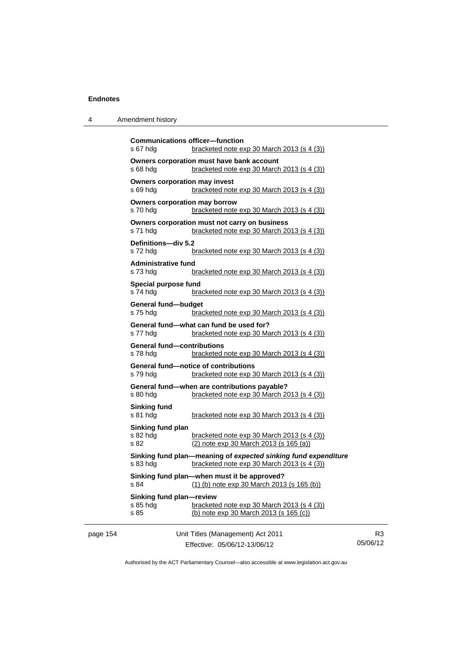| 4 | Amendment history |
|---|-------------------|
|---|-------------------|

|          | <b>Communications officer-function</b><br>s 67 hdg | bracketed note exp 30 March 2013 (s 4 (3))                                                                   |                            |
|----------|----------------------------------------------------|--------------------------------------------------------------------------------------------------------------|----------------------------|
|          | s 68 hdg                                           | Owners corporation must have bank account<br>bracketed note exp 30 March 2013 (s 4 (3))                      |                            |
|          | <b>Owners corporation may invest</b><br>s 69 hdg   | bracketed note exp 30 March 2013 (s 4 (3))                                                                   |                            |
|          | <b>Owners corporation may borrow</b><br>s 70 hdg   | bracketed note exp 30 March 2013 (s 4 (3))                                                                   |                            |
|          | s 71 hda                                           | Owners corporation must not carry on business<br>bracketed note exp 30 March 2013 (s 4 (3))                  |                            |
|          | Definitions-div 5.2<br>s 72 hdg                    | bracketed note $exp 30$ March 2013 (s 4 (3))                                                                 |                            |
|          | <b>Administrative fund</b><br>s 73 hdg             | bracketed note $exp 30$ March 2013 (s 4 (3))                                                                 |                            |
|          | Special purpose fund<br>s 74 hdg                   | bracketed note $exp 30$ March 2013 (s 4 (3))                                                                 |                            |
|          | General fund-budget<br>s 75 hdg                    | bracketed note exp 30 March 2013 (s 4 (3))                                                                   |                            |
|          | s 77 hdg                                           | General fund—what can fund be used for?<br>bracketed note exp 30 March 2013 (s 4 (3))                        |                            |
|          | <b>General fund-contributions</b><br>s 78 hdg      | bracketed note exp 30 March 2013 (s 4 (3))                                                                   |                            |
|          | s 79 hdg                                           | <b>General fund-notice of contributions</b><br>bracketed note exp 30 March 2013 (s 4 (3))                    |                            |
|          | s 80 hdg                                           | General fund-when are contributions payable?<br>bracketed note exp 30 March 2013 (s 4 (3))                   |                            |
|          | Sinking fund<br>s 81 hdg                           | bracketed note exp 30 March 2013 (s 4 (3))                                                                   |                            |
|          | Sinking fund plan<br>s 82 hdg<br>s 82              | bracketed note $exp 30$ March 2013 (s 4 (3))<br>(2) note exp 30 March 2013 (s 165 (a))                       |                            |
|          | s 83 hdg                                           | Sinking fund plan—meaning of expected sinking fund expenditure<br>bracketed note exp 30 March 2013 (s 4 (3)) |                            |
|          | s 84                                               | Sinking fund plan-when must it be approved?<br>$(1)$ (b) note exp 30 March 2013 (s 165 (b))                  |                            |
|          | Sinking fund plan-review<br>s 85 hdg<br>s 85       | bracketed note exp 30 March 2013 (s 4 (3))<br>(b) note exp 30 March 2013 (s 165 (c))                         |                            |
| page 154 |                                                    | Unit Titles (Management) Act 2011<br>Effective: 05/06/12-13/06/12                                            | R <sub>3</sub><br>05/06/12 |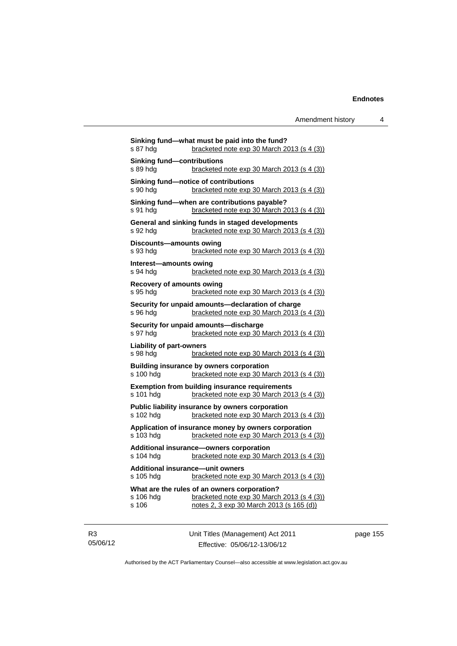| s 87 hdg                                                                                                    | Sinking fund-what must be paid into the fund?<br>bracketed note exp 30 March 2013 (s 4 (3))                                            |
|-------------------------------------------------------------------------------------------------------------|----------------------------------------------------------------------------------------------------------------------------------------|
| <b>Sinking fund-contributions</b><br>s 89 hda                                                               | bracketed note $exp 30$ March 2013 (s 4 (3))                                                                                           |
| s 90 hda                                                                                                    | Sinking fund-notice of contributions<br>bracketed note $exp 30$ March 2013 (s 4 (3))                                                   |
| s 91 hda                                                                                                    | Sinking fund-when are contributions payable?<br>bracketed note exp 30 March 2013 (s 4 (3))                                             |
| s 92 hdg                                                                                                    | General and sinking funds in staged developments<br>bracketed note exp 30 March 2013 (s 4 (3))                                         |
| Discounts—amounts owing<br>s 93 hda                                                                         | bracketed note exp 30 March 2013 (s 4 (3))                                                                                             |
| Interest-amounts owing<br>s 94 hdg                                                                          | bracketed note exp 30 March 2013 (s 4 (3))                                                                                             |
| <b>Recovery of amounts owing</b><br>s 95 hda                                                                | bracketed note exp 30 March 2013 (s 4 (3))                                                                                             |
| s 96 hda                                                                                                    | Security for unpaid amounts-declaration of charge<br>bracketed note $exp 30$ March 2013 (s 4 (3))                                      |
| s 97 hdg                                                                                                    | Security for unpaid amounts-discharge<br>bracketed note exp 30 March 2013 (s 4 (3))                                                    |
| <b>Liability of part-owners</b><br>s 98 hda                                                                 | bracketed note exp 30 March 2013 (s 4 (3))                                                                                             |
| s 100 hdg                                                                                                   | Building insurance by owners corporation<br>bracketed note exp 30 March 2013 (s 4 (3))                                                 |
| s 101 hdg                                                                                                   | <b>Exemption from building insurance requirements</b><br>bracketed note exp 30 March 2013 (s 4 (3))                                    |
| Public liability insurance by owners corporation<br>bracketed note exp 30 March 2013 (s 4 (3))<br>s 102 hdg |                                                                                                                                        |
| s 103 hda                                                                                                   | Application of insurance money by owners corporation<br>bracketed note exp 30 March 2013 (s 4 (3))                                     |
| s 104 hdg                                                                                                   | Additional insurance-owners corporation<br>bracketed note exp 30 March 2013 (s 4 (3))                                                  |
| Additional insurance-unit owners<br>s 105 hdg                                                               | bracketed note exp 30 March 2013 (s 4 (3))                                                                                             |
| s 106 hdg<br>s 106                                                                                          | What are the rules of an owners corporation?<br>bracketed note exp 30 March 2013 (s 4 (3))<br>notes 2, 3 exp 30 March 2013 (s 165 (d)) |
|                                                                                                             |                                                                                                                                        |

R3 05/06/12 Unit Titles (Management) Act 2011 Effective: 05/06/12-13/06/12

page 155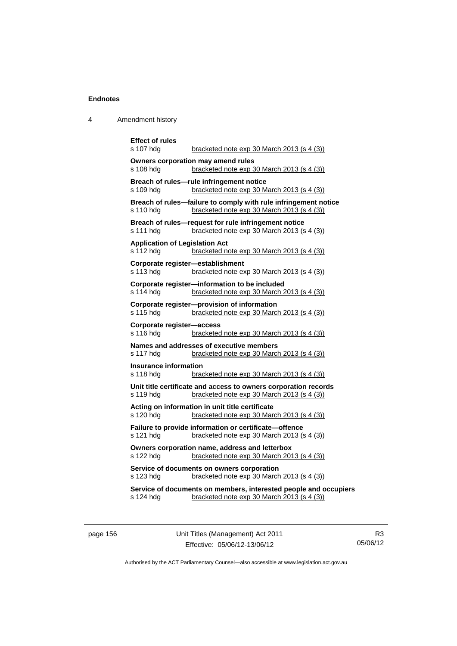| 4 | Amendment history |
|---|-------------------|
|---|-------------------|

| <b>Effect of rules</b><br>s 107 hdg                | bracketed note $exp 30$ March 2013 (s 4 (3))                                                                   |
|----------------------------------------------------|----------------------------------------------------------------------------------------------------------------|
| s 108 hdg                                          | Owners corporation may amend rules<br>bracketed note exp 30 March 2013 (s 4 (3))                               |
| s 109 hdg                                          | Breach of rules-rule infringement notice<br>bracketed note exp 30 March 2013 (s 4 (3))                         |
| s 110 hdg                                          | Breach of rules-failure to comply with rule infringement notice<br>bracketed note exp 30 March 2013 (s 4 (3))  |
| s 111 hdg                                          | Breach of rules-request for rule infringement notice<br>bracketed note exp 30 March 2013 (s 4 (3))             |
| <b>Application of Legislation Act</b><br>s 112 hdg | bracketed note exp 30 March 2013 (s 4 (3))                                                                     |
| s 113 hdg                                          | Corporate register-establishment<br>bracketed note exp 30 March 2013 (s 4 (3))                                 |
| s 114 hdg                                          | Corporate register-information to be included<br>bracketed note exp 30 March 2013 (s 4 (3))                    |
| s 115 hdg                                          | Corporate register-provision of information<br>bracketed note exp 30 March 2013 (s 4 (3))                      |
| Corporate register-access<br>s 116 hdg             | bracketed note $exp 30$ March 2013 (s 4 (3))                                                                   |
| s 117 hdg                                          | Names and addresses of executive members<br>bracketed note exp 30 March 2013 (s 4 (3))                         |
| <b>Insurance information</b><br>s 118 hdg          | bracketed note exp 30 March 2013 (s 4 (3))                                                                     |
| s 119 hdg                                          | Unit title certificate and access to owners corporation records<br>bracketed note exp 30 March 2013 (s 4 (3))  |
| s 120 hdg                                          | Acting on information in unit title certificate<br>bracketed note exp 30 March 2013 (s 4 (3))                  |
| s 121 hdg                                          | Failure to provide information or certificate-offence<br>bracketed note exp 30 March 2013 (s 4 (3))            |
| s 122 hdg                                          | Owners corporation name, address and letterbox<br>bracketed note exp 30 March 2013 (s 4 (3))                   |
| s 123 hdg                                          | Service of documents on owners corporation<br>bracketed note $exp 30$ March 2013 (s 4 (3))                     |
| s 124 hdg                                          | Service of documents on members, interested people and occupiers<br>bracketed note exp 30 March 2013 (s 4 (3)) |
|                                                    |                                                                                                                |

page 156 Unit Titles (Management) Act 2011 Effective: 05/06/12-13/06/12

R3 05/06/12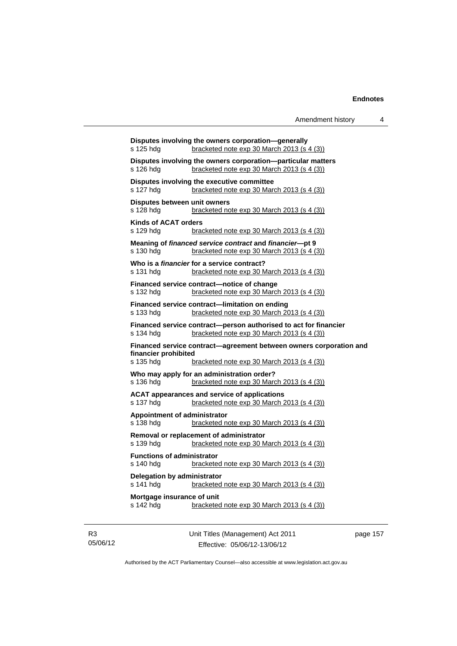```
Disputes involving the owners corporation—generally 
s 125 hdg bracketed note exp 30 March 2013 (s 4 (3))
Disputes involving the owners corporation—particular matters 
s 126 hdg bracketed note exp 30 March 2013 (s 4 (3))
Disputes involving the executive committee 
s 127 hdg bracketed note exp 30 March 2013 (s 4 (3))
Disputes between unit owners 
s 128 hdg bracketed note exp 30 March 2013 (s 4 (3))
Kinds of ACAT orders 
s 129 hdg bracketed note exp 30 March 2013 (s 4 (3))
Meaning of financed service contract and financier—pt 9 
s 130 hdg bracketed note exp 30 March 2013 (s 4 (3))
Who is a financier for a service contract? 
s 131 hdg bracketed note exp 30 March 2013 (s 4 (3))
Financed service contract—notice of change 
s 132 hdg bracketed note exp 30 March 2013 (s 4 (3))
Financed service contract—limitation on ending 
s 133 hdg bracketed note exp 30 March 2013 (s 4 (3))
Financed service contract—person authorised to act for financier 
s 134 hdg bracketed note exp 30 March 2013 (s 4 (3))
Financed service contract—agreement between owners corporation and 
financier prohibited 
s 135 hdg bracketed note exp 30 March 2013 (s 4 (3))
Who may apply for an administration order?<br>s 136 hdg bracketed note exp 30 March
                 bracketed note exp 30 March 2013 (s 4 (3))
ACAT appearances and service of applications 
s 137 hdg bracketed note exp 30 March 2013 (s 4 (3))
Appointment of administrator 
s 138 hdg bracketed note exp 30 March 2013 (s 4 (3))
Removal or replacement of administrator 
s 139 hdg bracketed note exp 30 March 2013 (s 4 (3))
Functions of administrator 
s 140 hdg bracketed note exp 30 March 2013 (s 4 (3))
Delegation by administrator 
s 141 hdg bracketed note exp 30 March 2013 (s 4 (3))
Mortgage insurance of unit 
s 142 hdg bracketed note exp 30 March 2013 (s 4 (3))
```
R3 05/06/12 Unit Titles (Management) Act 2011 Effective: 05/06/12-13/06/12

page 157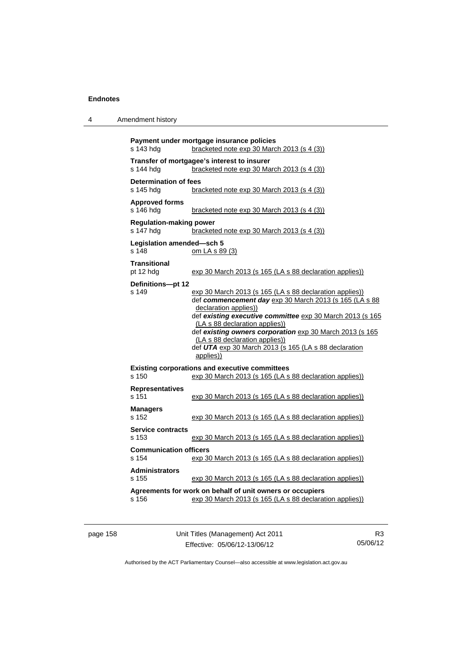| 4 | Amendment history |
|---|-------------------|
|---|-------------------|

```
Payment under mortgage insurance policies 
s 143 hdg bracketed note exp 30 March 2013 (s 4 (3))
Transfer of mortgagee's interest to insurer 
s 144 hdg bracketed note exp 30 March 2013 (s 4 (3))
Determination of fees 
s 145 hdg bracketed note exp 30 March 2013 (s 4 (3))
Approved forms 
s 146 hdg bracketed note exp 30 March 2013 (s 4 (3))
Regulation-making power 
s 147 hdg bracketed note exp 30 March 2013 (s 4 (3))
Legislation amended—sch 5 
s 148 om LA s 89 (3)
Transitional 
pt 12 hdg exp 30 March 2013 (s 165 (LA s 88 declaration applies))
Definitions—pt 12 
s 149 exp 30 March 2013 (s 165 (LA s 88 declaration applies))
                  def commencement day exp 30 March 2013 (s 165 (LA s 88 
                  declaration applies))
                  def existing executive committee exp 30 March 2013 (s 165
                  (LA s 88 declaration applies))
                  def existing owners corporation exp 30 March 2013 (s 165
                  (LA s 88 declaration applies))
                  def UTA exp 30 March 2013 (s 165 (LA s 88 declaration 
                  applies))
Existing corporations and executive committees 
s 150 exp 30 March 2013 (s 165 (LA s 88 declaration applies))
Representatives 
s 151 exp 30 March 2013 (s 165 (LA s 88 declaration applies))
Managers 
s 152 exp 30 March 2013 (s 165 (LA s 88 declaration applies))
Service contracts 
s 153 exp 30 March 2013 (s 165 (LA s 88 declaration applies))
Communication officers 
s 154 exp 30 March 2013 (s 165 (LA s 88 declaration applies))
Administrators 
s 155 exp 30 March 2013 (s 165 (LA s 88 declaration applies))
Agreements for work on behalf of unit owners or occupiers 
s 156 exp 30 March 2013 (s 165 (LA s 88 declaration applies))
```

| page 158 |  |
|----------|--|
|----------|--|

page 158 Unit Titles (Management) Act 2011 Effective: 05/06/12-13/06/12

R3 05/06/12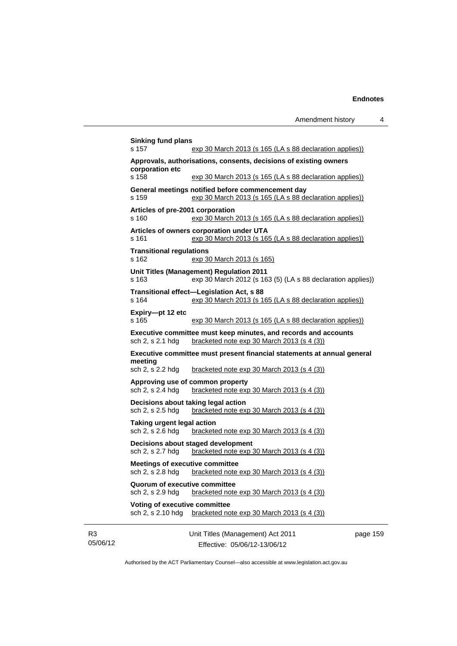| s 157                                                      | exp 30 March 2013 (s 165 (LA s 88 declaration applies))                                                       |        |
|------------------------------------------------------------|---------------------------------------------------------------------------------------------------------------|--------|
| corporation etc                                            | Approvals, authorisations, consents, decisions of existing owners                                             |        |
| s 158                                                      | exp 30 March 2013 (s 165 (LA s 88 declaration applies))                                                       |        |
| s 159                                                      | General meetings notified before commencement day<br>exp 30 March 2013 (s 165 (LA s 88 declaration applies))  |        |
| Articles of pre-2001 corporation<br>s 160                  | exp 30 March 2013 (s 165 (LA s 88 declaration applies))                                                       |        |
| s 161                                                      | Articles of owners corporation under UTA<br>exp 30 March 2013 (s 165 (LA s 88 declaration applies))           |        |
| <b>Transitional regulations</b><br>s 162                   | exp 30 March 2013 (s 165)                                                                                     |        |
| s 163                                                      | Unit Titles (Management) Regulation 2011<br>exp 30 March 2012 (s 163 (5) (LA s 88 declaration applies))       |        |
| s 164                                                      | Transitional effect-Legislation Act, s 88<br>exp 30 March 2013 (s 165 (LA s 88 declaration applies))          |        |
| Expiry-pt 12 etc<br>s 165                                  | exp 30 March 2013 (s 165 (LA s 88 declaration applies))                                                       |        |
| sch 2, s 2.1 hdg                                           | Executive committee must keep minutes, and records and accounts<br>bracketed note exp 30 March 2013 (s 4 (3)) |        |
| meeting                                                    | Executive committee must present financial statements at annual general                                       |        |
| sch 2, s 2.2 hdg                                           | bracketed note exp 30 March 2013 (s 4 (3))                                                                    |        |
| sch 2, s 2.4 hdg                                           | Approving use of common property<br>bracketed note $exp 30$ March 2013 (s 4 (3))                              |        |
| sch 2, s 2.5 hdg                                           | Decisions about taking legal action<br>bracketed note exp 30 March 2013 (s 4 (3))                             |        |
| Taking urgent legal action<br>sch 2, s 2.6 hdg             | bracketed note $exp 30$ March 2013 $(s 4 (3))$                                                                |        |
| sch 2, s 2.7 hdg                                           | Decisions about staged development<br>bracketed note exp 30 March 2013 (s 4 (3))                              |        |
| <b>Meetings of executive committee</b><br>sch 2, s 2.8 hdg | bracketed note exp 30 March 2013 (s 4 (3))                                                                    |        |
| Quorum of executive committee<br>sch 2, s 2.9 hdg          | bracketed note exp 30 March 2013 (s 4 (3))                                                                    |        |
| Voting of executive committee<br>sch 2, s 2.10 hdg         | bracketed note exp 30 March 2013 (s 4 (3))                                                                    |        |
|                                                            | Unit Titles (Management) Act 2011                                                                             | page 1 |

R3 05/06/12

Effective: 05/06/12-13/06/12

page 159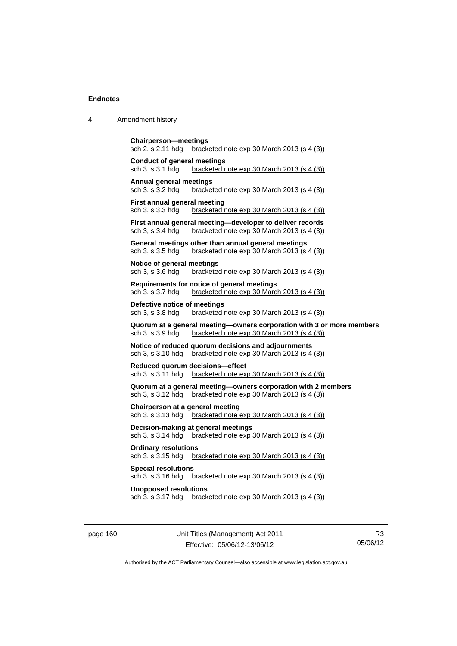| 4 | Amendment history |
|---|-------------------|
|---|-------------------|

```
Chairperson—meetings 
sch 2, s 2.11 hdg bracketed note exp 30 March 2013 (s 4 (3))
Conduct of general meetings 
sch 3, s 3.1 hdg bracketed note exp 30 March 2013 (s 4 (3))
Annual general meetings 
                  bracketed note exp 30 March 2013 (s 4 (3))
First annual general meeting 
sch 3, s 3.3 hdg bracketed note exp 30 March 2013 (s 4 (3))
First annual general meeting—developer to deliver records 
sch 3, s 3.4 hdg bracketed note exp 30 March 2013 (s 4 (3))
General meetings other than annual general meetings 
sch 3, s 3.5 hdg bracketed note exp 30 March 2013 (s 4 (3))
Notice of general meetings<br>sch 3, s 3.6 hdg bracketed
                  bracketed note exp 30 March 2013 (s 4 (3))
Requirements for notice of general meetings 
sch 3, s 3.7 hdg bracketed note exp 30 March 2013 (s 4 (3))
Defective notice of meetings 
sch 3, s 3.8 hdg bracketed note exp 30 March 2013 (s 4 (3))
Quorum at a general meeting—owners corporation with 3 or more members 
sch 3, s 3.9 hdg bracketed note exp 30 March 2013 (s 4 (3))
Notice of reduced quorum decisions and adjournments 
sch 3, s 3.10 hdg bracketed note exp 30 March 2013 (s 4 (3))
Reduced quorum decisions—effect 
sch 3, s 3.11 hdg bracketed note exp 30 March 2013 (s 4 (3))
Quorum at a general meeting—owners corporation with 2 members 
sch 3, s 3.12 hdg bracketed note exp 30 March 2013 (s 4 (3))
Chairperson at a general meeting 
sch 3, s 3.13 hdg bracketed note exp 30 March 2013 (s 4 (3))
Decision-making at general meetings 
sch 3, s 3.14 hdg bracketed note exp 30 March 2013 (s 4 (3))
Ordinary resolutions 
sch 3, s 3.15 hdg bracketed note exp 30 March 2013 (s 4 (3))
Special resolutions 
sch 3, s 3.16 hdg bracketed note exp 30 March 2013 (s 4 (3))
Unopposed resolutions 
sch 3, s 3.17 hdg bracketed note exp 30 March 2013 (s 4 (3))
```
page 160 Unit Titles (Management) Act 2011 Effective: 05/06/12-13/06/12

R3 05/06/12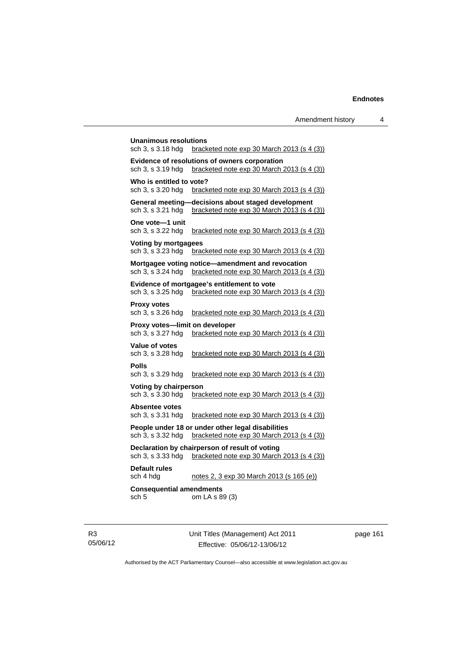**Unanimous resolutions**  sch 3, s 3.18 hdg bracketed note exp 30 March 2013 (s 4 (3)) **Evidence of resolutions of owners corporation**  sch 3, s 3.19 hdg bracketed note exp 30 March 2013 (s 4 (3)) **Who is entitled to vote?**  sch 3, s 3.20 hdg bracketed note exp 30 March 2013 (s 4 (3)) **General meeting—decisions about staged development**  sch 3, s 3.21 hdg bracketed note exp 30 March 2013 (s 4 (3)) **One vote—1 unit**  bracketed note exp 30 March 2013 (s  $4$  (3)) **Voting by mortgagees**  sch 3, s 3.23 hdg bracketed note exp 30 March 2013 (s 4 (3)) **Mortgagee voting notice—amendment and revocation**  sch 3, s 3.24 hdg bracketed note exp 30 March 2013 (s 4 (3)) **Evidence of mortgagee's entitlement to vote**  sch 3, s 3.25 hdg bracketed note exp 30 March 2013 (s 4 (3)) **Proxy votes**  sch 3, s 3.26 hdg bracketed note exp 30 March 2013 (s 4 (3)) **Proxy votes—limit on developer**  sch 3, s 3.27 hdg bracketed note exp 30 March 2013 (s 4 (3)) **Value of votes**  sch 3, s 3.28 hdg bracketed note exp 30 March 2013 (s 4 (3)) **Polls**  sch 3, s 3.29 hdg bracketed note exp 30 March 2013 (s 4 (3)) **Voting by chairperson**  sch 3, s 3.30 hdg bracketed note exp 30 March 2013 (s 4 (3)) **Absentee votes**  sch 3, s 3.31 hdg bracketed note exp 30 March 2013 (s 4 (3)) **People under 18 or under other legal disabilities**  sch 3, s 3.32 hdg bracketed note exp 30 March 2013 (s 4 (3)) **Declaration by chairperson of result of voting**  sch 3, s 3.33 hdg bracketed note exp 30 March 2013 (s 4 (3)) **Default rules**  sch 4 hdg notes 2, 3 exp 30 March 2013 (s 165 (e)) **Consequential amendments**  sch 5 om LA s 89 (3)

R3 05/06/12 Unit Titles (Management) Act 2011 Effective: 05/06/12-13/06/12

page 161